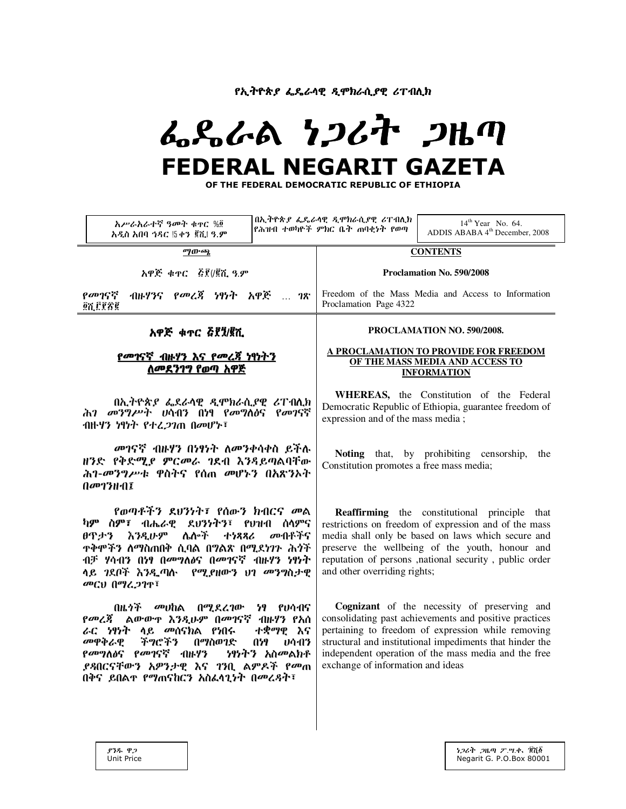የኢትዮጵያ ፌዴራሳዊ ዲሞክራሲያዊ ሪፐብሊክ

# ふくふんる りつびれ つルの **FEDERAL NEGARIT GAZETA**

OF THE FEDERAL DEMOCRATIC REPUBLIC OF ETHIOPIA

| አሥራአራተኛ ዓመት ቁዋር %፬<br>አዲስ አበባ ኅዳር !5 ቀን ጀሺ! ዓ.ም                                                                                                                                                                                                                                                                 |  | በኢትዮጵ <i>ያ ፌ</i> ዴራሳዊ <i>ዲሞክ</i> ራሲ <i>ያ</i> ዊ ሪፐብሊክ<br>የሕዝብ ተወካዮች ምክር ቤት ጠባቂነት የወጣ                                                                                                                                                                                                                                   | $14^{\text{th}}$ Year No. 64.<br>ADDIS ABABA $4^{\text{th}}$ December, 2008 |
|-----------------------------------------------------------------------------------------------------------------------------------------------------------------------------------------------------------------------------------------------------------------------------------------------------------------|--|-----------------------------------------------------------------------------------------------------------------------------------------------------------------------------------------------------------------------------------------------------------------------------------------------------------------------|-----------------------------------------------------------------------------|
| ማውጫ                                                                                                                                                                                                                                                                                                             |  | <b>CONTENTS</b>                                                                                                                                                                                                                                                                                                       |                                                                             |
| አዋጅ ቁጥር ጅ፻(/፪ሺ ዓ.ም                                                                                                                                                                                                                                                                                              |  | Proclamation No. 590/2008                                                                                                                                                                                                                                                                                             |                                                                             |
| ብዙሃንና የመረጃ ነፃነት አዋጅ  ገጽ<br>የመገናኛ<br>፼ሺ፫፻፳፪                                                                                                                                                                                                                                                                      |  | Freedom of the Mass Media and Access to Information<br>Proclamation Page 4322                                                                                                                                                                                                                                         |                                                                             |
| አዋጅ ቁጥር ፭፻፺/፪ሺ                                                                                                                                                                                                                                                                                                  |  | PROCLAMATION NO. 590/2008.                                                                                                                                                                                                                                                                                            |                                                                             |
| <u>የመገናኛ ብዙሃን እና የመረጃ ነፃነትን</u><br><u>ለመደን1ግ የወጣ አዋጅ</u>                                                                                                                                                                                                                                                        |  | A PROCLAMATION TO PROVIDE FOR FREEDOM<br>OF THE MASS MEDIA AND ACCESS TO<br><b>INFORMATION</b>                                                                                                                                                                                                                        |                                                                             |
| በኢትዮጵያ ፌደራሳዊ ዲሞክራሲያዊ ሪፐብሊክ<br>ሕ <i>ገ መንግሥት ሀ</i> ሳብን በነፃ የመግለፅና የመገናኛ<br>ብዙሃን ነፃነት የተረ <i>ጋገ</i> ጠ በመሆኑ፣                                                                                                                                                                                                        |  | WHEREAS, the Constitution of the Federal<br>Democratic Republic of Ethiopia, guarantee freedom of<br>expression and of the mass media;                                                                                                                                                                                |                                                                             |
| መገናኛ ብዙሃን በነፃነት ለመንቀሳቀስ ይችሉ<br>ዘንድ የቅድሚያ ምርመራ ገደብ እንዳይጣልባቸው<br>ሕገ-መንግሥቱ ዋስትና የሰጠ መሆኑን በአጽንኦት<br>በመገንዘብ፤                                                                                                                                                                                                         |  | Noting that, by prohibiting censorship,<br>the<br>Constitution promotes a free mass media;                                                                                                                                                                                                                            |                                                                             |
| የወጣቶችን ደህንነት፣ የሰውን ክብርና መል<br>ካም ስም፣ ብሔራዊ ደህንነትን፣ የህዝብ ሰሳምና<br>ሴሎች<br>እንዲሁም<br>መብቶችና<br>ፀጥታን<br>ナケススム<br><b>ተቅሞችን ስማስጠበቅ ሲባል በግልጽ በሚደነገጉ ሕጎች</b><br>ብቻ ሃሳብን በነፃ በመግለፅና በመገናኛ ብዙሃን ነፃነት<br>ላይ ገደቦች እንዲጣሉ የሚያዘውን ህገ መንግስታዊ<br>መርህ በማፈጋገጥ፣                                                                         |  | Reaffirming the constitutional principle that<br>restrictions on freedom of expression and of the mass<br>media shall only be based on laws which secure and<br>preserve the wellbeing of the youth, honour and<br>reputation of persons , national security, public order<br>and other overriding rights;            |                                                                             |
| በዜ <i>ጎች መ</i> ሀከል በሚደረገው<br>ነፃ የሀሳብና<br><i>የመረጃ</i> ልውውዋ እንዲሁም በመገናኛ ብዙሃን የአሰ<br>ራር ነፃነት ላይ <i>መ</i> ሰናክል የነበሩ<br>ተቋማዊ እና<br>መዋቅራዊ<br>ችግሮችን<br>በማስወገድ<br>A59<br>04413<br><i>የመግ</i> ለፅና <i>የመገ</i> ናኛ ብዙሃን<br><i>ነፃነትን አስመልክቶ</i><br><i>ያጻ</i> በርናቸውን አዎንታዊ እና ገንቢ ልምዶች የመጠ<br>በቅና ይበልተ የማጠናከርን አስፌላጊነት በመረዳት፣ |  | Cognizant of the necessity of preserving and<br>consolidating past achievements and positive practices<br>pertaining to freedom of expression while removing<br>structural and institutional impediments that hinder the<br>independent operation of the mass media and the free<br>exchange of information and ideas |                                                                             |
|                                                                                                                                                                                                                                                                                                                 |  |                                                                                                                                                                                                                                                                                                                       |                                                                             |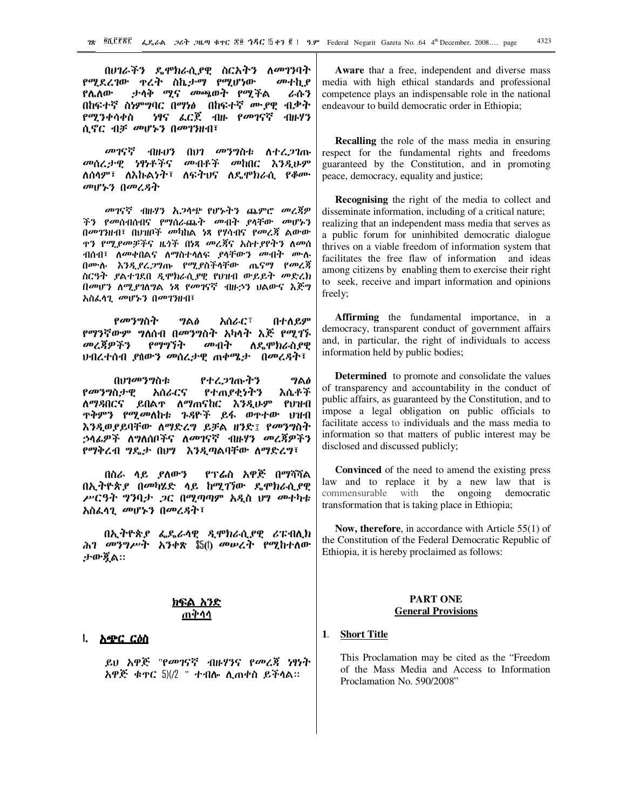በሀገራችን ዴሞክራሲያዊ ስርአትን ለመገንባት የሚደረገው ዋረት ስኬታማ የሚሆነው መተኪያ **የሌለው** ታሳቅ *ሚና መ*ጫወት የሚችል ራሱን በከፍተኛ ስነምግባር በማነፅ በከፍተኛ ሙያዊ ብቃት ነፃና ፌርጀ ብዙ የመገናኛ የሚንቀሳቀስ ·ብዙሃን ሲኖር ብቻ መሆኑን በመገንዘብ፣

መገናኛ ለተረ*ጋ*ገጡ All+03  $007$  መንግስቱ መብቶች መከበር እንዲሁም መሰረታዊ ነፃነቶችና ለሰሳም፣ ለእኩልነት፣ ለፍትህና ለዴሞክራሲ የቆሙ መሆኑን በመረዳት

መገናኛ ብዙሃን አ*ጋ*ሳጭ የሆኑትን ጨምሮ መረጃዎ ችን የመሰብሰብና የማሰራጨት መብት ያላቸው መሆኑን በመገንዘብ፣ በሀዝቦች መካከል ነጻ የሃሳብና የመረጃ ልውው ን *የሚያመቻች*ና ዜጎች በነጻ *መረጃ*ና አስተ*ያ*የትን ለመሰ ብሰብ፣ ለ*መቀ*በልና ለማስተሳለፍ *ያ*ሳቸው*ን መብት* በሙሉ እንዲያረ.ጋግጡ የሚያስችሳቸው ጤናማ የመረጃ ስርዓት ይላተገደበ ዲሞክራሲያዊ የህዝብ ውይይት መድረክ በመሆን ለሚያገለግል ነጻ የመገናኛ ብዙኃን ህልውና እጅግ አስፌሳጊ መሆኑን በመገንዘብ፣

*የመንግ*ስት አሰራር፣ በተለይም ግልፅ የማንኛውም ግለሰብ በመንግስት አካላት እጅ የሚገኙ መረጃዎችን የማግኘት መብት ለዴሞክራስያዊ ህብረተሰብ *ያ*ሰውን *መ*ሰረታዊ ጠቀሜታ በመረዳት፣

በሀገመንግስቱ የተረ*ጋ*ገጡትን ግልፅ የመንግስታዊ እሴቶች አሰራርና የተጠያቂነትን ለማዳበርና ይበልተ ለማጠናከር እንዲሁም የህዝብ ጥቅምን የሚመለከቱ ጉዳዮች ይፋ ወጥተው ህዝብ እንዲወያይባቸው ለማድረግ ይቻል ዘንድ፤ የመንግስት *ኃላፊዎች ለግ*ለሰቦችና ለ*መገ*ናኛ ብዙሃን መረጃዎችን የማቅረብ ግዴታ በሀግ እንዲጣልባቸው ለማድረግ፣

በስራ ሳይ ያለውን የፕሬስ አዋጅ በማሻሻል በኢትዮጵያ በመካሄድ ላይ ከሚገኘው ዴሞክራሲያዊ ሥርዓት ግንባታ ጋር በሚጣጣም አዲስ ህግ መተካቱ አስፌሳጊ መሆኑን በመረዳት፣

በኢትዮጵያ ፌዴራሳዊ ዲሞክራሲያዊ ሪፑብሊክ ሕገ *መንግሥት አንቀ*ጽ \$5(l) መሥረት የሚከተለው ታውጇል።

## ጠቅሳሳ

#### $\mathbf{1}$ አጭር ርዕስ

ይህ አዋጅ "የ*መገ*ናኛ ብዙሃንና የመረጃ ነፃነት አዋጅ ቁዋር 5)(/2 " ተብሎ ሊጠቀስ ይችላል።

Aware that a free, independent and diverse mass media with high ethical standards and professional competence plays an indispensable role in the national endeavour to build democratic order in Ethiopia;

Recalling the role of the mass media in ensuring respect for the fundamental rights and freedoms guaranteed by the Constitution, and in promoting peace, democracy, equality and justice;

**Recognising** the right of the media to collect and disseminate information, including of a critical nature; realizing that an independent mass media that serves as a public forum for uninhibited democratic dialogue thrives on a viable freedom of information system that facilitates the free flaw of information and ideas among citizens by enabling them to exercise their right to seek, receive and impart information and opinions freely;

**Affirming** the fundamental importance, in a democracy, transparent conduct of government affairs and, in particular, the right of individuals to access information held by public bodies;

**Determined** to promote and consolidate the values of transparency and accountability in the conduct of public affairs, as guaranteed by the Constitution, and to impose a legal obligation on public officials to facilitate access to individuals and the mass media to information so that matters of public interest may be disclosed and discussed publicly;

**Convinced** of the need to amend the existing press law and to replace it by a new law that is commensurable with the ongoing democratic transformation that is taking place in Ethiopia;

Now, therefore, in accordance with Article  $55(1)$  of the Constitution of the Federal Democratic Republic of Ethiopia, it is hereby proclaimed as follows:

### **PART ONE General Provisions**

#### **Short Title**  $\mathbf{1}$

This Proclamation may be cited as the "Freedom of the Mass Media and Access to Information Proclamation No. 590/2008"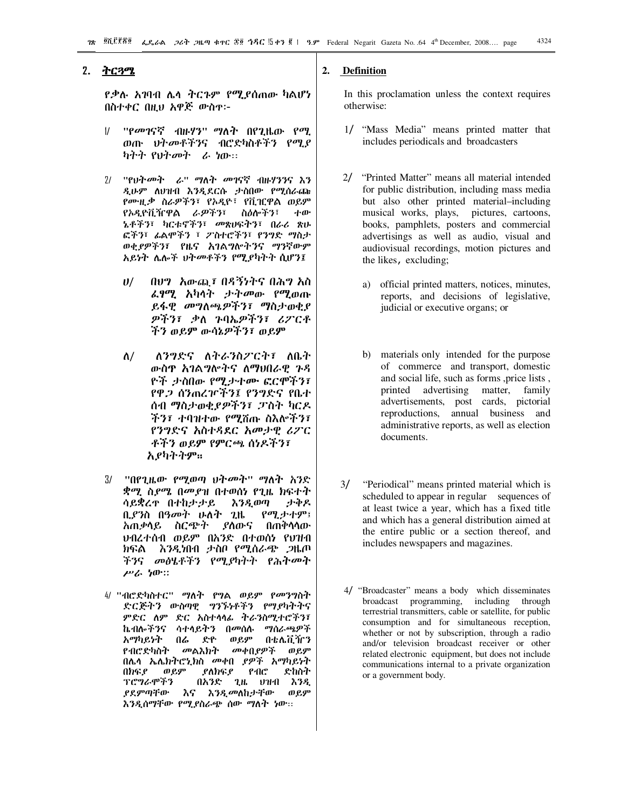### 2. <u>ትርጓሜ</u>

*የ.*ቃሉ *አገ*ባብ ሌላ ትርጉም የሚያሰጠው ካልሆነ በስተቀር በዚህ አዋጅ ውስዋ፦

- ''የመገናኛ ብዙሃን'' ማለት በየጊዜው የማ.  $\overline{11}$ ወጡ ህትመቶችንና ብሮድካስቶችን የሚያ *ካትት የህትመት ራ ነ*ው።
- 2/ "የህትመት ራ" ማለት መገናኛ ብዙሃንንና እን ዲሁም ለህዝብ እንዲደርሱ ታስበው የሚሰራጩ የሙዚቃ ስራዎችን፣ የአዲዮ፣ የቪዢዋል ወይም የአዲዮቪዥዋል *ራዎችን*፣ ስዕሎችን፣ ተው አቶችን፣ ካርቱኖችን፣ መጽሀፍትን፣ በራሪ ጽሁ ፎችን፣ ፊልሞችን ፣ ፖስተሮችን፣ የንግድ ማስታ ወቂያዎችን፣ የዜና አገልግሎትንና ማንኛውም አይነት ሌሎች ህትመቶችን የሚያካትት ሲሆን፤
	- በሀግ አውጪ፤ በዳኝነትና በሕግ አስ  $\boldsymbol{\theta}$ *ፌፃሚ አካላት ታትመ*ው የሚወጡ ይፋዊ መግለጫዎችን፣ ማስታወቂያ ዎችን፣ ቃለ ንባኤዎችን፣ ሪፖርቶ ችን ወይም ውሳኔዎችን፣ ወይም
	- $\Lambda/$ ለንግድና ለትራንስፖርት፣ ለቤት ውስዋ አገልግሎትና ለማህበራዊ ጉዳ ዮች ታስበው የሚታተሙ ፎርሞችን፤ የዋ.2 ሰንጠረዦችን፤ የንግድና የቤተ ሰብ ማስታወቂያዎችን፣ ፓስት ካርዶ ችን፤ ተባዝተው የማሽጡ ስእሎችን፤ የንግድና አስተዳደር አመታዊ ሪፖር ቶችን ወይም የምርጫ ሰነዶችን፣ አያካትትም።
- $3/$ *ቋሚ* ስ*ያሜ* በመያዝ በተወሰነ የጊዜ ክፍተት ሳይቋረዋ በተከታታይ ታቅዶ እንዲወጣ ቢያንስ በዓመት ሁለት ጊዜ የሚታተም፤ *አጠቃላይ ስርጭት ያስ*ውና በጠቅሳሳው ህብረተሰብ ወይም በአንድ በተወሰነ የህዝብ ክፍል እንዲነበብ ታስቦ የሚሰራጭ ጋዜጦ ችንና መፅሄቶችን የሚያካትት የሕትመት ሥራ ነው።
- 4/ ''ብሮድካስተር'' ማለት የግል ወይም የመንግስት ድርጅትን ውስጣዊ ግንኙነቶችን የማያካትትና ምድር ለም ድር አስተሳሳፊ ትራንስሚተሮችን፣ ኬብሎችንና ሳተሳይትን በመሰሉ ማሰራጫዎች አማካይነት በሬ ድዮ ወይም በቴሌቪዥን የብሮድካስት መልእክት መቀበያዎች ወይም በሌሳ ኤሌክትሮኒክስ መቀበ ያዎች አማካይነት በክፍያ ወይም ያለክፍያ  $PAC$ ድከስት ፕሮግራሞችን በአንድ ጊዜ ሀዝብ እንዲ እና እ*ንዲመ*ለከታቸው ያደምጣቸው ወይም እንዲሰማቸው የሚያስራጭ ሰው ማለት ነው፡፡

#### $2.$ Definition

In this proclamation unless the context requires otherwise:

- 1/ "Mass Media" means printed matter that includes periodicals and broadcasters
- 2/ "Printed Matter" means all material intended for public distribution, including mass media but also other printed material-including musical works, plays, pictures, cartoons, books, pamphlets, posters and commercial advertisings as well as audio, visual and audiovisual recordings, motion pictures and the likes, excluding;
	- a) official printed matters, notices, minutes, reports, and decisions of legislative, judicial or executive organs; or
	- b) materials only intended for the purpose of commerce and transport, domestic and social life, such as forms, price lists, printed advertising matter, family advertisements, post cards, pictorial reproductions, annual business and administrative reports, as well as election documents.
- $3/$ "Periodical" means printed material which is scheduled to appear in regular sequences of at least twice a year, which has a fixed title and which has a general distribution aimed at the entire public or a section thereof, and includes newspapers and magazines.
- 4/ "Broadcaster" means a body which disseminates broadcast programming, including through terrestrial transmitters, cable or satellite, for public consumption and for simultaneous reception, whether or not by subscription, through a radio and/or television broadcast receiver or other related electronic equipment, but does not include communications internal to a private organization or a government body.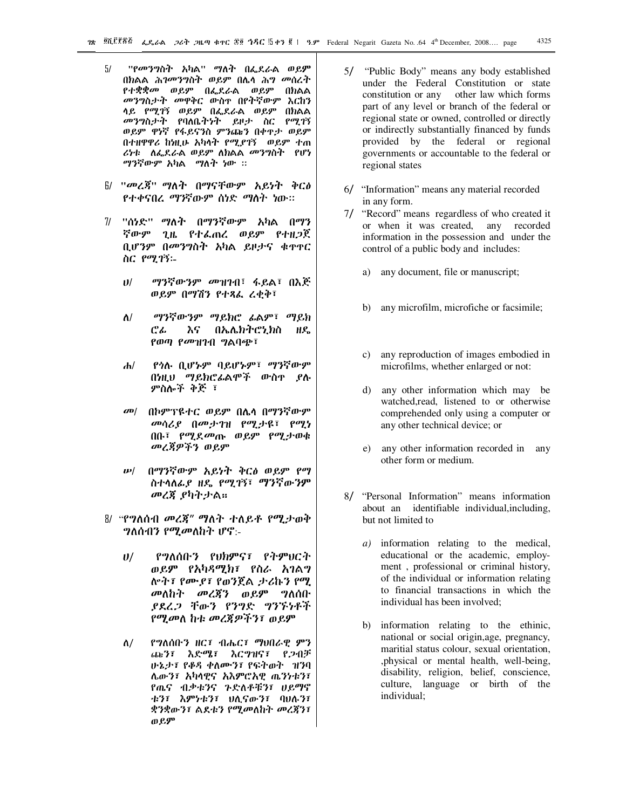- $5/$ ''የመንግስት አካል'' ማለት በፌደራል ወይም በክልል ሕ*ገመንግ*ስት ወይም በሌሳ ሕ*ግ መ*ሰረት *የተቋቋመ ወይም በፌ*ደራል ወይም በክልል መንግስታት መዋቅር ውስዋ በየትኛውም እርከን ሳይ የሚገኝ ወይም በፌደራል ወይም በክልል *መንግ*ስታት የባለቤትነት ይዞታ ስር የሚገኝ ወይም ዋነኛ የፋይናንስ ምንጩን በቀዋታ ወይም በተዘዋዋሪ ከነዚሁ አካላት የሚደገኝ ወይም ተጠ ሪነቱ ለፌደራል ወይም ለክልል መንግስት የሆነ ማንኛውም አካል ማለት ነው ፡፡
- $6$ / "መረጃ" ማለት በማናቸውም አይነት ቅርፅ የተቀናበረ ማንኛውም ሰነድ ማስት ነው።
- 7/ "ሰነድ" ማለት በማንኛውም አካል በማን ኛውም ጊዜ የተፌጠረ ወይም የተዘጋጀ ቢሆንም በመንግስት አካል ይዞታና ቁጥኖር ስር የሚገኝ፡-
	- ማንኛውንም መዝገብ፣ ፋይል፣ በእጅ  $11/$ ወይም በማሽን የተጻፌ ሬቂቅ፣
	- ማንኛውንም ማይክሮ ፊልም፣ ማይክ  $\Lambda$ / ሮፌ እና በኤሌክትሮኒክስ ዘዴ የወጣ የመዝገብ ግልባጭ፣
	- የጎሉ ቢሆኑም ባይሆኑም፣ ማንኛውም  $\mathbf{d}$ በነዚህ ማይክሮፊልሞች ውስዋ ያሉ ምስሎች ቅጅ ፣
	- $\omega$ በከምፕዩተር ወይም በሌሳ በማንኛውም መሳሪያ በመታገዝ የማታዩ፣ የማነ በቡ፣ የሚደመጡ ወይም የሚታወቁ መረጃዎችን ወይም
	- በማንኛውም አይነት ቅርፅ ወይም የማ  $\boldsymbol{\nu}$ ስተሳለፊያ ዘዴ የሚገኝ፣ ማንኛውንም መረጃ ያካትታል።
- 8/ "የግለሰብ መረጃ" ማለት ተለይቶ የሚታወቅ  $\eta$ ለሰብን የሚመለከት ሆኖ:-
	- የግለሰቡን የህክምና፣ የትምህርት  $\boldsymbol{\theta}$ / ወይም የአካዳሚክ፣ የስራ አገልግ ሎት፣ የሙያ፣ የወንጀል ታሪኩን የሚ መለከት መረጃን ወይም ግለሰቡ ያደረጋ ቸውን የንግድ ግንኙነቶች የሚመለ ከቱ መረጃዎችን፣ ወይም
	- $\Lambda/$ የግለሰቡን ዘር፣ ብሔር፣ ማህበራዊ ምን ጨን፣ እድሜ፣ እርግዝና፣ የጋብቻ ሁኔታ፤ የቆዳ ቀለሙን፤ የፍትወት ገዝባ ሌውን፣ አካላዊና አእምሮአዊ ጤንነቱን፣ የጤና ብቃቱንና ጉድለቶቹን፣ ሀይማኖ ቱን፣ እምነቱን፣ ሀሊናውን፣ ባሀሉን፣ ቋንቋውን፣ ልደቱን የሚመለከት መረጃን፣ ወይም
- 5/ "Public Body" means any body established under the Federal Constitution or state constitution or any other law which forms part of any level or branch of the federal or regional state or owned, controlled or directly or indirectly substantially financed by funds provided by the federal or regional governments or accountable to the federal or regional states
- 6/ "Information" means any material recorded in any form.
- 7/ "Record" means regardless of who created it or when it was created, any recorded information in the possession and under the control of a public body and includes:
	- a) any document, file or manuscript;
	- b) any microfilm, microfiche or facsimile;
	- c) any reproduction of images embodied in microfilms, whether enlarged or not:
	- d) any other information which may be watched, read, listened to or otherwise comprehended only using a computer or any other technical device; or
	- any other information recorded in any  $e)$ other form or medium.
- 8/ "Personal Information" means information about an identifiable individual, including, but not limited to
	- a) information relating to the medical, educational or the academic, employment, professional or criminal history, of the individual or information relating to financial transactions in which the individual has been involved:
	- b) information relating to the ethinic, national or social origin, age, pregnancy, maritial status colour, sexual orientation, , physical or mental health, well-being, disability, religion, belief, conscience, culture, language or birth of the individual;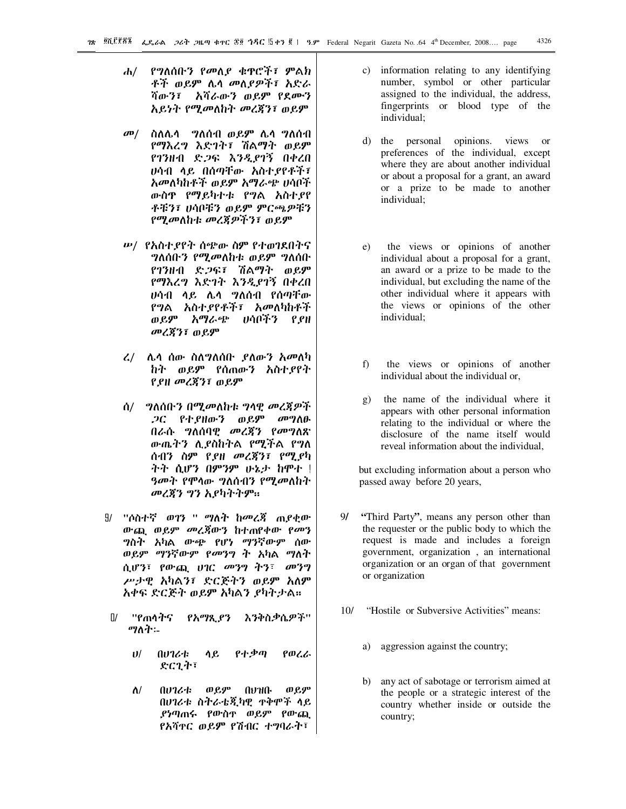- ሐ/ የግለሰቡን የመለያ ቁዋሮች፣ ምልክ ቶች ወይም ሌሳ መለያዎች፣ አድራ ሻውን፣ አሻራውን ወይም የደሙን አይነት የሚመለከት መረጃን፣ ወይም
- $\sigma$ <sup> $\sigma$ </sup> ስለሌሳ ግለሰብ ወይም ሌሳ ግለሰብ የማእረግ እድገት፣ ሽልማት ወይም የገንዘብ ድጋፍ እንዲያገኝ በቀረበ ሀሳብ ላይ በሰማቸው አስተያየቶች፣ አመለካከቶች ወይም አማራጭ ሀሳቦች ውስዋ የማይካተቱ የግል አስተያየ ቶቹን፣ ሀሳቦቹን ወይም ምርጫዎቹን የሚመለከቱ መረጀዎችን፣ ወይም
- *ሡ/ የአስተያየት ሰጭ*ው ስም የተወገደበትና *ግ*ለሰቡ*ን የሚመ*ለከቱ ወይም ግለሰቡ የገንዘብ ድ*ጋፍ፤ ሽልማት ወይም* የማእረግ እድገት እንዲያገኝ በቀረበ ሆሳብ ሳይ ሌሳ **ግለሰብ የሰ**ማቸው የግል አስተያየቶች፤ አመለካከቶች ወይም አማራጭ ሀሳቦችን የያዘ መረጃን፣ ወይም
- $\mathcal{L}/\mathcal{L}$ ሌሳ ሰው ስለግለሰቡ ያለውን አመለካ ከት ወይም የሰጠውን አስተያየት የያዘ መረጃን፣ ወይም
- ሰ/ \_ ግለሰቡን በሚመለከቱ ግላዊ መረጃዎች *ጋር የተያዘውን ወይም መግለ*ፁ በራሱ ግለሰባዊ መረጀን የመግለጽ ውጤትን ሲያስከትል የሚችል የግለ ሰብን ስም የያዘ መረጃን፣ የሚያካ ትት ሲሆን በምንም ሁኔታ ከሞተ ! *ዓመት የ*ሞሳው *ግ*ለሰብን የሚመለከት መረጀን ግን አያካትትም።
- 9/ "ሶስተኛ ወ*ገ*ን " ማለት ከመረጃ ጠ*ያ*ቂው ውጨ ወይም መረጀውን ከተጠየቀው የመን *ግ*ስት አካል ውጭ የሆነ ማንኛውም ሰው ወይም ማንኛውም የመንግ ት አካል ማለት ሲሆን፣ የውጪ ሀገር መንግ ትን፣ መንግ ሥታዊ አካልን፣ ድርጅትን ወይም አለም አቀፍ ድርጅት ወይም አካልን ያካትታል።
- $\Pi$ ''የጠሳትና የአማጺያን እንቅስቃሴዎች'' ማለት፡-
	- የተቃጣ  $\mathbf{U}$ flvフሪቴ ሳይ የወረራ ድርጊት፣
	- $\Lambda/$ **በሀገሪቱ** ወይም **AV110.** ወይም በሀገሪቱ ስትራቴጂካዊ ዋቅሞች ላይ *ያነጣ*ጠሩ የውስዋ ወይም የውጪ የአሻዋር ወይም የሽብር ተግባራት፣
- c) information relating to any identifying number, symbol or other particular assigned to the individual, the address, fingerprints or blood type of the individual;
- d) the personal opinions. views  $\alpha$ preferences of the individual, except where they are about another individual or about a proposal for a grant, an award or a prize to be made to another individual:
- the views or opinions of another  $e)$ individual about a proposal for a grant, an award or a prize to be made to the individual, but excluding the name of the other individual where it appears with the views or opinions of the other individual:
- the views or opinions of another  $f$ individual about the individual or.
- the name of the individual where it  $g)$ appears with other personal information relating to the individual or where the disclosure of the name itself would reveal information about the individual.

but excluding information about a person who passed away before 20 years,

- $9/$ "Third Party", means any person other than the requester or the public body to which the request is made and includes a foreign government, organization, an international organization or an organ of that government or organization
- $10/$ "Hostile or Subversive Activities" means:
	- a) aggression against the country;
	- b) any act of sabotage or terrorism aimed at the people or a strategic interest of the country whether inside or outside the country;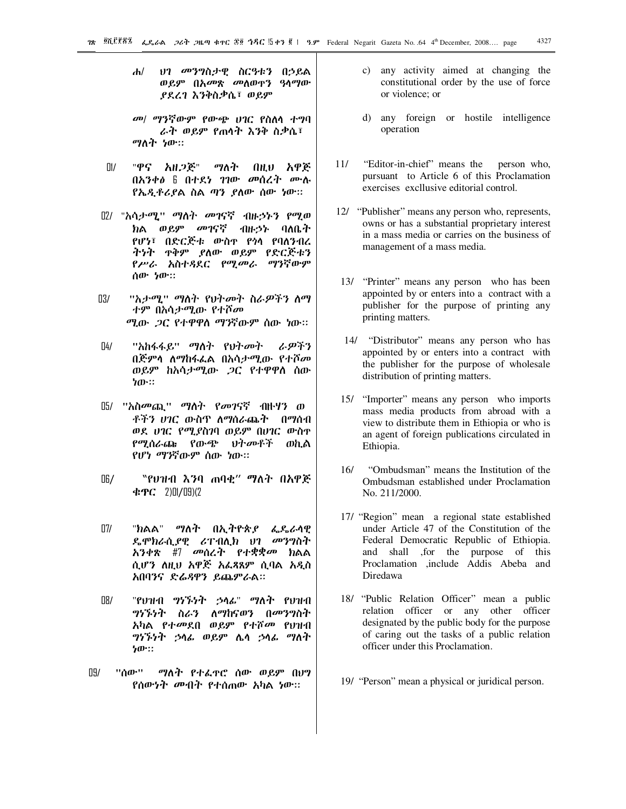- $\mathbf{d}$ *ህገ መንግ*ስታዊ ስርዓቱን በኃይል ወይም በአ*መ*ጽ *መ*ለወዋን ዓላማው ያደረገ እንቅስቃሴ፣ ወይም
- መ/ ማንኛውም የውጭ ሀገር የስለሳ ተግባ ራት ወይም የጠሳት እንቅ ስቃሴ፣ ማለት ነው።
- "ዋና አዘ*ጋ*ጅ"  $\Box$ ማለት በዚህ አዋጅ በአንቀፅ 6 በተደነ ገገው መሰረት ሙሉ የኤዲቶሪያል ስል ጣን ያለው ሰው ነው።
- 02/ "አሳታሚ" ማስት *መገ*ናኛ ብዙኃኑን የሚወ ክል ወይም *መገ*ናኛ イルトラン りんんふ የሆነ፣ በድርጅቱ ውስዋ የጎሳ የባለንብረ ትነት ተቅም ያለው ወይም የድርጅቱን የሥራ አስተጻደር የሚመራ ማንኛውም ሰው ነው።
- 03/ "አታሚ" ማስት የህትመት ስራዎችን ስማ ተም በአሳ*ታሚ*ው የተሾ*መ* ሚው *ጋ*ር የተዋዋስ ማንኛውም ሰው ነው።
- $\sqrt{4}$ ''አከፋፋይ'' *ማ*ስት የህት*መ*ት ふの予う በጅምሳ ለማከፋፌል በአሳ*ታሚ*ው የተሾ*መ* ወይም ከአሳታሚው *ጋ*ር የተዋዋስ ሰው ነው።
- 05/ "አስመጪ" ማለት የመገናኛ ብዙሃን ወ ቶችን ሀገር ውስጥ ለማሰራጨት በማሰብ ወደ ሀገር የሚያስገባ ወይም በሀገር ውስተ የሚሰራጬ የውጭ ህትመቶች ወኪል የሆነ ማንኛውም ሰው ነው።
- "የህዝብ እንባ ጠባቂ" ማለት በአዋጅ O6/  $\angle$  **PC** 2) [1/19] (2
- $\Pi$ "ክልል" *ማ*ለት በኢትዮጵያ ፌዴራሳዊ ዴሞክራሲያዊ ሪፐብሊክ ህገ *መ*ንግስት ሲሆን ለዚህ አዋጅ አፌጻጸም ሲባል አዲስ አበባንና ድሬዳዋን ይጨምራል።
- $\overline{R}$ "የህዝብ ግንኙነት ኃሳፊ" ማለት የህዝብ *ግነኙነት ስራን ለማከ*ናወን በ*መንግ*ስት አካል የተመደበ ወይም የተሾመ የህዝብ *ግነኙነት ኃ*ላፊ ወይም ሌላ *ኃ*ላፊ *ግ*ለት ነው።
- ማለት የተፌዮሮ ሰው ወይም በህግ 09/ ''ሰው'' የሰውነት መብት የተሰጠው አካል ነው።
- c) any activity aimed at changing the constitutional order by the use of force or violence: or
- d) any foreign or hostile intelligence operation
- $11/$ "Editor-in-chief" means the person who, pursuant to Article 6 of this Proclamation exercises excllusive editorial control.
- 12/ "Publisher" means any person who, represents, owns or has a substantial proprietary interest in a mass media or carries on the business of management of a mass media.
- 13/ "Printer" means any person who has been appointed by or enters into a contract with a publisher for the purpose of printing any printing matters.
- 14/ "Distributor" means any person who has appointed by or enters into a contract with the publisher for the purpose of wholesale distribution of printing matters.
- 15/ "Importer" means any person who imports mass media products from abroad with a view to distribute them in Ethiopia or who is an agent of foreign publications circulated in Ethiopia.
- $16/$ "Ombudsman" means the Institution of the Ombudsman established under Proclamation No. 211/2000.
- 17/ "Region" mean a regional state established under Article 47 of the Constitution of the Federal Democratic Republic of Ethiopia. and shall , for the purpose of this Proclamation .include Addis Abeba and Diredawa
- 18/ "Public Relation Officer" mean a public relation officer or any other officer designated by the public body for the purpose of caring out the tasks of a public relation officer under this Proclamation.
- 19/ "Person" mean a physical or juridical person.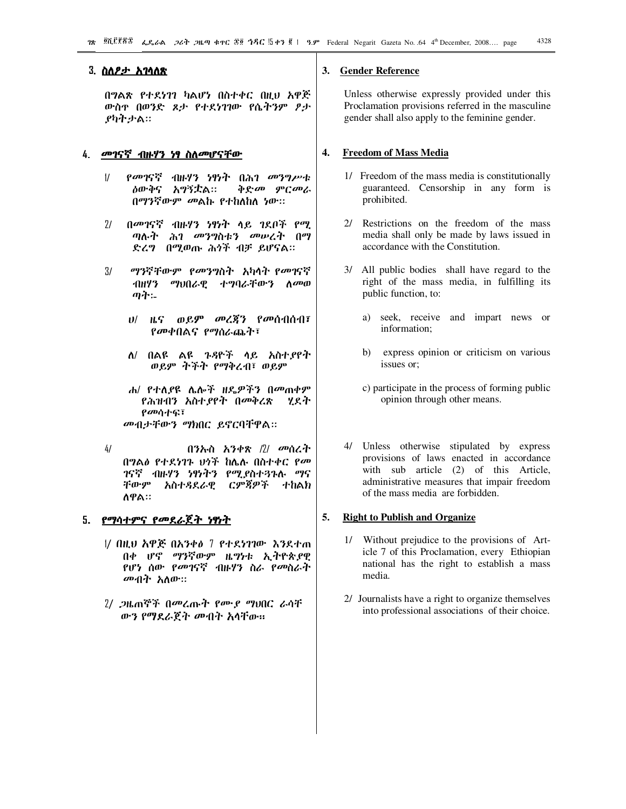### 3. <u>ስለ*ፆታ* አገላለጽ</u>

በግልጽ የተደነገገ ካልሆነ በስተቀር በዚህ አዋጅ ውስዋ በወንድ ጾታ የተደነገገው የሴትንም ፆታ ያካትታል።

#### 4 <u>መገናኛ ብዙሃን ነፃ ስለመሆናቸው</u>

- $\frac{1}{2}$ *የመገ*ናኛ ብዙሃን ነፃነት በሕገ *መንግሥ*ቱ ልውቅና አማኝቷል። ቅድመ ምርመራ በማንኛውም መልኩ የተከለከለ ነው።
- በመገናኛ ብዙሃን ነፃነት ላይ ገደቦች የሚ  $71$ ጣሉት ሕገ መንግስቱን መሠረት በማ ድረግ በሚወጡ ሕጎች ብቻ ይሆናል።
- ማንኛቸውም የመንግስት አካላት የመገናኛ  $3/$ *ግ*ህበራዊ ተግባራቸውን ለመወ イルリク ጣት፡-
	- $U$   $B$   $C$   $D$  $B$  $D$   $D$   $D$  $C$  $D$  $T$   $C$  $D$  $D$  $D$  $D$  $T$  $T$ የመቀበልና የማሰራጨት፣
	- ለ/ በልዩ ልዩ ጉዳዮች ላይ አስተያየት ወይም ትችት የማቅረብ፣ ወይም
	- ሐ/ የተለያዩ ሌሎች ዘዴዎችን በመጠቀም የሕዝብን አስተያየት በመቅረጽ ሂደት የመሳተፍ፣ መብታቸውን ማክበር ይኖርባቸዋል።
- $4/$ በንኡስ አንቀጽ /2/ መሰረት በግልፅ የተደነገጉ ህጎች ከሌሉ በስተቀር የመ ገናኛ ብዙሃን ነፃነትን የሚያስተጓጉሉ ማና ርምጃዎች ተከልክ ቸውም አስተዳደራዊ ለዋል።

### 5. <u>የማሳተምና የመደራጀት ነፃነት</u>

- 1/ በዚህ አዋጅ በአንቀል 7 የተደነገገው እንደተጠ በቀ ሆኖ ማንኛውም ዜግነቱ ኢትዮጵያዊ የሆነ ሰው *የመገ*ናኛ ብዙሃን ስራ የመስራት *መብት አ*ስው።
- 2/ ጋዜጠኞች በመረጡት የሙያ ማህበር ራሳቸ ውን የማደራጀት መብት አሳቸው።

#### **Gender Reference** 3.

Unless otherwise expressly provided under this Proclamation provisions referred in the masculine gender shall also apply to the feminine gender.

#### $\overline{4}$ . **Freedom of Mass Media**

- 1/ Freedom of the mass media is constitutionally guaranteed. Censorship in any form is prohibited.
- 2/ Restrictions on the freedom of the mass media shall only be made by laws issued in accordance with the Constitution.
- 3/ All public bodies shall have regard to the right of the mass media, in fulfilling its public function, to:
	- a) seek, receive and impart news or information;
	- b) express opinion or criticism on various issues or:
	- c) participate in the process of forming public opinion through other means.
- 4/ Unless otherwise stipulated by express provisions of laws enacted in accordance with sub article (2) of this Article, administrative measures that impair freedom of the mass media are forbidden.

#### 5. **Right to Publish and Organize**

- 1/ Without prejudice to the provisions of Article 7 of this Proclamation, every Ethiopian national has the right to establish a mass media.
- 2/ Journalists have a right to organize themselves into professional associations of their choice.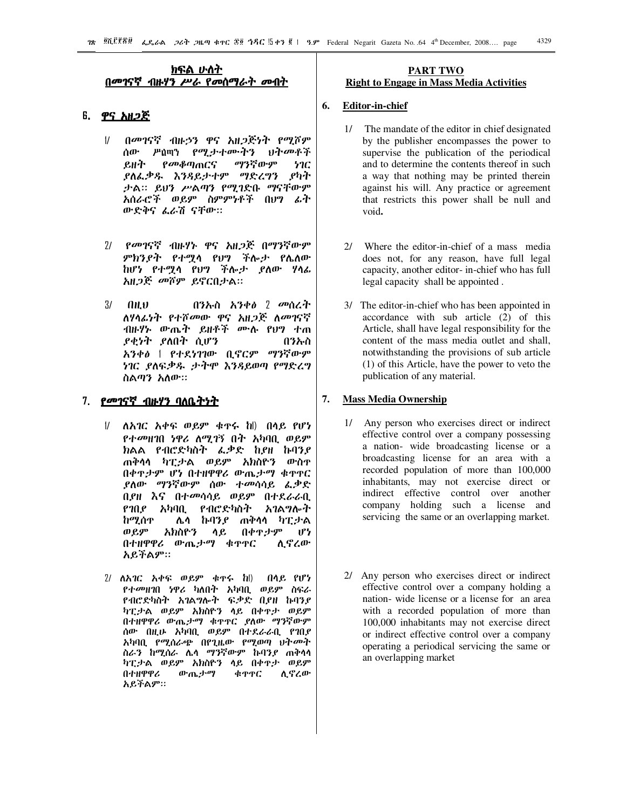### <u>ክፍል ሁስት</u> በመገናኛ ብዙሃን ሥራ የመሰማራት መብት

### 6. <u>ዋና አዘ*ጋ*ጅ</u>

- $\frac{1}{2}$ በመገናኛ ብዙኃን ዋና አዘጋጅነት የሚሾም ሰው *የሚታተ*ሙትን りすのパネ  $\mu$ ስጢን ይዘት የመቆጣጠርና ማንኛውም ነገር ያለፌቃዱ እንዳይታተም ማድረግን ያካት ታል። ይሆን ሥልጣን የሚገድቡ ማናቸውም አሰራሮች ወይም ስምምነቶች በሀግ ፊት ውድቅና ፌራሽ ናቸው።
- $71$ *የመገ*ናኛ ብዙሃኑ ዋና አዘ*ጋጅ* በማንኛውም ምክንያት የተሟሳ የህግ ችሎታ የሌለው ከሆነ የተማሳ የህግ ችሎታ ያለው ሃሳፊ አዘ*ጋጅ መ*ሾም ይኖርበታል።
- በንኡስ አንቀ $\theta$  2 መሰረት  $\overline{3}l$  $0<sub>H</sub>$ ለሃላፊነት የተሾመው ዋና አዘ*ጋ*ጅ ለመገናኛ ብዙሃኑ ውጤት ይዘቶች ሙሉ የ**ሆ**ን ተጠ *ያቂነት ያ*ለበት ሲሆን በንኡስ አንቀፅ | የተደነገገው ቢኖርም ማንኛውም ነገር ያለፍቃዱ ታትሞ እንዳይወጣ የማድረግ ስልጣን አለው።

### 7. የመገናኛ ብዙሃን ባለቤትነት

- ለአገር አቀፍ ወይም ቁዋሩ ከ በላይ የሆነ  $\frac{1}{2}$ *የተመ*ዘገበ *ነዋሪ ለሚገኝ* በት አካባቢ ወይም ክልል የብሮድካስት ፌቃድ ከያዘ ኩባንያ ጠቅሳሳ ካፒታል ወይም አክስዮን ውስዋ በቀዋታም ሆነ በተዘዋዋሪ ውጤታማ ቁዋዋር ያለው *ማን*ኛውም ሰው ተመሳሳይ ፌቃድ በያዘ እና በተመሳሳይ ወይም በተደራራቢ የገበደ አካባቢ የብሮድካስት አገልግሎት ከሚሰጥ ሌሳ ኩባንያ ጠቅሳሳ ካፒታል ወይም አክስዮን ሳይ በቀዋታም  $\mathbf{P}$ በተዘዋዋሪ ውጤታማ ቁዋዋር ሊኖረው አይችልም።
- $2/$  ለአገር አቀፍ ወይም ቁጥሩ ከ $\parallel$ በላይ የሆነ የተመዘገበ ነዋሪ ካለበት አካባቢ ወይም ስፍራ የብሮድካስት አገልግሎት ፍቃድ ቢያዘ ኩባንያ ካፒታል ወይም አክስዮን ሳይ በቀዋታ ወይም በተዘዋዋሪ ውጤታማ ቁዋዋር ያለው ማንኛውም ሰው በዚሁ አካባቢ ወይም በተደራራቢ የገበደ አካባቢ የሚሰራጭ በየጊዜው የሚወጣ ህትመት ስራን ከሚሰራ ሌሳ ማንኛውም ኩባንያ ጠቅሳሳ ካፒታል ወይም አክስዮን ላይ በቀዋታ ወይም በተዘዋዋሪ ውጤታማ ቁዋዋር ሊኖረው አይችልም።

### **PART TWO Right to Engage in Mass Media Activities**

#### 6. **Editor-in-chief**

- 1/ The mandate of the editor in chief designated by the publisher encompasses the power to supervise the publication of the periodical and to determine the contents thereof in such a way that nothing may be printed therein against his will. Any practice or agreement that restricts this power shall be null and void.
- Where the editor-in-chief of a mass media  $21$ does not, for any reason, have full legal capacity, another editor- in-chief who has full legal capacity shall be appointed.
- 3/ The editor-in-chief who has been appointed in accordance with sub article (2) of this Article, shall have legal responsibility for the content of the mass media outlet and shall, notwithstanding the provisions of sub article (1) of this Article, have the power to veto the publication of any material.

#### 7. **Mass Media Ownership**

- 1/ Any person who exercises direct or indirect effective control over a company possessing a nation- wide broadcasting license or a broadcasting license for an area with a recorded population of more than 100,000 inhabitants, may not exercise direct or indirect effective control over another company holding such a license and servicing the same or an overlapping market.
- 2/ Any person who exercises direct or indirect effective control over a company holding a nation-wide license or a license for an area with a recorded population of more than 100,000 inhabitants may not exercise direct or indirect effective control over a company operating a periodical servicing the same or an overlapping market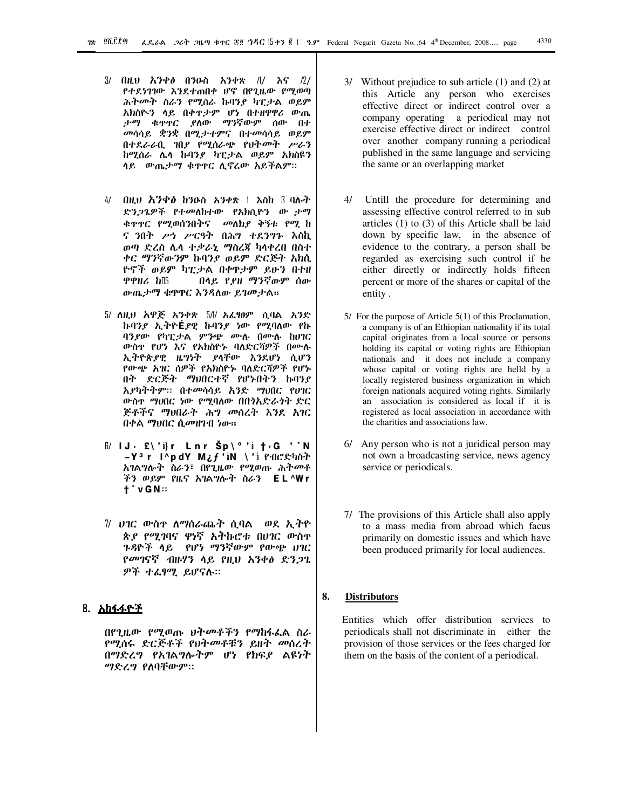- በዚህ አንቀፅ በንዑስ አንቀጽ /// እና /2/  $3/$ የተደነገገው እንደተጠበቀ ሆኖ በየጊዜው የሚወጣ ሕትመት ስራን የሚሰራ ከባንያ ካፒታል ወይም አክስዮ፡ን ሳይ በቀዋታም ሆነ በተዘዋዋሪ ውጤ *ያ*ለው *ማን*ኛውም ሰው በተ ታማ ቁዋዋር መሳሳይ ቋንቋ በሚታተምና በተመሳሳይ ወይም በተደራራቢ ገበያ የሚሰራጭ የህትመት ሥራን ከሚሰራ ሌሳ ከብንያ ካፒታል ወይም አክስዩን ሳይ ውጤታማ ቁዋዋር ሲኖረው አይችልም።
- $41$ በዚህ እንቀፅ ከንዑስ አንቀጽ | እስከ 3 ባሉት ድንጋጌዎች የተመለከተው የአክሲዮን ው ታማ ቁዋዋር የሚወሰንበትና መለክያ ቅኝቱ የሚ ከ ና ንበት ሥነ ሥርዓት በሕግ ተደንግኑ እስኪ ወጣ ድረስ ሌላ ተቃራኒ ማስረጃ ካላቀረበ በስተ ቀር ማንኛውንም ኩባንያ ወይም ድርጅት አክሲ ዮኖች ወይም ካፒታል በቀዋታም ይሁን በተዘ በላይ የያዘ ማንኛውም ሰው ዋዋዘሪ ከ15 ውጤታማ ቁዋዋር እንዳለው ይገመታል።
- 5/ ለዚህ አዋጅ አንቀጽ 5/l/ አፌፃፀም ሲባል አንድ ኩባንያ ኢትዮÉያዊ ኩባንያ ነው የሚባለው የኩ ባንያው የካፒታል ምንጭ ሙሉ በሙሉ ከሀገር ውስዋ የሆነ እና የአክስዮኑ ባለድርሻዎች በሙሉ ኢትዮጵያዊ ዜግነት ያሳቸው እንደሆነ ሲሆን የውጭ አገር ሰዎች የአክስዮኑ ባለድርሻዎች የሆኑ በት ድርጅት ማህበርተኛ የሆኑበትን ኩባንዖ አያካትትም። በተመሳሳይ አንድ ማህበር የሀገር ውስዯ ማሀበር ነው የሚባለው በበጎአድራጎት ድር ጅቶችና ማህበራት ሕግ መሰረት እንደ አገር በቀል ማህበር ሲመዘገብ ነው።
- $\mathbb{B}'$  IJ  $\cdot$  £\' $i$ }r Lnr Šp\°' $i$  †  $\cdot$  G  $'$  N  $-Y<sup>3</sup>$ r l^pdY M¿f'iN \'i PAC&hirt አገልግሎት ስራን፣ በየጊዜው የሚወጡ ሕትመቶ ችን ወይም የዜና አገልግሎት ስራን EL^Wr  $\dagger$  vGN:
- 7/ ሀገር ውስዋ ለማሰራጨት ሲባል ወደ ኢትዮ ጵደ የሚገባና ዋነኛ አትኩሮቱ በሀገር ውስዮ ጉዳዮች ላይ የሆነ ማንኛውም የውጭ ሀገር የመገናኛ ብዙሃን ላይ የዚህ አንቀፅ ድንጋጌ ዎች ተፈፃሚ ይሆናሉ።

### 8. አከፋፋ<u>ዮች</u>

በየጊዜው የሚወጡ ህትመቶችን የማከፋፌል ስራ *የሚ*ሰሩ ድርጅቶች የህት*መ*ቶቹን ይዘት መሰረት በማድረግ የአገልግሎትም ሆነ የክፍያ ልዩነት ማድረግ የለባቸውም።

- 3/ Without prejudice to sub article (1) and (2) at this Article any person who exercises effective direct or indirect control over a company operating a periodical may not exercise effective direct or indirect control over another company running a periodical published in the same language and servicing the same or an overlapping market
- 4/ Untill the procedure for determining and assessing effective control referred to in sub articles  $(1)$  to  $(3)$  of this Article shall be laid down by specific law, in the absence of evidence to the contrary, a person shall be regarded as exercising such control if he either directly or indirectly holds fifteen percent or more of the shares or capital of the entity.
- $5/$  For the purpose of Article  $5(1)$  of this Proclamation, a company is of an Ethiopian nationality if its total capital originates from a local source or persons holding its capital or voting rights are Ethiopian nationals and it does not include a company whose capital or voting rights are helld by a locally registered business organization in which foreign nationals acquired voting rights. Similarly an association is considered as local if it is registered as local association in accordance with the charities and associations law.
- 6/ Any person who is not a juridical person may not own a broadcasting service, news agency service or periodicals.
- 7/ The provisions of this Article shall also apply to a mass media from abroad which facus primarily on domestic issues and which have been produced primarily for local audiences.

#### 8. **Distributors**

Entities which offer distribution services to periodicals shall not discriminate in either the provision of those services or the fees charged for them on the basis of the content of a periodical.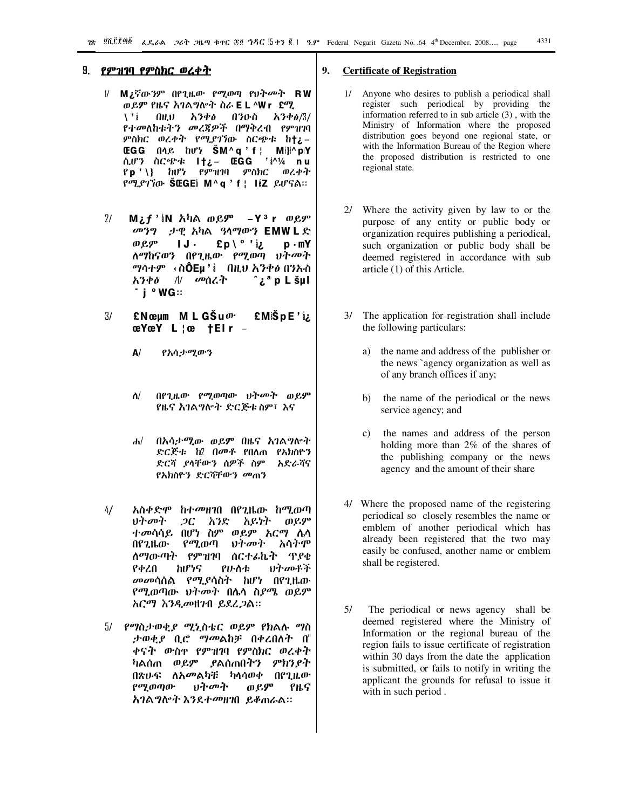### <u>9. የምዝገባ የምስክር ወረቀት</u>

- $\mathcal{U}$ M¿ኛውንም በየጊዜው የሚወጣ የህትመት RW ወይም የዜና አገልግሎት ስራ E L ^Wr £ሚ  $0<sub>h</sub>$ አንቀፅ በንዑስ \ ' i አንቀ*ፅ*/3/ የተመለከቱትን መረጃዎች በማቅረብ የምዝገባ ምስክር ወረቀት የሚያገኘው ስርጭቱ ከ†¿-**EGG** በሳይ ከሆነ **SM**^q'f | Mi}i^pY  $\frac{1}{2}$   $\frac{1}{4}$  nu ሲሆን ስርጭቱ **I†¿- ŒGG**  $P$  p ' \} ከሆነ የምዝገባ ምስክር ወረቀት የሚያገኘው ŠŒGEi M^q ' f ¦ liz ይሆናል።
- $21$ M¿ƒ 'iN አካል ወይም  $-Y^3$  r ወይም መንግ . ታዊ አካል ዓላማውን EMW L ድ ¿i ' ° \ £p ወይም  $1J \cdot$  $p \cdot mY$ ለማከናወን በየጊዜው የሚወጣ ህትመት *ግ*ሳተም ‹ስÔEµ' $\frac{1}{2}$  በዚህ አንቀ*ፅ* በንኡስ */\/ መ*ሰረት አንቀፅ ρL šμl j ° WG::
- $3/$  $£$ Nϵm MLGŠu $\omega$ · £MiŠpE'iz  $æYæY L \nvert \n\mathbf{e} + EI r -$ 
	- A/ የአሳታሚውን
	- $\Delta$ / በየጊዜው የሚወጣው ህትመት ወይም የዜና አገልግሎት ድርጅቱ ስም፣ እና
	- በአሳታሚው ወይም በዜና አገልግሎት  $\mathbf{d}$ ድርጅቱ ከ2 በመቶ የበለጠ የአክስዮን ድርሻ ያሳቸውን ሰዎች ስም አድራሻና *የአክ*ስዮን ድርሻቸውን መጠን
- $4/$ አስቀድሞ ከተመዘገበ በየጊዜው ከሚወጣ ህ*ት* መት  $2C$ አይነት አንድ ወይም *ተመ*ሳሳይ በሆነ ስም ወይም *አርግ* ሴሳ አሳትም በየጊዜው የሚወጣ ひすのす <u>ለማውጣት የምዝገባ ሰርተፊኬት ጥያቄ</u> የቀረበ ከሆነና የሁስቱ ひとのよそ *መመ*ሳሰል የሚያሳስት ከሆነ በየጊዜው የሚወጣው ህት*መ*ት በሴሳ ስ*ያሜ* ወይም አርማ እንዲመዘንብ ይደረ*ጋ*ል።
- 5/ የማስታወቂያ ሚኒስቴር ወይም የክልሉ ማስ ታወቂያ ቢሮ *ግመ*ልከቻ በቀረበለት በ" ቀናት ውስኖ የምዝገባ የምስክር ወረቀት ካልሰጠ ወይም ያልሰጠበትን ምክንያት በጽሁፍ ለአመልካቹ ካሳሳወቀ በየጊዜው ወይም **የሚወ**ጣው ህትመት የዜና **አገልግሎት እንደተመዘገበ ይቆጠራል።**

#### 9. **Certificate of Registration**

- Anyone who desires to publish a periodical shall  $1/\sqrt{2}$ register such periodical by providing the information referred to in sub article  $(3)$ , with the Ministry of Information where the proposed distribution goes beyond one regional state, or with the Information Bureau of the Region where the proposed distribution is restricted to one regional state.
- 2/ Where the activity given by law to or the purpose of any entity or public body or organization requires publishing a periodical, such organization or public body shall be deemed registered in accordance with sub article (1) of this Article.
- 3/ The application for registration shall include the following particulars:
	- the name and address of the publisher or a) the news `agency organization as well as of any branch offices if any;
	- the name of the periodical or the news  $b)$ service agency; and
	- $c)$ the names and address of the person holding more than  $2\%$  of the shares of the publishing company or the news agency and the amount of their share
- 4/ Where the proposed name of the registering periodical so closely resembles the name or emblem of another periodical which has already been registered that the two may easily be confused, another name or emblem shall be registered.
- $5/$ The periodical or news agency shall be deemed registered where the Ministry of Information or the regional bureau of the region fails to issue certificate of registration within 30 days from the date the application is submitted, or fails to notify in writing the applicant the grounds for refusal to issue it with in such period.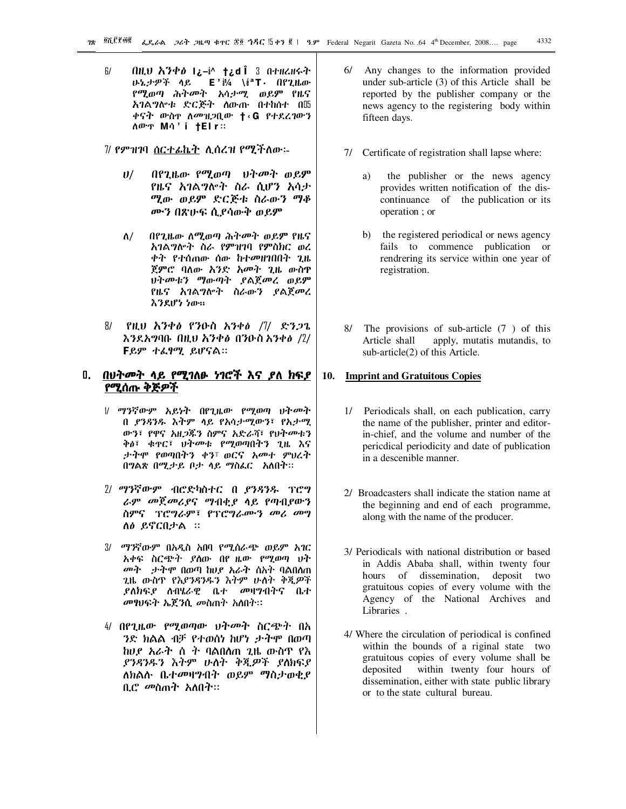$F/$ ብዚህ አንቀፅ I¿–ቅ^ †¿dÎ ଃ በተዘረዘሩት ሁኔታዎች ሳይ E'∛⁄4 ∖éªT⋅ Ոየጊዜው የሚወጣ ሕትመት አሳ*ታሚ* ወይም የዜና አገልግሎቱ ድርጅት ለውጡ በተከሰተ በ‼ ቀናት ውስ**ኖ ለ***መዝጋ***ቢው †‹**G የተደረገውን *NO<sup>.</sup>T* MA'i **|Elr** ::

7/ የምዝገባ <u>ስርተፊኬት</u> ሊሰረዝ የሚችለው፡-

- በየጊዜው የሚወጣ ህትመት ወይም  $U$ / የዜና አገልግሎት ስራ ሲሆን አሳታ ሚው ወይም ድርጅቱ ስራውን ማቆ ሙን በጽሁፍ ሲያሳውቅ ወይም
- በየጊዜው ለሚወጣ ሕትመት ወይም የዜና ለ/ አገልግሎት ስራ የምዝገባ የምስክር ወረ ቀት የተሰጠው ሰው ከተመዘገበበት ጊዜ ጀምሮ ባለው አንድ አመት ጊዜ ውስዋ ህትመቱን ማውጣት ያልጀመረ ወይም የዜና አገልግሎት ስራውን ያልጀመረ እንደሆነ ነው።
- 87 \_የዚህ አንቀ*ፅ የን*ዑስ አንቀ*ፅ |ገ*/\_\_ድን*ጋ*ጌ እንደአግባቡ በዚህ አንቀፅ በንዑስ አንቀፅ /2/ Fይም ተሬፃሚ ይሆናል።

### <u>በ. በህትመት ላይ የሚገለፁ ነገሮች እና ያለ ክፍያ</u> የሚሰጡ ቅጅዎች

- // ማንኛውም አይነት በየጊዜው የሚወጣ ህትመት በ *ያንጻንዱ* እትም ላይ የአሳታሚውን፣ የአታሚ ውን፣ የዋና አዘ*ጋ*ጁን ስምና አድራሻ፣ የህትመቱን ቅፅ፣ ቁ**ዋር፣ ህት**መቱ የሚወጣበትን ጊዜ እና ታትሞ የወጣበትን ቀን፣ ወርና አመተ ምህረት በግልጽ በሚታይ ቦታ ላይ ማስፌር አለበት።
- 2/ ማንኛውም ብሮድካስተር በ ያንዳንዱ ፕሮግ ራም መጀመሪያና ማብቂያ ላይ የጣብያውን ስምና ፕሮግራም፣ የፕሮግራሙን መሪ መግ ለፅ ይኖርበታል ።
- 3/ ማንኛውም በአዲስ አበባ የሚሰራጭ ወይም አገር አቀፍ ስርጭት ያለው በየ ዜው የሚወጣ ህት መት ታትሞ በወጣ ከሀይ አራት ስአት ባልበለጠ ጊዜ ውስዋ የእያንዳንዱን እትም ሁለት ቅጂዎች *ያ*ለክፍ*ያ* ለብሄራዊ ቤተ *መ*ዛግብትና ቤተ መፃህፍት ኤጀንሲ መስጠት አስበት።
- 4/ በየጊዜው የሚወጣው ህት*መ*ት ስርጭት በአ *ን*ድ ክልል ብቻ የተወሰነ ከሆነ *ታ*ትሞ በወጣ ከሀያ አራት ስ ት ባልበለጠ ጊዜ ውስጥ የእ ያንዳንዱን እትም ሁለት ቅጂዎች ያለክፍያ ለክልሉ ቤተመዛግብት ወይም ማስታወቂያ ቢሮ መስጠት አለበት።
- 6/ Any changes to the information provided under sub-article (3) of this Article shall be reported by the publisher company or the news agency to the registering body within fifteen days.
- 7/ Certificate of registration shall lapse where:
	- the publisher or the news agency a) provides written notification of the discontinuance of the publication or its operation ; or
	- b) the registered periodical or news agency fails to commence publication or rendrering its service within one year of registration.
- 8/ The provisions of sub-article (7) of this apply, mutatis mutandis, to Article shall sub-article(2) of this Article.

#### **Imprint and Gratuitous Copies** 10.

- 1/ Periodicals shall, on each publication, carry the name of the publisher, printer and editorin-chief, and the volume and number of the periodical periodicity and date of publication in a descenible manner.
- 2/ Broadcasters shall indicate the station name at the beginning and end of each programme, along with the name of the producer.
- 3/ Periodicals with national distribution or based in Addis Ababa shall, within twenty four hours of dissemination, deposit two gratuitous copies of every volume with the Agency of the National Archives and Libraries.
- 4/ Where the circulation of periodical is confined within the bounds of a riginal state two gratuitous copies of every volume shall be deposited within twenty four hours of dissemination, either with state public library or to the state cultural bureau.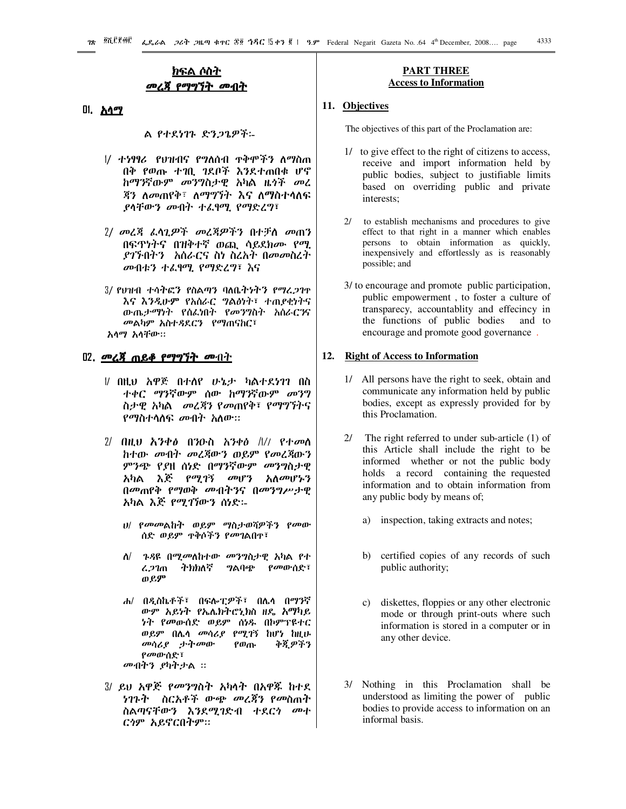### <u>ክፍል ሶስት</u> መረጀ የማግኘት መብት

### <u>በ. አላሚ</u>

ል የተደነገጉ ድንጋጌዎች፡-

- 1/ ተነፃፃሪ የህዝብና የግለሰብ ዋቅሞችን ለማስጠ በቅ የወጡ ተገቢ ገደቦች እንደተጠበቁ ሆኖ ከማንኛውም መንግስታዊ አካል ዜጎች መረ *ጃን ስመጠየቅ፣ ስማግኘት እና ስማስተሳ*ስፍ ያሳቸውን መብት ተፈፃሚ የማድረግ፣
- 2/ መረጃ ፌሳጊዎች መረጃዎችን በተቻለ መጠን በፍጥነትና በዝቅተኛ ወጪ ሳይደክሙ የሚ *ያገኙ*በትን እስራርና ስነ ስረአተ በመመስረተ መብቱን ተፈፃሚ የማድረግ፣ እና
- 3/ የህዝብ ተሳትፎን የስልጣን ባለቤትነትን የማረጋገዮ እና እንዲሁም የአስራር ግልፅነት፣ ተጠያቂነትና ውጤታማነት የሰፌነበት የመንግስት አሰራርንና መልካም አስተዳደርን የማጠናከር፣ አሳማ አሳቸው።

### <u>02. መረጃ ጠይቆ የማግኘት መብተ</u>

- # በዚህ አዋጅ በተሰየ ሁኔታ ካልተደነገገ በስ ተቀር ማንኛውም ሰው ከማንኛውም መንግ ስታዊ አካል *መ*ረጃን የመጠየቅ፣ የማግኘትና *የማ*ስተሳስፍ *መ*ብት አለው።
- $2/$  በዚህ እንቀፅ በንዑስ አንቀፅ  $\frac{1}{2}$  የተመሰ ከተው መብት መረጃውን ወይም የመረጃውን *ምንጭ የያ*ዘ ሰነድ በማንኛውም *መ*ንግስታዊ አካል እጅ የሚገኝ መሆን አለመሆኑን በመጠየቅ የማወቅ መብትንና በመንግሥታዊ አካል እጅ የሚገኘውን ሰነድ፡-
	- ሀ/ የመመልከት ወይም ማስታወሻዎችን የመው
	- ለ/ ጉዳዩ በሚመለከተው መንግስታዊ አካል የተ *ትክክ*ለኛ *ግ*ልባጭ የመውሰድ፣ ረጋገጠ ወይም
	- ሐ/ በዲስኬቶች፣ በፍሎፒዎች፣ በሌሳ በማንኛ ውም አይነት የኤሌክትሮኒክስ ዘዴ አማካይ ነት የመውሰድ ወይም ሰነዱ በኮምፕዩተር ወይም በሌሳ መሳሪያ የሚገኝ ከሆነ ከዚሁ መሳሪያ ታትመው የወጡ ቅጂዎችን የመውሰድ፣ መብትን ያካትታል ፡፡
- 3/ ይህ አዋጅ *የመንግ*ስት አካሳት በአዋጁ ከተደ *ነገጉት ስርአቶች ውጭ መረጃን የመ*ስጠት ስልጣናቸውን እንደሚገድብ ተደር*ጎ ሙ*ተ ርጎም አይኖርበትም።

### **PART THREE Access to Information**

### 11. Objectives

The objectives of this part of the Proclamation are:

- 1/ to give effect to the right of citizens to access, receive and import information held by public bodies, subject to justifiable limits based on overriding public and private interests:
- $2/$ to establish mechanisms and procedures to give effect to that right in a manner which enables persons to obtain information as quickly, inexpensively and effortlessly as is reasonably possible; and
- 3/ to encourage and promote public participation, public empowerment, to foster a culture of transparecy, accountablity and effecincy in the functions of public bodies and to encourage and promote good governance.

### 12. Right of Access to Information

- 1/ All persons have the right to seek, obtain and communicate any information held by public bodies, except as expressly provided for by this Proclamation.
- 2/ The right referred to under sub-article  $(1)$  of this Article shall include the right to be informed whether or not the public body holds a record containing the requested information and to obtain information from any public body by means of;
	- a) inspection, taking extracts and notes;
	- b) certified copies of any records of such public authority;
	- diskettes, floppies or any other electronic  $c)$ mode or through print-outs where such information is stored in a computer or in any other device.
- 3/ Nothing in this Proclamation shall be understood as limiting the power of public bodies to provide access to information on an informal basis.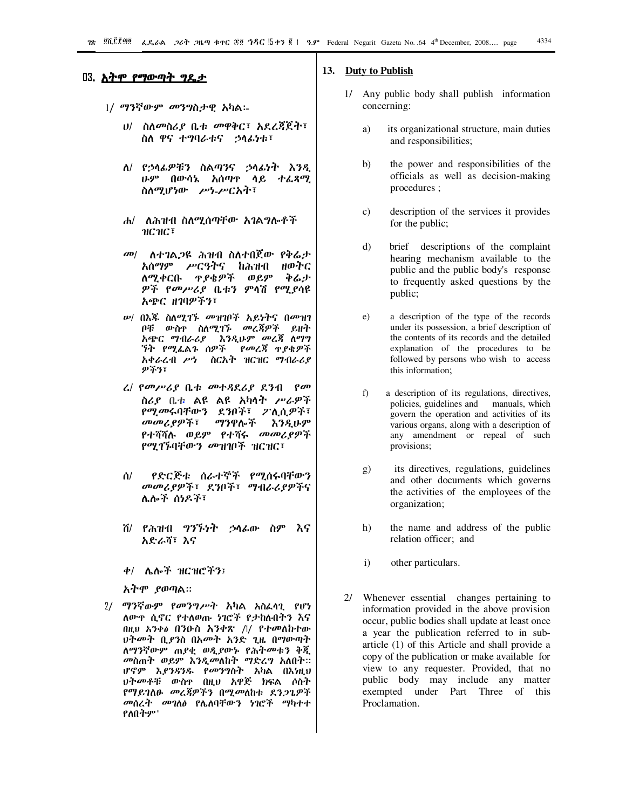### <u>በ3. አትሞ የማውጣት ግዴታ</u>

- 1/ ማንኛውም መንግስታዊ አካል፡-
	- *ህ/ ስለመስሪያ* ቤቱ መዋቅር፣ አደረጃጀት፣ ስለ ዋና ተግባራቱና ኃሳፊነቱ፣
	- ለ/ የኃሳፊዎቹን ስልጣንና ኃሳፊነት እንዲ ሁም በውሳኔ አሰጣዋ ሳይ ተፈጻሚ ስለሚሆነው ሥነ-ሥርአት፣
	- ሐ/ ለሕዝብ ስለሚሰጣቸው አገልግሎቶች ๚Ⴚ๚Ⴚ፣
	- *መ| ለተገ*ል*ጋ*ዩ ሕዝብ ስለተበጀው የቅሬታ አሰማም ሥርዓትና ከሕዝብ ዘወትር ለሚቀርቡ ዋያቄዎች ወይም やんナ *ዎች የመሥሪያ* ቤቱን ምሳሽ የሚያሳዩ አጭር ዘገባዎችን፣
	- *ሡ*/ በእጁ ስለሚገኙ *መ*ዝገቦች አይነትና በመዝገ ቦቹ ውስዋ ስለሚገኙ መረጃዎች ይዘት አጭር ማብራሪያ እንዲሁም መረጃ ለማግ *ኘት የሚ*ፌልጉ ሰዎች የመረጃ ተያቄዎች አቀራረብ ሥነ ስርአት ዝርዝር ማብራሪያ ዎችን፣
	- ረ/ የመሥሪያ ቤቱ መተዳደሪያ ደንብ የመ ስሪያ ቤቱ ልዩ ልዩ አካላት ሥራዎች የሚመሩባቸውን ደንቦች፣ ፖሊሲዎች፣ መመሪያዎች፣ ማንዋሎች えろえいダ የተሻሻሉ ወይም የተሻሩ መመሪያዎች *የሚገኙ*ባቸው*ን መ*ዝገቦች ዝርዝር፣
	- የድርጅቱ ሰራተኞች የሚሰሩባቸውን ሰ/ መመሪያዎች፣ ደንቦች፣ ማብራሪያዎችና ሌሎች ሰነዶች፣
	- ሽ/ የሕዝብ ግንኙነት ኃሳፊው ስም እና አድራሻ፣ እና
	- ቀ/ ሌሎች ዝርዝሮችን፤
	- አትሞ ያወጣል።
- 2/ ማንኛውም የመንግሥት አካል አስፌሳጊ የሆነ ለውዋ ሲኖር የተለወጡ ነገሮች የታከሉበትን እና በዚህ አንቀል በንዑስ አንቀጽ /l/ የተመለከተው ህትመት ቢ*ያን*ስ በአመት አንድ ጊዜ በማውጣት ለማንኛውም ጠያቂ ወዲያውኑ የሕትመቱን ቅጂ መስጠት ወይም እንዲመለከት ማድረግ አለበት። ሆኖም እ*ያንጻንዱ የመንግ*ስት አካል በእነዚህ ህትመቶቹ ውስዋ በዚህ አዋጅ ክፍል ሶስት የማይገለፁ መረጃዎችን በሚመለከቱ ደንጋጌዎች *መ*ሰረ*ት መገ*ለ∂ የሌለባቸውን ነገሮች ማካተተ የለበትም'

### 13. Duty to Publish

- 1/ Any public body shall publish information concerning:
	- a) its organizational structure, main duties and responsibilities;
	- $b)$ the power and responsibilities of the officials as well as decision-making procedures;
	- $\mathbf{c}$ description of the services it provides for the public;
	- $\mathbf{d}$ brief descriptions of the complaint hearing mechanism available to the public and the public body's response to frequently asked questions by the public;
	- $e)$ a description of the type of the records under its possession, a brief description of the contents of its records and the detailed explanation of the procedures to be followed by persons who wish to access this information:
	- $f$ ) a description of its regulations, directives, policies, guidelines and manuals, which govern the operation and activities of its various organs, along with a description of any amendment or repeal of such provisions;
	- its directives, regulations, guidelines g) and other documents which governs the activities of the employees of the organization;
	- $h)$ the name and address of the public relation officer; and
	- $\mathbf{i}$ other particulars.
- 2/ Whenever essential changes pertaining to information provided in the above provision occur, public bodies shall update at least once a year the publication referred to in subarticle (1) of this Article and shall provide a copy of the publication or make available for view to any requester. Provided, that no public body may include any matter exempted under Part Three of this Proclamation.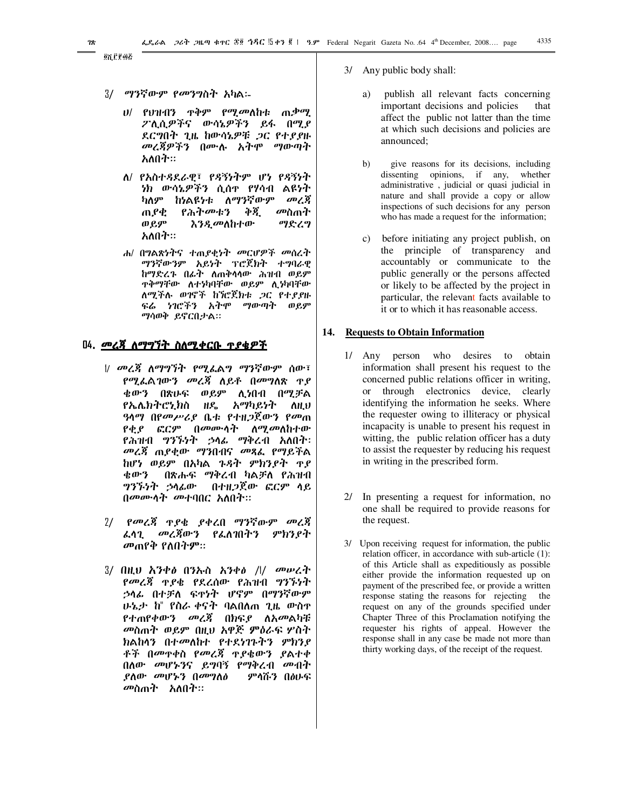- $3/$ *ማን*ኛውም *የመንግ*ስት አካል፡-
	- ሀ/ የህዝብን ጥቅም የሚ*መ*ለከቱ ጠ.ቃሚ ፖሊሲዎችና ውሳኔዎችን ይፋ በሚያ ደርግበት ጊዜ ከውሳኔዎቹ *ጋ*ር የተ*ያያ*ዙ *መረጃዎችን* በሙሉ አትሞ ማውጣት አለበት።
	- ለ/ የአስተዳደራዊ፣ የዳኝነትም ሆነ የዳኝነት ነክ ውሳኔዎችን ሲሰዋ የሃሳብ ልዩነት ከነልዩነቱ ለማንኛውም ካለም መረጃ የሕትመቱን ቅጂ መስጠት ጠያቂ ወይም እ*ንዲመ*ለከተው ማድረግ አለበት።
	- ሐ/ በግልጽነትና ተጠያቂነት መርሆዎች መሰረት ማንኛውንም አይነት ፕሮጀክት ተግባራዊ ከማድረጉ በራት ለጠቅሳሳው ሕዝብ ወይም **ዋቅማቸው ለተነካባቸው ወይም ሊነካባቸው** ለሚችሉ ወገኖች ከንሮጀክቱ ጋር የተያያዙ ፍሬ ነገሮችን አትሞ ማውጣት ወይም ማሳወቅ ይኖርበታል።

### <u>በ4. መረጃ ለማግኘት ስለሚቀርቡ ተያቄዎች</u>

- # መረጃ ለማግኘት የሚፌልግ ማንኛውም ሰው፣ *የሚሌ*ልገው*ን መረጃ* ለይቶ በ*መግ*ለጽ <u>ዋ</u>ደ ቄውን በጽሁፍ ወይም ሊነበብ በሚቻል የኤሌክትሮኒክስ ዘዴ አማካይነት **AH.U** *ዓ*ላማ በየ*መሥሪ*ያ ቤቱ የተዘ*ጋ*ጀውን የ*መ*ጠ *የቂያ ፎርም በመ*ሙሳት ለሚመለከተው የሕዝብ ግንኙነት ኃሳፊ ማቅረብ አለበት፡ መረጃ ጠያቂው ማንበብና መጻፌ የማይችል ከሆነ ወይም በአካል ጉዳት ምክንያት ተያ ቁውን በጽሑፍ ማቅረብ ካልቻለ የሕዝብ *ግንኙነት ኃ*ላፊው በተዘ*ጋ*ጀው ፎርም ላይ በመሙላት መተባበር አለበት።
- *የመረጃ ጉያቄ ያቀረ*በ ማንኛውም መረጃ  $2/$ መረጃውን የፌለገበትን ፌሳጊ ምክንያት መጠየቅ የለበትም።
- 3/ በዚህ አንቀ*ፅ* በንኡስ አንቀ*ፅ /\/ መ*ሥረተ *የመረጃ ጥያቄ የ*ደረሰው የሕዝብ *ግንኙነት* ኃሳፊ በተቻለ ፍተነት ሆኖም በማንኛውም ሁኔታ ከ" የስራ ቀናት ባልበለጠ ጊዜ ውስዋ *የተጠየቀውን መረጃ በክፍያ ለአመ*ልካቹ መስጠት ወይም በዚህ አዋጅ ምዕራፍ ሦስት ክልከላን በተመለከተ የተደነገኑትን ምክንያ ቶች በመዋቀስ የመረጃ ዋያቄውን ያልተቀ በለው መሆኑንና ይግባኝ የማቅረብ መብት ያለው መሆኑን በመግለፅ ምሳሹን በፅሁፍ መስጠት አለበት።
- 3/ Any public body shall:
	- publish all relevant facts concerning a) important decisions and policies that affect the public not latter than the time at which such decisions and policies are announced:
	- $b)$ give reasons for its decisions, including dissenting opinions, if any, whether administrative, judicial or quasi judicial in nature and shall provide a copy or allow inspections of such decisions for any person who has made a request for the information;
	- c) before initiating any project publish, on the principle of transparency and accountably or communicate to the public generally or the persons affected or likely to be affected by the project in particular, the relevant facts available to it or to which it has reasonable access.

### 14. Requests to Obtain Information

- 1/ Any person who desires to obtain information shall present his request to the concerned public relations officer in writing, or through electronics device, clearly identifying the information he seeks. Where the requester owing to illiteracy or physical incapacity is unable to present his request in witting, the public relation officer has a duty to assist the requester by reducing his request in writing in the prescribed form.
- $2l$ In presenting a request for information, no one shall be required to provide reasons for the request.
- 3/ Upon receiving request for information, the public relation officer, in accordance with sub-article (1): of this Article shall as expeditiously as possible either provide the information requested up on payment of the prescribed fee, or provide a written response stating the reasons for rejecting the request on any of the grounds specified under Chapter Three of this Proclamation notifying the requester his rights of appeal. However the response shall in any case be made not more than thirty working days, of the receipt of the request.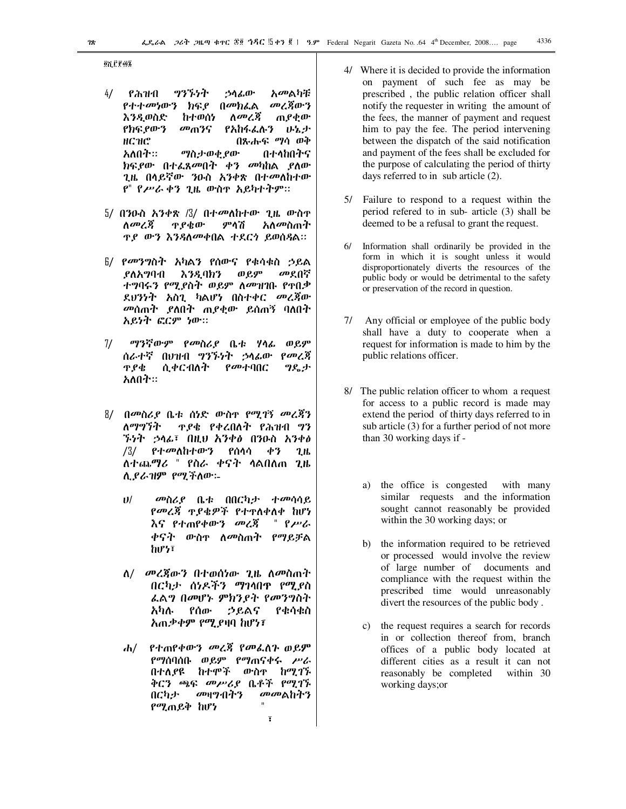**QALPOL** 

- $4/$ የሕዝብ ツツブシオ ኃሳፊው አመልካቹ *የተተመነ*ውን ክፍ*ያ* በመክፌል መረጀውን ጠያቂው እንዲወስድ ከተወሰነ ለመረጃ የክፍ የውን መጠንና የአከፋፌሉን ሁኔታ нсие በጽሑፍ ማሳ ወቅ አለበት። *ግ*ስታወቂ ያው በተላከበትና ክፍያው በተ*ሌ*ጸመበት ቀን መካከል ያለው ጊዜ በሳይኛው ንዑስ አንቀጽ በተመለከተው የ" የሥራ ቀን ጊዜ ውስዋ አይካተትም።
- 5/ በንዑስ አንቀጽ /3/ በተ*መ*ለከተው ጊዜ ውስዋ አለ*መ*ስጠት ለመረጃ **T** ያቁው ምሳሽ ዋይ ውን እንዳለመቀበል ተደርጎ ይወሰዳል።
- 6/ *የመንግ*ስት አካልን የሰውና የቁሳቁስ ኃይል መደበኛ ያለአግባብ እንዲባክን ወይም ተግባሩን የሚያስት ወይም ለመዝገቡ የተበቃ ደህንነት አስጊ ካልሆነ በስተቀር መረጃው መሰጠት ያለበት ጠያቂው ይሰጠኝ ባለበት አይነት ፎርም ነው።
- ማንኛውም የመስሪያ ቤቱ ሃሳፊ ወይም  $7/$ ሰራተኛ በፀዝብ ግንኙነት ኃላፊው የመረጀ ዋ የቁ ሲቀርብለት የመተባበር ግዴታ አለበት።
- 8/ በመስሪያ ቤቱ ሰነድ ውስዋ የሚገኝ መረጃን ለማግኘት **T. P& P&COAT PATH 97** *ኙነት ኃ*ላፊ፣ በዚህ አንቀ*ፅ* በንዑስ አንቀ*ፅ* /3/ የተመለከተውን የሰሳሳ ቀን  $2<sub>th</sub>$ ለተጨማሪ " የስራ ቀናት ሳልበለጠ ጊዜ ሲያራዝም የሚችለው፡-
	- $11/$ መስሪያ ቤቱ በበርካታ ተመሳሳይ *የመረጃ ጥያቄዎች የተ*ዋለቀለቀ ከሆነ እና የተጠየቀውን *መ*ረጃ  $\rho_{\mu\nu}$ ቀናት ውስ<u>ኖ ለመስ</u>ጠት የማይቻል hư½፣
	- ለ/ *መረጃ*ውን በተወሰነው ጊዜ ለመስጠት በርካታ ሰነዶችን ማገላበዋ የሚያስ ፌልግ በመሆኑ ምክንያት የመንግስት የቁሳቁስ አካሉ የሰው ኃይልና አጠቃቀም የሚያዛባ ከሆነ፣
	- <u>የተጠየቀውን መረጃ የመፌስጉ ወይም</u> *dv/* የማሰባሰቡ ወይም የማጠናቀሩ ሥራ በተለያዩ ከተሞች ውስዋ ከሚገኙ ቅርን ጫፍ መሥሪያ ቤቶች የሚገኙ በርካታ መዛግብትን መመልከትን የሚጠይቅ ከሆነ  $\overline{\mathbf{t}}$
- 4/ Where it is decided to provide the information on payment of such fee as may be prescribed, the public relation officer shall notify the requester in writing the amount of the fees, the manner of payment and request him to pay the fee. The period intervening between the dispatch of the said notification and payment of the fees shall be excluded for the purpose of calculating the period of thirty days referred to in sub article (2).
- 5/ Failure to respond to a request within the period refered to in sub- article (3) shall be deemed to be a refusal to grant the request.
- $6/$ Information shall ordinarily be provided in the form in which it is sought unless it would disproportionately diverts the resources of the public body or would be detrimental to the safety or preservation of the record in question.
- 7/ Any official or employee of the public body shall have a duty to cooperate when a request for information is made to him by the public relations officer.
- 8/ The public relation officer to whom a request for access to a public record is made may extend the period of thirty days referred to in sub article (3) for a further period of not more than 30 working days if
	- a) the office is congested with many similar requests and the information sought cannot reasonably be provided within the 30 working days; or
	- b) the information required to be retrieved or processed would involve the review of large number of documents and compliance with the request within the prescribed time would unreasonably divert the resources of the public body.
	- c) the request requires a search for records in or collection thereof from, branch offices of a public body located at different cities as a result it can not reasonably be completed within 30 working days; or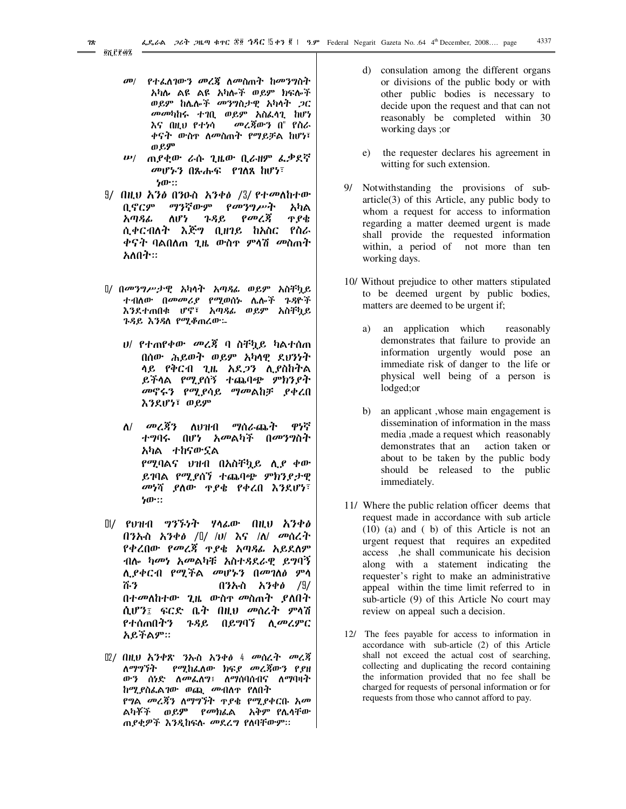- *የተፌስገውን መረጃ ስመስ*ጠት ከ*መንግ*ስት  $d^{p}$ አካሉ ልዩ ልዩ አካሎች ወይም ክፍሎች ወይም ከሌሎች መንግስታዊ አካሳት ጋር መመካከሩ ተገቢ ወይም አስፌሳጊ ከሆነ መረጃውን በ" የስራ እና በዚህ የተነሳ ቀናት ውስዋ ለመስጠት የማይቻል ከሆነ፣ ወይም
- ሥ/ ጠ*ያ*ቂው ራሱ ጊዜው ቢራዘም ፌቃደኛ መሆኑን በጸሐፍ የገለጸ ከሆነ፣  $50$ .
- $9/$  በዚህ እንፅ በንዑስ አንቀፅ / $3/$  የተመለከተው ቢኖርም ማንኛውም የመንግሥት አካል ለሆነ አጣዳፊ ጉዳይ የመረጃ ዋ የቄ ሲቀርብለት እጅግ ቢዘገይ ከአስር የስራ *ቀናት* ባልበለጠ ጊዜ ውስዋ ምሳሽ *መ*ስጠት አለበት።
- ]/ በመንግሥታዊ አካላት አጣጻፊ ወይም አስቸኳይ ተብለው በመመሪያ የሚወሰኑ ሌሎች ጉዳዮች እንደተጠበቁ ሆኖ፣ አጣዳፊ ወይም አስቸኳይ ጉዳይ እንዳለ የሚቆጠረው፡-
	- *ህ/ የተ*ጠየቀው *መ*ረጃ ባ ስቸካይ ካልተሰጠ በሰው ሕይወት ወይም አካላዊ ደህንነት ሳይ የቅርብ ጊዜ አደ*ጋን* ሊያስከትል ይችላል የሚደሰኝ ተጨባጭ ምክንደት *መ*ኖሩን የሚያሳይ ማመልከቻ ያቀረበ እንደሆነ፣ ወይም
	- ለ/ *መሬጃን* ለህዝብ ማሰራጨት ዋሃኛ ተግባሩ በሆነ አመልካች በ*መንግ*ስት አካል ተከናውኗል የሚባልና ህዝብ በአስቸኳይ ሊያ ቀው ይገባል የሚያሰኘ ተጨባጭ ምክንያታዊ *መነ*ሻ ያለው **ዋያቄ የቀረበ እንደሆ**ነ፣  $b$ <sup>-1</sup>
- $\mathbb{I}$ / የህዝብ ግንኙነት ሃሳፊው በዚህ አንቀ $\boldsymbol{\theta}$ በንኡስ አንቀ*ፅ /* $\frac{1}{2}$  */v/ እና /ለ/ መ*ሰረት የቀረበው የመረጃ ዋያቄ አጣጻፊ አይደለም ብሎ *ካመነ አመ*ልካቹ አስተ*ጻ*ደራዊ ይግባኝ ሊያቀርብ የሚችል መሆኑን በመገለፅ ምሳ ሹን በንኡስ አንቀ*ፅ* /9/ በተመለከተው ጊዜ ውስ<u>ዋ መስ</u>ጠተ *ያ*ለበት ሲሆን፤ ፍርድ ቤት በዚህ መሰረት ምሳሽ የተሰጠበትን ጉዳይ በይግባኘ ሊመሬምር አይችልም።
- Ⅱ2/ በዚህ አንቀጽ ንኡስ አንቀ∂ 4 መሰረት መረጃ ለማግኘት የሚከፌለው ክፍ*ያ መረጃ*ውን የ*ያ*ዘ ውን ሰነድ ለመፌለግ፤ ለማሰባሰብና ለማባዛት ከሚያስፌልገው ወጪ *መብ*ስጥ የለበት የግል *መ*ረጃን ለማግኘት <u>ዋያቄ የሚያቀርቡ አመ</u> ልካቾች ወይ**ም** የመክፌል አቅም-የሌሳቸው ጠያቂዎች እንዲከፍሉ መደረግ የለባቸውም።
- d) consulation among the different organs or divisions of the public body or with other public bodies is necessary to decide upon the request and that can not reasonably be completed within 30 working days ;or
- the requester declares his agreement in e) witting for such extension.
- 9/ Notwithstanding the provisions of sub $article(3)$  of this Article, any public body to whom a request for access to information regarding a matter deemed urgent is made shall provide the requested information within, a period of not more than ten working days.
- 10/ Without prejudice to other matters stipulated to be deemed urgent by public bodies, matters are deemed to be urgent if;
	- a) an application which reasonably demonstrates that failure to provide an information urgently would pose an immediate risk of danger to the life or physical well being of a person is lodged; or
	- b) an applicant, whose main engagement is dissemination of information in the mass media, made a request which reasonably demonstrates that an action taken or about to be taken by the public body should be released to the public immediately.
- 11/ Where the public relation officer deems that request made in accordance with sub article  $(10)$  (a) and (b) of this Article is not an urgent request that requires an expedited access ,he shall communicate his decision along with a statement indicating the requester's right to make an administrative appeal within the time limit referred to in sub-article (9) of this Article No court may review on appeal such a decision.
- 12/ The fees payable for access to information in accordance with sub-article (2) of this Article shall not exceed the actual cost of searching, collecting and duplicating the record containing the information provided that no fee shall be charged for requests of personal information or for requests from those who cannot afford to pay.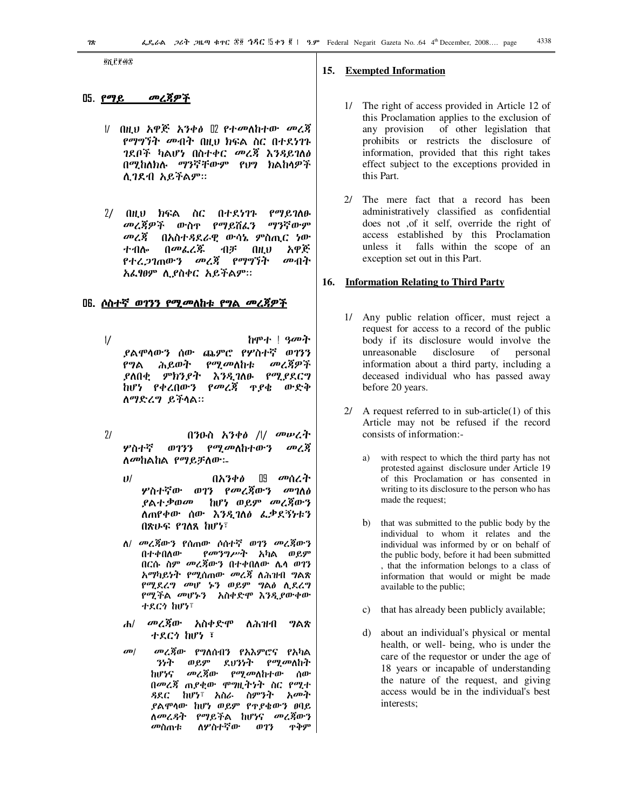**QYLERAS** 

### 05. PTE

- *የማግኘት መብት* በዚህ ክፍል ስር በተደ*ነገ*ጉ ገደቦች ካልሆነ በስተቀር መረጃ እንዳይገለፅ በሚከለክሉ ማንኛቸውም የህግ ክልከላዎች ሲገደብ አይችልም።
- $2/$  በዚህ ክፍል ስር በተደነገጉ የማይገለፁ መረጃዎች ውስዋ የማይሽፌን ማንኛውም *መረጃ* በአስተዳደራዊ ውሳኔ ምስጢር ነው ተብሎ በመፌረጅ 11ヂ (11.V አዋጅ *የተሬጋገ*ጠው*ን መረጃ የማግኘት* መብት አፌፃፀም ሲያስቀር አይችልም።

### 

- $\frac{1}{2}$ ከሞተ ! *ዓመት* ያልሞሳውን ሰው ጨምሮ የሦስተኛ ወገንን የግል ሕይወት *የሚመ*ለከቱ መረጀዎች ይለበቂ ምክንያት እንዲገለፁ የሚያደርግ ከሆነ የቀረበውን የመረጃ ዋያቄ ውድቅ ለማድረግ ይችላል።
- $71$ በንዑስ አንቀ $\theta$  /l/ መሠረት ሦስተኛ ወገንን የሚመለከተውን መረጃ ለመከልከል የማይቻለው:-
	- $11/$ በአንቀል <u> በ9 መሰረት</u> ሦስተኛው ወገን *የመረጀ*ውን *መገ*ለ<del>ል</del> ያልተ*ቃወመ* ከሆነ ወይም መረጃውን ለጠየቀው ሰው እንዲገለፅ ፌቃደኝነቱን በጽሁፍ የገለጸ ከሆነ፣
	- ለ/ መረጃውን የሰጠው ሶስተኛ ወገን መረጃውን በተቀበለው *የመንግሥት አካ*ል ወይም በርሱ ስም መረጃውን በተቀበለው ሌሳ ወገን አማካይነት የሚሰጠው መረጃ ለሕዝብ ግልጽ የሚደረግ መሆ ኑን ወይም ግልፅ ሲደረግ የሚችል መሆኑን አስቀድሞ እንዲያውቀው ተደርጎ ከሆነ፣
	- መረጃው አስቀድሞ  $\mathbf{H}$ ለሕዝብ ግልጽ ተደርጎ ከሆነ ፣
	- $\boldsymbol{\sigma}$ መረጃው የግለሰብን የአእምሮና የአካል うらす ወይም ደህንነት *የሚመ*ለከት መረጃው *የሚመ*ለከተው ከሆነና ሰው በመረጃ ጠያቂው ሞግዚትነት ስር የሚተ ዳደር ከሆነ፣ አስራ ስምንት አመት ያልሞሳው ከሆነ ወይም የተያቄውን ፀባይ ለመሬዳት የማይችል ከሆነና መረጃውን መስጠቱ ለሦስተኛው ወገን ዋቅም

### 15. Exempted Information

- 1/ The right of access provided in Article 12 of this Proclamation applies to the exclusion of any provision of other legislation that prohibits or restricts the disclosure of information, provided that this right takes effect subject to the exceptions provided in this Part.
- 2/ The mere fact that a record has been administratively classified as confidential does not ,of it self, override the right of access established by this Proclamation unless it falls within the scope of an exception set out in this Part.

### 16. Information Relating to Third Party

- 1/ Any public relation officer, must reject a request for access to a record of the public body if its disclosure would involve the unreasonable disclosure  $\sigma$ personal information about a third party, including a deceased individual who has passed away before 20 years.
- $2/$  A request referred to in sub-article(1) of this Article may not be refused if the record consists of information:
	- with respect to which the third party has not  $a)$ protested against disclosure under Article 19 of this Proclamation or has consented in writing to its disclosure to the person who has made the request;
	- that was submitted to the public body by the  $b)$ individual to whom it relates and the individual was informed by or on behalf of the public body, before it had been submitted , that the information belongs to a class of information that would or might be made available to the public;
	- c) that has already been publicly available;
	- about an individual's physical or mental d) health, or well- being, who is under the care of the requestor or under the age of 18 years or incapable of understanding the nature of the request, and giving access would be in the individual's best interests;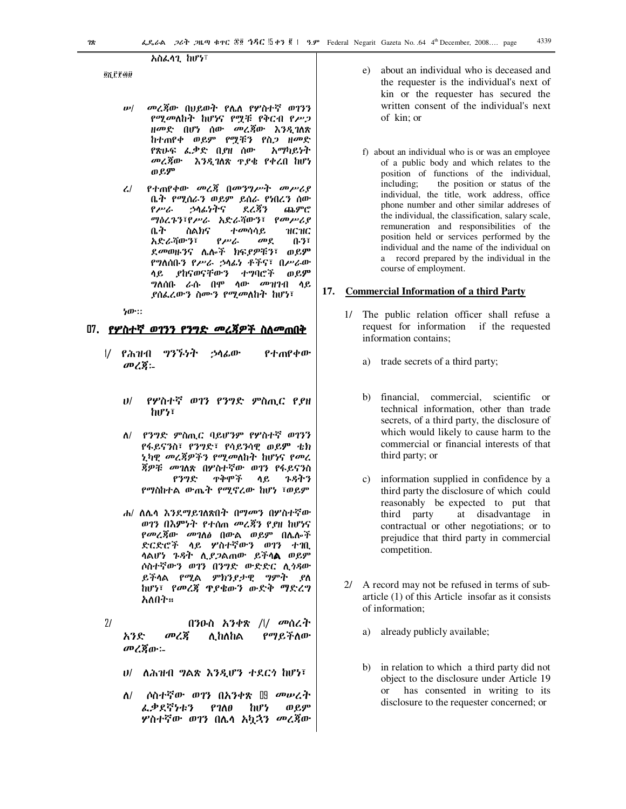### አስፌሳጊ ከሆነ፣

<u>ến Crou</u>

- መረጃው በሀይወት የሌለ የሦስተኛ ወገንን  $\boldsymbol{\mu}$ የሚመለከት ከሆነና የሟቹ የቅርብ የሥጋ ዘመድ በሆነ ሰው መረጃው እንዲገለጽ ከተጠየቀ ወይም የማቹን የስጋ ዘመድ የጽሁፍ ፌቃድ ቢያዘ ሰው አማካይነት መረጃው እንዲገለጽ ዋያቄ የቀረበ ከሆነ ወይም
- የተጠየቀው መረጃ በመንግሥት መሥሪያ  $\mathcal{L}$ ቤት የሚሰራን ወይም ይሰራ የነበረን ሰው የሥራ ኃሳፊነትና ደረጃን ጨምሮ ግዕሪጉን፣የሥራ አድራሻውን፣ የመሥሪያ ስልክና ተመሳሳይ нснс ቤት አድራሻውን፣  $\rho_{\mu\nu}$  $\omega$ e  $0.37$ ደመወዙንና ሌሎች ክፍያዎቹን፣ ወይም የግለሰቡን የሥራ ኃሳፊነ ቶችና፣ በሥራው ላይ ያከናወናቸውን ተግባሮች ወይም **ግለሰቡ ራሱ በም ላው መ**ዝገብ ላይ ደሰፌሬውን ስሙን የሚመለከት ከሆነ፣

ነው።

### <u>በ7. የሦስተኛ ወገንን የንግድ መረጃዎች ስለመጠበቅ</u>

- $\frac{1}{2}$ የሕዝብ ግንኙነት ኃሳፊው የተጠየቀው መረጃ፡-
	- የሦስተኛ ወገን የንግድ ምስጢር የያዘ  $11/$ hi<sup>7</sup>
	- ለ/ የንግድ ምስጢር ባይሆንም የሦስተኛ ወገንን የፋይናንስ፣ የንግድ፣ የሳይንሳዊ ወይም ቴክ ኒካዊ *መረጃዎችን የሚመ*ለከት ከሆነና *የመ*ረ *ጀዎቹ መገ*ለጽ በሦስተኛው ወገን የፋይናንስ የንግድ ዋቅሞች ሳይ ጉዳትን የማስከተል ውጤት የሚኖረው ከሆነ ፣ወይም
	- ሐ/ ለሌሳ እንደማይገለጽበት በማመን በሦስተኛው ወገን በእምነት የተሰጠ መረጃን የያዘ ከሆነና *የመረጃ*ው *መገ*ለፅ በውል ወይም በሌሎች ድርድሮች ላይ ሦስተኛውን ወገን ተገቢ ሳልሆ*ነ ጉዳት ሲያጋ*ልጠው ይችሳ**ል** ወይም ሶስተኛውን ወገን በንግድ ውድድር ሊጎዳው ይችሳል የሚል ምክንያታዊ ግምት ያለ ከሆነ፣ የመረጃ ዋያቄውን ውድቅ ማድረግ አለበት።
- $21$ በንዑስ አንቀጽ /l/ *መ*ሰረት መረጃ ሊከለከል የማይችለው አንድ መረጃው፡
	- υ/ ለሕዝብ ግልጽ እንዲሆን ተደርጎ ከሆነ፣
	- ለ/ ሶስተኛው ወገን በአንቀጽ ‼ መሠረት ፌቃደኛነቱን ወይም  $P100$ hv<sup>1</sup> ሦስተኛው ወገን በሌሳ አካኋን *መረጃ*ው
- about an individual who is deceased and  $e$ ) the requester is the individual's next of kin or the requester has secured the written consent of the individual's next of kin: or
- f) about an individual who is or was an employee of a public body and which relates to the position of functions of the individual, including: the position or status of the individual, the title, work address, office phone number and other similar addreses of the individual, the classification, salary scale, remuneration and responsibilities of the position held or services performed by the individual and the name of the individual on a record prepared by the individual in the course of employment.

#### **Commercial Information of a third Party** 17.

- 1/ The public relation officer shall refuse a request for information if the requested information contains;
	- a) trade secrets of a third party;
	- b) financial, commercial, scientific or technical information, other than trade secrets, of a third party, the disclosure of which would likely to cause harm to the commercial or financial interests of that third party; or
	- c) information supplied in confidence by a third party the disclosure of which could reasonably be expected to put that third party at disadvantage in contractual or other negotiations; or to prejudice that third party in commercial competition.
- 2/ A record may not be refused in terms of subarticle  $(1)$  of this Article insofar as it consists of information:
	- a) already publicly available;
	- b) in relation to which a third party did not object to the disclosure under Article 19 has consented in writing to its  $\alpha$ disclosure to the requester concerned; or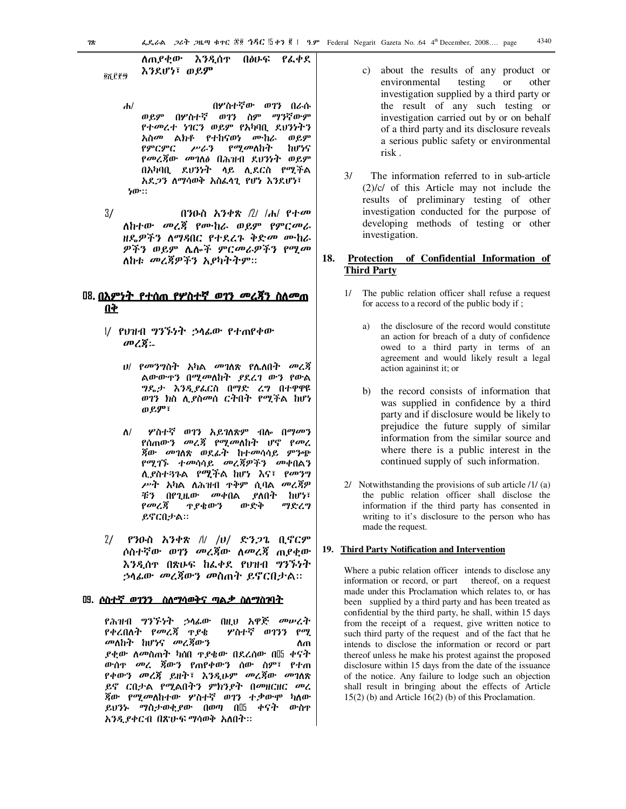#### ስጠያቀው እንዲሰዋ በፅሁፍ የፌቀደ እንደሆነ፣ ወይም

<u>ጀሽርያ</u>

- በሦስተኛው ወገን በራሱ  $\mathbf{h}$ ወይም በሦስተኛ ወገን ስም ማንኛውም የተመረተ ነገርን ወይም የአካባቢ ደህንነትን *አስመ* ልክቶ የተከናወነ ሙከራ ወይም የምርምር ሥራን *የሚመ*ለከት ከሆነና *የመረጃ*ው *መገ*ለፅ በሕዝብ ደህንነት ወይም በአካባቢ ደህንነት ሳይ ሊደርስ የሚችል አደ*ጋን ለማሳወቅ አስ*ፌሳጊ የሆነ እንደሆነ፣ ነው።
- $3/$ በንዑስ አንቀጽ /2/ /ሐ/ የተመ ለከተው *መረጃ* የሙከራ ወይም የምር*መ*ራ ዘዴዎችን ለማዳበር የተደረጉ ቅድ*መ* ሙከራ ዎችን ወይም ሌሎች ምር*መራዎችን የሚመ* ለከቱ *መረጃዎችን አያካትትም።*

### <u> 08 በእምነት የተሰጠ የሦስተኛ ወገን መረጃን ስለመጠ</u> **Q**

- l/ የህዝብ ግንኙነት ኃሳፊው የተጠየቀው መረጀ፡-
	- ሀ/ *የመንግ*ስት አካል መገለጽ የሌለበት መረጃ ልውውዋን በሚመለከት ያደረገ ውን የውል *ግ*ዴታ እ*ንዲያ*ፌርስ በማድ ረግ በተዋዋዩ ወገን ክስ ሊያስመሰ ርትበት የሚችል ከሆነ ወይም፣
	- ሦስተኛ ወገን አይገለጽም ብሎ በማ*መ*ን  $\Lambda$ / የሰጠው*ን መረጃ የሚመ*ለከት ሆኖ የመረ *ጀው መገ*ለጽ ወደፊት ከተመሳሳይ ምንጭ *የሚገኙ ተመ*ሳሳይ *መረጃዎችን መቀ*በልን ሲያስተጓጉል የሚችል ከሆነ እና፣ የመንግ *ሥት አ*ካል ለሕዝብ ዋቅም ሲባል *መረጃዎ* በየጊዜው መቀበል ያለበት ከሆነ፣ ボツ የመረጃ ዋ የቁውን ውድቅ ማድረግ ይኖርበታል።
- $2/$  የንዑስ አንቀጽ // /υ/ ድንጋጌ ቢኖርም ሶስተኛው ወገን *መረጀ*ው ለመረጃ ጠያቂው እንዲሰዋ በጽሁፍ ከፌቀደ የሀዝብ ግንኙነት ኃሳፊው መረጃውን መስጠት ይኖርበታል።

### 

የሕዝብ *ግንኙነት ኃ*ላፊው በዚህ አዋጅ *መ*ሥረት የቀረበለት የመረጃ ጥያቄ ሦስተኛ ወገንን የሚ *መ*ለከት ከሆነና *መ*ረጃውን ስጠ *ያቂው ለመ*ስጠት ካሰበ ዋ*ያቄው* በደረሰው በ‼ ቀናት ውሰዋ *መረ ፮*ውን የጠየቀውን ሰው ስም፣ የተጠ የቀውን መረጃ ይዘት፣ እንዲሁም መረጃው *መገ*ለጽ ይኖ ርበታል የሚልበትን ምክንያት በመዘርዘር መረ *ጀው የሚመ*ለከተው ሦስተኛ ወገን ተ*ቃ*ውሞ ካለው ይህንኑ ማስታወቂያው በወጣ በ $5$  ቀናት ውስተ አንዲያቀርብ በጽሁፍ ማሳወቅ አለበት።

- c) about the results of any product or environmental testing  $\hbox{or}\hskip 1pt$ other investigation supplied by a third party or the result of any such testing or investigation carried out by or on behalf of a third party and its disclosure reveals a serious public safety or environmental risk.
- $3/$ The information referred to in sub-article  $(2)/c$  of this Article may not include the results of preliminary testing of other investigation conducted for the purpose of developing methods of testing or other investigation.

#### 18. Protection of Confidential Information of **Third Party**

- The public relation officer shall refuse a request for access to a record of the public body if;
	- a) the disclosure of the record would constitute an action for breach of a duty of confidence owed to a third party in terms of an agreement and would likely result a legal action againinst it; or
	- b) the record consists of information that was supplied in confidence by a third party and if disclosure would be likely to prejudice the future supply of similar information from the similar source and where there is a public interest in the continued supply of such information.
- 2/ Notwithstanding the provisions of sub article  $/1/$  (a) the public relation officer shall disclose the information if the third party has consented in writing to it's disclosure to the person who has made the request.

### 19. Third Party Notification and Intervention

Where a pubic relation officer intends to disclose any information or record, or part thereof, on a request made under this Proclamation which relates to, or has been supplied by a third party and has been treated as confidential by the third party, he shall, within 15 days from the receipt of a request, give written notice to such third party of the request and of the fact that he intends to disclose the information or record or part thereof unless he make his protest against the proposed disclosure within 15 days from the date of the issuance of the notice. Any failure to lodge such an objection shall result in bringing about the effects of Article  $15(2)$  (b) and Article  $16(2)$  (b) of this Proclamation.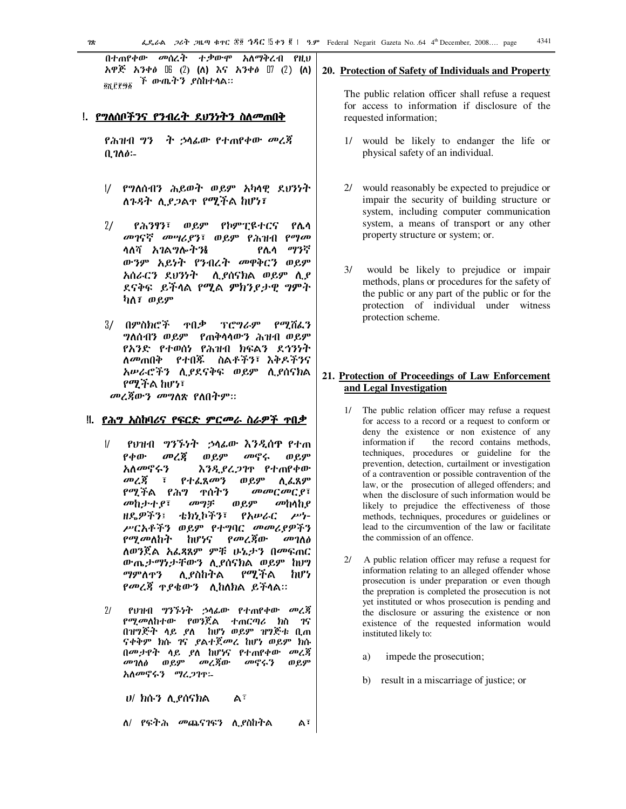በተጠየቀው መሰረት ተ.ቃውሞ አለማቅረብ የዚህ አዋጅ አንቀፅ  $\mathbb{B}$  (2) (ለ) እና አንቀፅ  $\mathbb{I}$  (2) (ለ) ፝*ች ውጤትን ያ*ስከተሳል። <u>ጀጅያሽ ክል</u>

### <u>!. የግለሰቦችንና የንብረት ደህንነትን ስለመጠበቅ</u>

ት ኃሳፊው የተጠየቀው መረጃ የሕዝብ ግን  $0.700 -$ 

- 1/ የግለሰብን ሕይወት ወይም አካላዊ ደህንነት ለጉዳት ሊደጋልተ የሚችል ከሆነ፣
- $2/$ የሕንፃን፣ ወይም የኮምፒዩተርና የሌሳ መገናኛ መሣሪያን፣ ወይም የሕዝብ የማመ ሳለሻ አገልግሎትን& ማንኛ የሌሳ ውንም አይነት የንብረት መዋቅርን ወይም አሰራርን ደህንነት - ሲያሰናክል ወይም ሲያ ደናቅፍ ይችላል የሚል ምክንያታዊ ግምት ካለ፣ ወይም
- ፕሮግራም የሚሽፌን 3/ በ**ምስክሮ**ች ዋበቃ **ግለሰብን ወይም የጠቅሳሳውን ሕዝብ ወይም** የአንድ የተወሰነ የሕዝብ ክፍልን ደኅንነት ለ*መ*ጠበቅ የተበጁ ስልቶችን፣ እቅዶችንና አሥራሮችን ሲያደናቅፍ ወይም ሲያሰናክል የሚችል ከሆነ፣

*መረጃ*ውን *መግ*ለጽ የለበትም።

### <u>‼. ይሕግ አስከባሪና የፍርድ ምርመራ ስራዎች ተበቃ</u>

- $\frac{1}{2}$ የህዝብ *ግንኙነት ኃ*ላፊው እንዲሰዋ የተጠ  $P \phi \omega$ መረጀ ወይም መኖሩ ወይም አለመኖሩን እንዲያረጋገዋ የተጠየቀው  $\omega$  /  $\zeta$  $\overline{t}$ የተፈጸመን ወ ይም <u>ለ ፈ</u>ጸም መመርመርያ፣ የሚችል የሕግ ተሰተን መከታተያ፣ መግቻ ወይም መከላከያ ዘዴዎችን፤ ቴክኒኮችን፣ የአሥራር  $\mu$ <sup>1</sup> ሥርአቶችን ወይም የተግባር መመሪያዎችን የ*ሚ* መለከት hư½S የመረጃው  $\omega$ *n* ለወንጀል አፌጻጸም ምቹ ሁኔታን በመፍጠር ውጤታማነታቸውን ሊያሰናክል ወይም ከሀግ የሚችል ማምለዋን ሊ የስከትል իՄን የመረጃ ዋያቄውን ሲከለክል ይችላል።
- $71$ የህዝብ ግንኙነት ኃሳፊው የተጠየቀው መረጃ *የሚመ*ለከተው የወንጀል ተጠርጣሪ ክስ ገና በዝግጅት ላይ ያለ ከሆነ ወይም ዝግጅቱ ቢጠ ናቀቅም ክሱ ገና ያልተጀመረ ከሆነ ወይም ክሱ በመታየት ላይ ያለ ከሆነና የተጠየቀው መረጃ *መገ*ለፅ ወይም *መረጃ*ው መኖሩን ወይም አለመኖሩን ማረጋገዋ፡-

 $U$  ክሱን ሊያሰናክል  $A^{\overline{i}}$ 

ለ/ የፍትሕ መጨናገፍን ሊያስከትል  $A^{\bar{i}}$ 

### 20. Protection of Safety of Individuals and Property

The public relation officer shall refuse a request for access to information if disclosure of the requested information;

- 1/ would be likely to endanger the life or physical safety of an individual.
- 2/ would reasonably be expected to prejudice or impair the security of building structure or system, including computer communication system, a means of transport or any other property structure or system; or.
- $3/$ would be likely to prejudice or impair methods, plans or procedures for the safety of the public or any part of the public or for the protection of individual under witness protection scheme.

### 21. Protection of Proceedings of Law Enforcement and Legal Investigation

- The public relation officer may refuse a request  $1/\sqrt{2}$ for access to a record or a request to conform or deny the existence or non existence of any information if the record contains methods, techniques, procedures or guideline for the prevention, detection, curtailment or investigation of a contravention or possible contravention of the law, or the prosecution of alleged offenders; and when the disclosure of such information would be likely to prejudice the effectiveness of those methods, techniques, procedures or guidelines or lead to the circumvention of the law or facilitate the commission of an offence
- $2l$ A public relation officer may refuse a request for information relating to an alleged offender whose prosecution is under preparation or even though the prepration is completed the prosecution is not yet instituted or whos prosecution is pending and the disclosure or assuring the existence or non existence of the requested information would instituted likely to:
	- impede the prosecution; a)
	- b) result in a miscarriage of justice; or

 $28$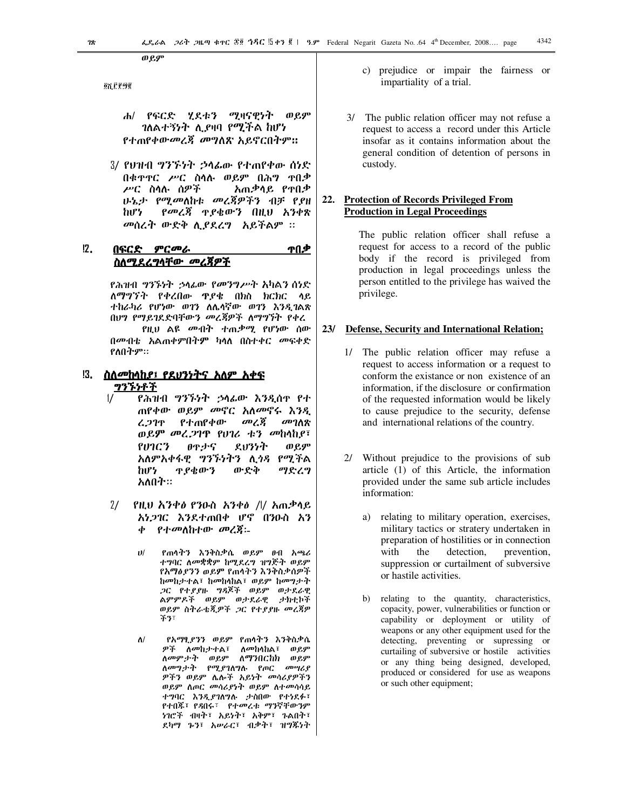ወ የ.ም

<u>ଉ</u>ନ୍ମ ମୁକ୍ରାହ

- የፍርድ ሂደቱን ሚዛናዊነት ወይም  $\mathbf{H}$ *ገ*ለልተኝነት ሊያዛባ የሚችል ከሆነ የተጠየቀውመረጃ መግለጽ አይኖርበትም።
- 3/ የሀዝብ ግንኙነት ኃሳፌው የተጠየቀው ሰነድ በቁዋዋር ሥር ስሳሉ ወይም በሕግ ዋበቃ ሥር ስሳሉ ሰዎች አጠቃሳይ የተበቃ ሁኔታ የሚመለከቱ መረጃዎችን ብቻ የያዘ የመረጃ ዋያቄውን በዚህ አንቀጽ իՄ*Կ* መሰረት ውድቅ ሲያደረግ አይችልም ፡፡

#### $12.$ በፍርድ *ምርመራ* ተበቃ <u>ስለሚደረግሳቸው መረጀዎች</u>

የሕዝብ *ግንኙነት ኃ*ላፊው *የመንግሥት እ*ካልን ሰነድ ለማግኘት የቀረበው ዋያቄ በክስ ክርክር ላይ ተከራካሪ የሆነው ወገን ለሌሳኛው ወገን እንዲገልጽ በህግ የማይገደድባቸውን መረጃዎች ለማግኘት የቀረ የዚህ ልዩ *መብት ተ*ጠ*ቃሚ* የሆነው ሰው በመብቴ አልጠቀምበትም ካሳለ በስተቀር መፍቀድ የለበትም።

- !3. ስለ*መከላከያ፤ የደህንነትና አለም አቀፍ* <u>ግንኙነቶች</u>
	- $\frac{1}{2}$ የሕዝብ *ግንኙነት ኃ*ላፊው እንዲሰዋ የተ ጠየቀው ወይም መኖር አለመኖሩ እንዲ መረጃ የተጠየቀው መገለጽ ረጋገዋ ወይም መረጋገዋ የሀገሪ ቱን መከላከያ፣ SVIC3 θዋታና えりንንት ወይም አለምአቀፋዊ *ግንኙነትን* ሊ*ጎጻ* የሚችል hi<sup>p</sup> ዋያቄውን ውድቅ ማድረግ አለበት።
	- $2/$ የዚህ አንቀፅ የንዑስ አንቀፅ /l/ አጠቃሳይ አነጋገር እንደተጠበቀ ሆኖ በንዑስ አን የተመለከተው መረጃ፡- $\boldsymbol{\phi}$ 
		- $11/$ የጠሳትን እንቅስቃሴ ወይም ፀብ አጫሪ ተግባር ስመቋቋም ከሚደረግ ዝግጅት ወይም የአማፅያንን ወይም የጠሳትን እንቅስቃሰዎች ከመከታተል፣ ከመከላከል፣ ወይም ከመግታት ጋር የተያያዙ ግዳጆች ወይም ወታደራዊ ልምምዶች ወይም ወታደራዊ ታክቲኮች ወይም ስትራቴጂዎች ጋር የተያያዙ መረጃዎ  $+3.5$
		- የአማፂ*ያንን ወይ*ም የጠሳትን እንቅስቃሴ  $\Lambda$ / *ዎች ለመከታተ*ል፣ ለ*መከ*ሳከል፣ ወይም ለመምታት ወይም ለማንበርከክ ወይም ለመግታት የሚያገለግሉ የጦር መሣሪያ ዎችን ወይም ሌሎች አይነት መሳሪያዎችን ወይም ስጦር መሳሪያነት ወይም ስተመሳሳይ ተግባር እንዲያገለግሉ ታስበው የተነደፉ፣ የተበጁ፣ የዳበሩ፣ የተመረቱ ማንኛቸውንም ነገሮች ብዛት፣ አይነት፣ አቅም፣ ጉልበት፣ ደካማ ኈን፣ አሥራር፣ ብቃት፣ ዝግጁነት
- c) prejudice or impair the fairness or impartiality of a trial.
- 3/ The public relation officer may not refuse a request to access a record under this Article insofar as it contains information about the general condition of detention of persons in custody.

#### **Protection of Records Privileged From**  $22.$ **Production in Legal Proceedings**

The public relation officer shall refuse a request for access to a record of the public body if the record is privileged from production in legal proceedings unless the person entitled to the privilege has waived the privilege.

#### Defense, Security and International Relation;  $23/$

- 1/ The public relation officer may refuse a request to access information or a request to conform the existance or non existence of an information, if the disclosure or confirmation of the requested information would be likely to cause prejudice to the security, defense and international relations of the country.
- 2/ Without prejudice to the provisions of sub article (1) of this Article, the information provided under the same sub article includes information:
	- a) relating to military operation, exercises, military tactics or stratery undertaken in preparation of hostilities or in connection detection, with the prevention, suppression or curtailment of subversive or hastile activities.
	- $b)$ relating to the quantity, characteristics, copacity, power, vulnerabilities or function or capability or deployment or utility of weapons or any other equipment used for the detecting, preventing or supressing or curtailing of subversive or hostile activities or any thing being designed, developed, produced or considered for use as weapons or such other equipment;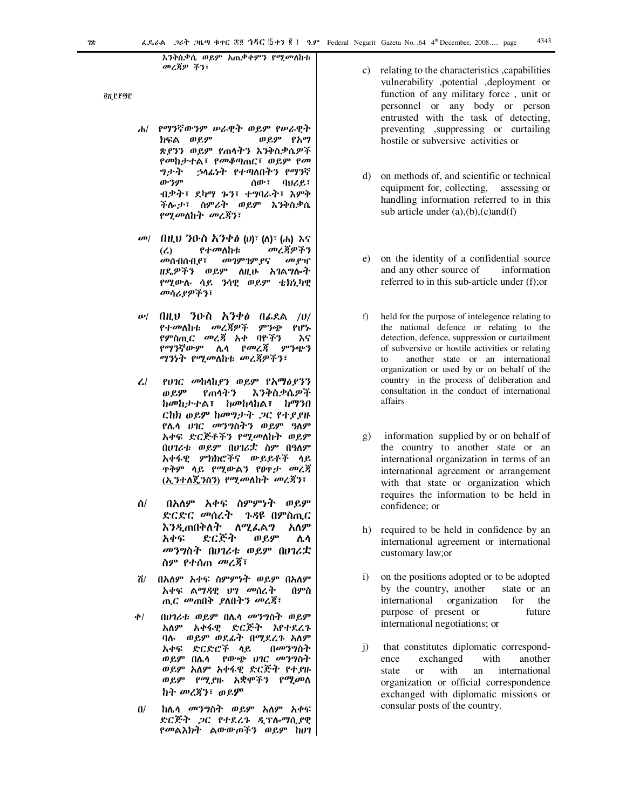እንቅስቃሴ ወይም አጠቃቀምን የሚ*መ*ለከቱ መረጃዎ ችን፣

<u>ጀቪሮ</u> የማይ

- $\mathbf{d}$ የማንኛውንም ሥራዊት ወይም የሥራዊት ክፍል ወይም ወይም የአማ ጽደንን ወይም የጠሳትን እንቅስቃሴዎች የመከታተል፣ የመቆጣጠር፣ ወይም የመ ツナヤ *;*ኃሳፊነት የተጣለበትን የማንኛ ውንም ሰው፣ ባህሪይ፣ ብቃት፣ ደካማ ኈን፣ ተግባራት፣ እምቅ ችሎታ፣ ስምራት ወይም እንቅስቃሴ የሚመለከት መረጃን፣
- *መ| በዚህ ን*ዑስ *ኢንቀፅ (ህ)፣ (ለ)፣ (ሐ) እና* መረጃዎችን  $(2)$ የተመለከቱ መገምገም ያና *መ*ሰብሰብ የ፣ መ የዣ ዘዴዎችን ወይም ለዚሁ አገልግሎት የሚውሉ ሳይ ንሳዊ ወይም ቴክኒካዊ መሳሪያዎችን፣
- $w/$  በዚህ ንዑስ አንቀፅ በፌደል /ሀ/ የተመለከቱ መረጃዎች ምንጭ የሆኑ *የምስጢር መረጃ አቀ ባ*ዮችን እና *የማን*ኛውም ሌላ *የመረጃ ምን*ጭን ማንነት የሚመለከቱ መረጃዎችን፣
- $\mathcal{L}$ የሀገር መከላከያን ወይም የአማዕያንን ወይም የጠሳትን እንቅስቃሴዎች ከመከታተል፣ ከመከላከል፣ ከማንበ ርከክ ወይም ከመግታት ጋር የተያያዙ <u>የሌሳ ሀገር መንግስትን ወይም ዓለም</u> አቀፍ ድርጅቶችን የሚመለከት ወይም በሀገሪቱ ወይም በሀገሪቷ ስም በዓለም አቀፋዊ ምክክሮችና ውይይቶች ሳይ **ዋቅም ሳይ የሚውልን የፀ**ዋታ መረጃ (ኢንተለጄንስን) የሚመለከት መረጃን፣
- $\Delta$ / በአለም አቀፍ ስምምነት ወይም ድርድር መሰረት ጉዳዩ በምስጢር እንዲጠበቅለት ለሚፌል*ግ* አለም ድርጅት ወይም አቀፍ ሌሳ መንግስት በሀገሪቱ ወይም በሀገሪቷ ስም የተሰጠ *መረጃ*፣
- ሽ/ በአለም አቀፍ ስምምነት ወይም በአለም አቀፍ ልማዳዊ ህግ መሰረት በምስ ጢር *መ*ጠበቅ *ያ*ለበትን መረጃ፣
- $\phi$ / በሀገሪቱ ወይም በሌሳ መንግስት ወይም አለም አቀፋዊ ድርጅት እየተደረጉ ባሉ- ወይም ወደፊት በሚደረጉ አለም በመንግስት አቀፍ ድርድሮች ሳይ ወይም በሌሳ የውጭ ሀገር መንግስት ወይም አለም አቀፋዊ ድርጅት የተያዙ ወይም የሚያዙ አቋሞችን የሚመሰ ከት መረጃን፣ ወይም
- ከሌሳ *መንግ*ስት ወይም አለም አቀፍ  $\mathbf{u}$ ድርጅት ጋር የተደረጉ ዲፕሎማሲያዊ የመልእክት ልውውጦችን ወይም ከሀገ
- c) relating to the characteristics capabilities vulnerability ,potential ,deployment or function of any military force, unit or personnel or any body or person entrusted with the task of detecting, preventing ,suppressing or curtailing hostile or subversive activities or
- d) on methods of, and scientific or technical equipment for, collecting, assessing or handling information referred to in this sub article under  $(a)$ , $(b)$ , $(c)$  and $(f)$
- on the identity of a confidential source  $e)$ and any other source of information referred to in this sub-article under (f); or
- $f$ ) held for the purpose of intelegence relating to the national defence or relating to the detection, defence, suppression or curtailment of subversive or hostile activities or relating another state or an international to organization or used by or on behalf of the country in the process of deliberation and consultation in the conduct of international affairs
- $g)$ information supplied by or on behalf of the country to another state or an international organization in terms of an international agreement or arrangement with that state or organization which requires the information to be held in confidence; or
- h) required to be held in confidence by an international agreement or international customary law; or
- $i)$ on the positions adopted or to be adopted by the country, another state or an for international organization the purpose of present or future international negotiations; or
- that constitutes diplomatic correspond- $\ddot{1}$ exchanged with another ence with state  $\alpha$ an international organization or official correspondence exchanged with diplomatic missions or consular posts of the country.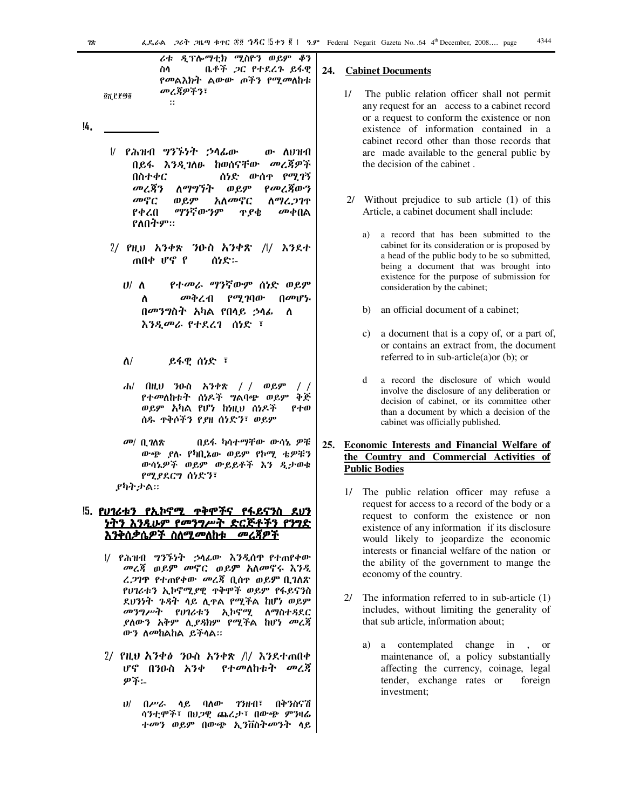*ሪ*ቱ *ዲፕ*ሎ*ማቲክ ሚ*ስዮን ወይም ቆን ቤቶች ጋር የተደረጉ ይፋዊ ስሳ *የመ*ልእክት ልውው ጦችን የሚመለከቱ መረጃዎችን፣

### 14.

**QX CP90** 

 $\ddot{\mathbf{z}}$ 

- / የሕዝብ ግንኙነት ኃሳፊው ው ለህዝብ መረጃዎች በይፋ እንዲገለፁ ከወሰናቸው ሰነድ ውስኖ የሚገኝ በስተቀር መረጀን ወይም የመረጀውን ለማግኘት አለመኖር መኖር ወይም ስማሬ.ጋገጥ ማንኛውንም መቀበል የቀረበ ዋ የቴ የለበትም።
- $2/$  *PH.U ኢንቀ*ጽ *ን*ውስ አንቀጽ /l/ እንደተ ጠበቀ ሆኖ የ ሰነድ፡-
	- የተመራ ማንኛውም ሰነድ ወይም  $U/\Lambda$ *መቅረብ የሚገ*ባው በመሆኑ Λ በመንግስት አካል የበላይ ኃላፊ Λ እንዲመራ የተደረገ ሰነድ ፣
	- $\Lambda$ / ይፋዊ ሰነድ ፣
	- ሐ/ በዚህ ንዑስ አንቀጽ // ወይም  $\frac{1}{2}$ የተመለከቱት ሰነዶች ግልባጭ ወይም ቀጅ ወይም አካል የሆነ ከነዚህ ሰነዶች የተወ ሰዱ ኖቅሶችን የያዘ ሰነድን፣ ወይም
- መ/ ቢገለጽ በይፋ ካሳተማቸው ውሳኔ ዎቹ ውጭ ያሉ የካቢኔው ወይም የኮሚ ቴዎቹን ውሳኔዎች ወይም ውይይቶች እን ዲታወቁ የሚያደርግ ሰነድን፣ アካት ታል።

### <u>!5. የሀገሪቱን የኢኮኖሚ ጥቅሞችና የፋይናንስ ደሀን</u> <u>ነትን እንዲሁም የመንግሥት ድርጅቶችን የንግድ</u> <u>እንቅሰቃሴዎች ስለሚመለከቱ </u> <u>መረጃዎች</u>

- 1/ የሕዝብ *ግንኙነት ኃ*ላፊው እንዲሰዋ የተጠየቀው *መረጃ ወይም መ*ኖር ወይም አለመኖሩ እንዲ ረ.2ገዋ የተጠየቀው መረጃ ቢሰዋ ወይም ቢገለጽ የሀገሪቱን ኢኮኖሚያዊ ዋቅሞች ወይም የፋይናንስ ደህንነት ጉዳት ላይ ሊዋል የሚችል ከሆነ ወይም *መንግሥት የህገ*ሪቱን ኢኮኖሚ ለማስተ*ጻ*ደር ያለውን አቅም ሊያዳክም የሚችል ከሆነ መረጃ ውን ስመከልከል ይችሳል።
- 2/ የዚህ አንቀፅ ንዑስ አንቀጽ /l/ እንደተጠበቀ ሆኖ በንዑስ አንቀ የተመለከቱት መረጃ の予:
	- ሀ/ በሥራ ሳይ ባለው ገንዘብ፣ በቅንስናሽ ሳንቲሞች፣ በህጋዊ ጨረታ፣ በውጭ ምንዛሬ *ተመን ወይም በ*ውጭ ኢንቨስት*መን*ት ሳይ

#### **Cabinet Documents** 24.

- $1/$ The public relation officer shall not permit any request for an access to a cabinet record or a request to conform the existence or non existence of information contained in a cabinet record other than those records that are made available to the general public by the decision of the cabinet.
- 2/ Without prejudice to sub article (1) of this Article, a cabinet document shall include:
	- a record that has been submitted to the cabinet for its consideration or is proposed by a head of the public body to be so submitted, being a document that was brought into existence for the purpose of submission for consideration by the cabinet;
	- b) an official document of a cabinet;
	- a document that is a copy of, or a part of,  $c)$ or contains an extract from, the document referred to in sub-article $(a)$  or  $(b)$ ; or
	- $\mathbf{d}$ a record the disclosure of which would involve the disclosure of any deliberation or decision of cabinet, or its committee other than a document by which a decision of the cabinet was officially published.

### 25. Economic Interests and Financial Welfare of the Country and Commercial Activities of **Public Bodies**

- 1/ The public relation officer may refuse a request for access to a record of the body or a request to conform the existence or non existence of any information if its disclosure would likely to jeopardize the economic interests or financial welfare of the nation or the ability of the government to mange the economy of the country.
- 2/ The information referred to in sub-article  $(1)$ includes, without limiting the generality of that sub article, information about:
	- a contemplated change in, or a) maintenance of, a policy substantially affecting the currency, coinage, legal tender, exchange rates or foreign investment;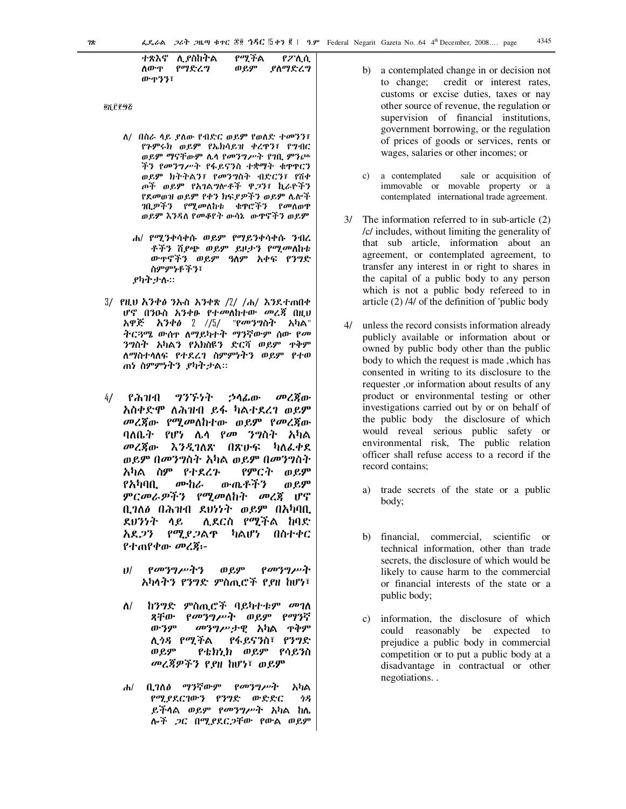የሚችል ተጽእኖ ሊ የስከትል የፖሊሲ ሰውዋ የማድረግ ወይም ያስማድረግ ውዋንን፣

0ሺ ሮ፻፵፩

- ለ/ በስራ ሳይ ያለው የብድር ወይም የወለድ ተመንን፣ የንምሩክ ወይም የኤክሳይዝ ቀረዋን፣ የግብር ወይም ማናቸውም ሌላ የመንግሥት የገቢ ምንጮ ችን የመንግሥት የፋይናንስ ተቋማት ቁዋዋርን ወይም ክትትልን፣ የመንግስት ብድርን፣ የሽቀ ጦች ወይም የአገልግሎቶች ዋጋን፣ ኪራዮችን የደመወዝ ወይም የቀን ክፍያዎችን ወይም ሌሎች ገቢ*ዎችን የሚመ*ለከቱ ቁዋሮችን የመለወዋ ወይም እንዳለ የመቆየት ውሳኔ -ውኖችን ወይም
	- ሐ/ የሚንቀሳቀሱ ወይም የማይንቀሳቀሱ ንብረ ቶችን ሽደጭ ወይም ይዞታን የሚመለከቱ ውዋኖችን ወይም ዓለም አቀፍ የንግድ ስምምነቶችን፣ *ያካትታ*ሉ።
- 3/ የዚህ አንቀ*ፅ* ንኡስ አንቀጽ /2/ /ሐ/ እንደተጠበቀ ሆኖ በንዑስ አንቀፁ የተመለከተው መረጃ በዚህ አዋጅ አንቀፅ 2 //5/ "የመንግስት አካል" ትርጓሜ ውስዮ ለማይካተት ማንኛውም ሰው የመ ንግስት አካልን የአክስዩን ድርሻ ወይም ዋቅም ለማስተሳለፍ የተደረገ ስምምነትን ወይም የተወ ጠነ ስምምነትን ያካትታል።
- $4/$ የሕዝብ ツグチケヤ ኃሳፊው መረጀው አስቀድሞ ለሕዝብ ይፋ ካልተደረገ ወይም መረጀው የሚመለከተው ወይም የመረጀው ባለቤት የሆነ ሌሳ የመ ንግስት አካል መረጀው እንዲገለጽ በጽሁፍ ካለፌቀደ ወይም በመንግስት አካል ወይም በመንግስት አካል ስም የተደረጉ የምርት  $\theta$   $\mathcal{C}$ ውጤቶችን የአካባቢ ሙከራ ወይም ምርመራዎችን የሚመለከት መረጃ ሆኖ ቢገለ∂ በሕዝብ ደህነነት ወይም በአካባቢ ሊደርስ የሚችል ከባድ ደሀንነት ሳይ አደ*ጋን የሚያጋ*ልዋ ካልሆነ በስተቀር የተጠየቀው መረጀ፡-
	- $11/$ የመንግሥትን  $QQQ^{\rm o}$ የመንግሥት አካላትን የንግድ ምስጢሮች የያዘ ከሆነ፣
	- *ከንግድ ምስጢሮች* ባይካተቱም *መገ*ለ ለ/ *የመንግሥት* ወይም የማንኛ ጻቸው ውንም *መንግሥታ*ዊ አካል ጥቅም የፋይናንስ፣ የንግድ ሊ*ጎጻ የሚች*ል ወይም የቴክኒክ ወይም የሳይንስ መረጃዎችን የያዘ ከሆነ፣ ወይም
	- ቢገለፅ ማንኛውም የመንግሥት አካል  $\mathbf{d}$ የሚያደርገውን የንግድ ውድድር ሳዳ ይችሳል ወይም የመንግሥት አካል ከሌ ሎች *ጋ*ር በሚያደር*ጋ*ቸው የውል ወይም
- a contemplated change in or decision not h) credit or interest rates, to change; customs or excise duties, taxes or nay other source of revenue, the regulation or supervision of financial institutions, government borrowing, or the regulation of prices of goods or services, rents or wages, salaries or other incomes; or
- c) a contemplated sale or acquisition of immovable or movable property or a contemplated international trade agreement.
- 3/ The information referred to in sub-article (2) /c/ includes, without limiting the generality of that sub article, information about an agreement, or contemplated agreement, to transfer any interest in or right to shares in the capital of a public body to any person which is not a public body refereed to in article  $(2)$  /4/ of the definition of 'public body
- $4/$ unless the record consists information already publicly available or information about or owned by public body other than the public body to which the request is made, which has consented in writing to its disclosure to the requester, or information about results of any product or environmental testing or other investigations carried out by or on behalf of the public body the disclosure of which would reveal serious public safety or environmental risk, The public relation officer shall refuse access to a record if the record contains:
	- a) trade secrets of the state or a public body;
	- financial, commercial, scientific or  $h$ technical information, other than trade secrets, the disclosure of which would be likely to cause harm to the commercial or financial interests of the state or a public body;
	- c) information, the disclosure of which could reasonably be expected to prejudice a public body in commercial competition or to put a public body at a disadvantage in contractual or other negotiations..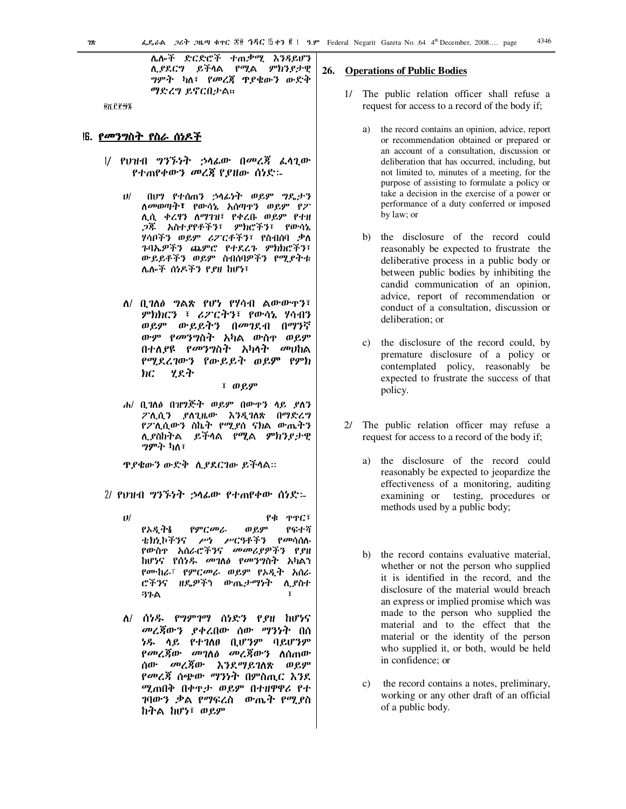ሌሎች ድርድሮች ተጠቃሚ እንዳይሆን ሊያደርግ ይችሳል የሚል ምክንያታዊ ግምት ካለ፣ የመረጃ ዋያቄውን ውድቅ ማድረግ ይኖርበታል።

<u>ወሽ ሮ የ ማኜ</u>

### !6. *የመንግ*ስት የስራ ሰነዶች

- |/ የህዝብ *ግንኙነት ኃ*ሳፊው በ*መረጃ* ፈሳጊው የተጠየቀውን መረጃ የያዘው ሰነድ፡-
	- በሆን የተሰጠን ኃሳፊነት ወይም ግዴታን  $11/$ ለመወጣት፣ የውሳኔ አሰጣዋን ወይም የፖ ሊሲ ቀረፃን ለማገዝ፣ የቀረቡ ወይም የተዘ *ጋጁ አስተያየቶችን*፣ ምክሮችን፣ የውሳኔ ሃሳቦችን ወይም ሪፖርቶችን፣ የስብሰባ ቃለ ጉባኤዎችን ጨምሮ የተደረጉ ምክክሮችን፣ ውይይቶችን ወይም ስብሰባዎችን የሚያትቱ ሌሎች ሰነዶችን የያዘ ከሆነ፣
	- ለ/ ቢገለፅ ግልጽ የሆነ የሃሳብ ልውውዋን፣ ምክክርን ፣ ሪፖርትን፣ የውሳኔ ሃሳብን ወይም ውይይትን በመገደብ በማንኛ ውም *የመንግ*ስት አካል ውስዋ ወይም በተለያዩ የመንግስት አካሳት መሀከል የሚደረገውን የውይይት ወይም የምክ ሃደት  $\bm{h}$  $\bm{c}$

 $\overline{P}$   $\theta$   $\theta$   $\theta$ 

ሐ/ ቢገለፅ በዝግጅት ወይም በውዋን ላይ ያለን ፖሊሲን ያለጊዜው እንዲገለጽ በማድረግ የፖሊሲውን ስኬት የሚያስ ናክል ውጤትን ሊያስከትል ይችሳል የሚል ምክንያታዊ ማምት ከለ፣

ዋያቄውን ውድቅ ሲያደርገው ይችሳል።

2/ የህዝብ ግንኙነት ኃሳፊው የተጠየቀው ሰነድ፡-

- $\boldsymbol{\upsilon}$ / የቁ ዋዋር፣ የምርመራ ወይም የፍተሻ የአዲትል ቴክኒኮችንና ሥነ ሥርዓቶችን የመሳሰሉ የውስዋ አሰራሮችንና *መመሪያዎችን* የ*ያ*ዘ ከሆነና የሰነዱ መገለፅ የመንግስት አካልን የሙከራ፣ የምርመራ ወይም የአዲት አሰራ ሮችንና ዘዴዎችን ውጤታማነት ሊያስተ **37A**
- ለ/ ሰነዱ የግምገማ ሰነድን የያዘ ከሆነና *መረጃ*ውን ያቀረበው ሰው ማንነት በሰ ነዱ ሳይ የተገለፀ ቢሆንም ባይሆንም *የመረጃ*ው *መገ*ለ∂ መረጃውን ለሰጠው ሰው መረጃው እንደማይገለጽ ወይም የመረጀ ሰጭው ማንነት በምስጢር እንደ ሚጠበቅ በቀዋታ ወይም በተዘዋዋሪ የተ ገባውን ቃል የማፍረስ ውጤት የሚያስ ከትል ከሆነ፣ ወይም

### **26.** Operations of Public Bodies

- 1/ The public relation officer shall refuse a request for access to a record of the body if;
	- the record contains an opinion, advice, report a) or recommendation obtained or prepared or an account of a consultation, discussion or deliberation that has occurred, including, but not limited to, minutes of a meeting, for the purpose of assisting to formulate a policy or take a decision in the exercise of a power or performance of a duty conferred or imposed by law; or
	- b) the disclosure of the record could reasonably be expected to frustrate the deliberative process in a public body or between public bodies by inhibiting the candid communication of an opinion, advice, report of recommendation or conduct of a consultation, discussion or deliberation: or
	- the disclosure of the record could, by  $c)$ premature disclosure of a policy or contemplated policy, reasonably be expected to frustrate the success of that policy.
- 2/ The public relation officer may refuse a request for access to a record of the body if;
	- the disclosure of the record could  $a)$ reasonably be expected to jeopardize the effectiveness of a monitoring, auditing examining or testing, procedures or methods used by a public body;
	- b) the record contains evaluative material, whether or not the person who supplied it is identified in the record, and the disclosure of the material would breach an express or implied promise which was made to the person who supplied the material and to the effect that the material or the identity of the person who supplied it, or both, would be held in confidence; or
	- the record contains a notes, preliminary,  $c)$ working or any other draft of an official of a public body.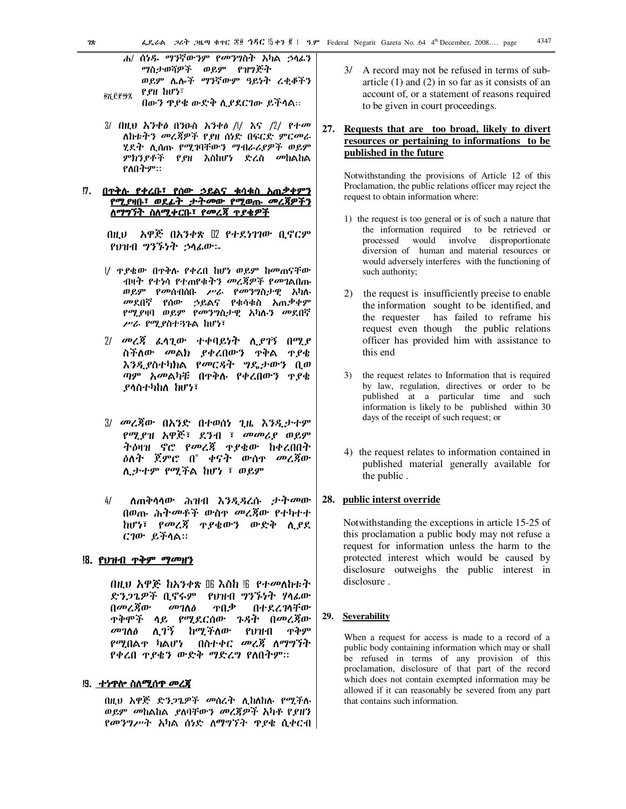ሐ/ ሰነዱ ማንኛውንም የመንግስት አካል ኃላፊን ማስታወሻዎች ወይም የዝግጅት ወይም ሌሎች ማንኛውም ዓይነት ረቀቆችን  $P.H$  hu'z ፼ሺ፫፻፵፯

በውን ዋያቄ ውድቅ ሲያደርገው ይችላል።

- 3/ በዚህ አንቀ*ፅ* በንዑስ አንቀ*ፅ |\|* እና *|*2/ የተ*መ* ለከቱትን መረጃዎች የያዘ ሰነድ በፍርድ ምርመራ ሂደት ሊሰጡ የሚገባቸውን ማብራሪያዎች ወይም ምክን*ያቶች የያ*ዘ እስከሆነ ድረስ መከልከል የለበትም።
- <u> 7. በጥቅሉ የቀረቡ፣ የሰው ኃይልና ቁሳቁስ አጠቃቀምን</u> <u>የሚያዛቡ፣ ወደፊት ታትመው የሚወጡ መረጃዎችን</u> <u>ለማግኘት ስለሚቀርቡ፣ የመረጃ ተያቄዎች</u>

የህዝብ ግንኙነት ኃሳፊው፡-

- |/ ዋ,የቄው በዋቅሉ የቀረበ ከሆነ ወይም ከመጠናቸው ብዛት የተነሳ የተጠየቁትን መረጃዎች የመገልበጡ ወይም የመሰብሰቡ ሥራ የመንግስታዊ አካሉ መደበኛ የሰው ኃይልና የቁሳቁስ አጠቃቀም የሚያዛባ ወይም የመንግስታዊ አካሉን መደበኛ ሥራ የሚያስተጓጉል ከሆነ፣
- 2/ መረጃ ፌሳጊው ተቀባይነት ሊያገኝ በሚያ ስችለው መልክ ያቀረበውን ዋቅል ዋያቄ እንዲያስተካክል የመርዳት ግዴታውን ቢወ ጣም አመልካቹ በተቅሉ የቀረበውን ዋያቄ ደሳስተካከለ ከሆነ፣
- 3/ መረጃው በአንድ በተወሰነ ጊዜ እንዲታተም የሚያዝ አዋጅ፣ ደንብ ፣ መመሪያ ወይም ትዕዛዝ ኖሮ የመረጃ ዋያቄው ከቀረበበት *እ*ለት ጀምሮ በ" ቀናት ውስ<sub>ፕ</sub> መረጃው ሊታተም የሚችል ከሆነ ፣ ወይም
- $4/$ ለጠቅሳሳው ሕዝብ እንዲዳረሱ ታትመው በወጡ ሕትመቶች ውስዋ መረጃው የተካተተ ከሆነ፣ የመረጃ ዋያቄውን ውድቅ ሲያደ ርገው ይችላል።

### <u> !8. የህዝብ ጥቅም ማመዘን</u>

በዚህ አዋጅ ከአንቀጽ ₪ እስከ ‼ የተመለከቱት ድንጋጌዎች ቢኖሩም የሀዝብ ግንኙነት ሃላፊው በመረጀው መገለፅ ዋበቃ በተደረገሳቸው <u> ተቅሞች ላይ የሚደርሰው ጉዳት በመረጃው</u> *መገ*ለፅ ሊ*ገኝ ከሚች*ለው የህዝብ ጥቅም *የሚ*በልዋ ካልሆነ - በስተቀር *መረጅ ለማግኘት* የቀረበ ዋያቄን ውድቅ ማድረግ የለበትም።

### !9. ተ*ነ*ዋሎ ስለሚሰዋ *መረጀ*

በዚህ አዋጅ ድንጋጌዎች መሰረት ሊከለከሉ የሚችሉ ወይም መከልከል ያለባቸውን መረጃዎች አካቶ የያዘን የመንግሥት አካል ሰነድ ለማግኘት ዋያቄ ሲቀርብ

- 3/ A record may not be refused in terms of subarticle  $(1)$  and  $(2)$  in so far as it consists of an account of, or a statement of reasons required to be given in court proceedings.
- 27. Requests that are too broad, likely to divert resources or pertaining to informations to be published in the future

Notwithstanding the provisions of Article 12 of this Proclamation, the public relations officer may reject the request to obtain information where:

- 1) the request is too general or is of such a nature that the information required to be retrieved or processed would involve disproportionate diversion of human and material resources or would adversely interferes with the functioning of such authority;
- 2) the request is insufficiently precise to enable the information sought to be identified, and the requester has failed to reframe his request even though the public relations officer has provided him with assistance to this end
- 3) the request relates to Information that is required by law, regulation, directives or order to be published at a particular time and such information is likely to be published within 30 days of the receipt of such request; or
- 4) the request relates to information contained in published material generally available for the public.

### 28. public interst override

Notwithstanding the exceptions in article 15-25 of this proclamation a public body may not refuse a request for information unless the harm to the protected interest which would be caused by disclosure outweighs the public interest in disclosure.

#### **Severability** 29.

When a request for access is made to a record of a public body containing information which may or shall be refused in terms of any provision of this proclamation, disclosure of that part of the record which does not contain exempted information may be allowed if it can reasonably be severed from any part that contains such information.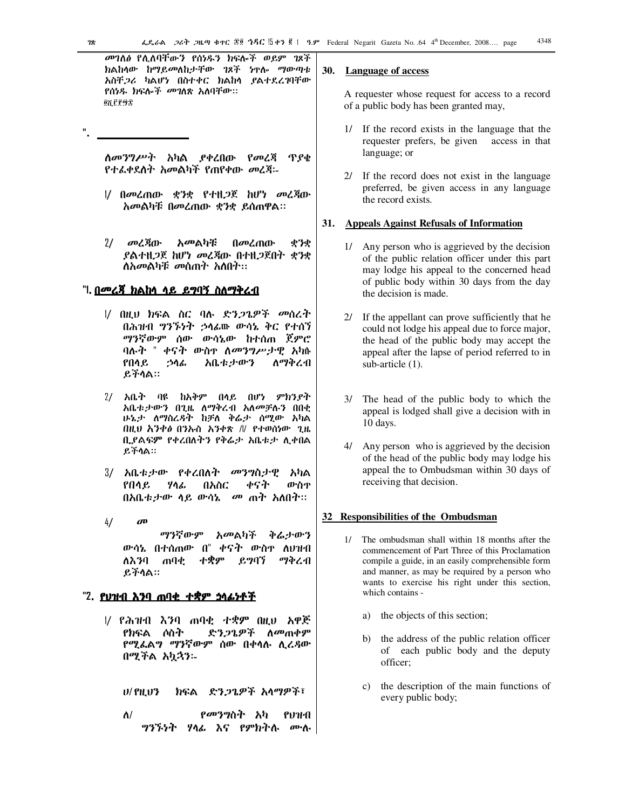መገለፅ የሊለባቸውን የሰነዱን ክፍሎች ወይም ገጾች ክልከላው ከማይመለከታቸው ገጾች ነዋሎ ማውጣቱ አስቸ*ጋሪ* ካልሆነ በስተቀር ክልከላ ያልተደረገባቸው የሰነዱ ክፍሎ*ች መገ*ለጽ አለባቸው። ôሽ ፫፻፵፰

*ስመንግሥት አካ*ል ያቀረበው የመረጃ ጥያቄ የተፌቀደስት አመልካች የጠየቀው *መ*ረጃ፡-

- |/ በመረጠው ቋንቋ የተዘ*ጋ*ጀ ከሆነ መረጃው አመልካቹ በመረጠው ቋንቋ ይሰጠዋል።
- $2/$ መረጃው አመልካቹ በመረጠው ቋንቋ ያልተዘ*ጋ*ጀ ከሆነ መረጃው በተዘ*ጋ*ጀበተ ቋንቋ ለአመልካቹ መሰጠተ አስበተ፡፡

### "l. <u>በመረጃ ክልከላ ላይ ይግባኝ ስለማቅረብ</u>

- 1/ በዚህ ክፍል ስር ባሉ ድን*ጋ*ጌዎች መሰረት በሕዝብ ግንኙነት ኃሳፊው ውሳኔ ቅር የተሰኘ *ማንኛውም* ሰው ውሳኔው ከተሰጠ ጀምሮ ባሉት " ቀናት ውስኖ ለ*መንግሥታ*ዊ አካሉ አቤቱታውን የበሳይ ኃሳፊ ለማቅረብ ይችሳል።
- 2/ አቤት ባዩ ከአቅም በሳይ በሆነ ምክንያት አቤቱታውን በጊዜ ለማቅረብ አለመቻሉን በበቂ ሁኔታ ለማስረዳት ከቻለ ቅሬታ ሰሚው አካል በዚህ እንቀፅ በንኡስ አንቀጽ // የተወሰነው ጊዜ ቢያልፍም የቀረበለትን የቅሬታ አቤቱታ ሊቀበል ይችሳል።
- 3/ አቤቱታው የቀረበለት *መ*ንግስታዊ አካል የበሳይ ሃሳፊ በአስር ቀናት ውስዋ በአቤቱታው ላይ ውሳኔ \_ መ ጠት አለበት።
- $4/$  $\boldsymbol{d}$ ማንኛውም *አመ*ልካች ቅሬታውን ውሳኔ በተሰጠው በ" ቀናት ውስኖ ለሀዝብ ይግባኘ ማቅረብ ለእንባ ጠባቂ ተቋም ይችሳል።

### "2. <u>የህዝብ እንባ ጠባቂ ተቋም ነላፊነቶች</u>

1/ የሕዝብ እንባ ጠባቂ ተቋም በዚህ አዋጅ የክፍል ሶስት ድን*ጋ*ጌዎች ለ*መ*ጠቀም የሚፌልግ ማንኛውም ሰው በቀሳሉ ሲረዳው በሚችል አኳኋን፡-

**U/ PH U3** ክፍል ድንጋጌዎች አላማዎች፣

*የመንግ*ስት  $\Lambda$ / አካ P1) 11-A *ግንኙነት ሃ*ላፊ እና የምክትሉ ሙሉ

#### **30. Language of access**

A requester whose request for access to a record of a public body has been granted may,

- If the record exists in the language that the requester prefers, be given access in that language; or
- 2/ If the record does not exist in the language preferred, be given access in any language the record exists.

### 31. Appeals Against Refusals of Information

- 1/ Any person who is aggrieved by the decision of the public relation officer under this part may lodge his appeal to the concerned head of public body within 30 days from the day the decision is made.
- 2/ If the appellant can prove sufficiently that he could not lodge his appeal due to force major, the head of the public body may accept the appeal after the lapse of period referred to in sub-article (1).
- The head of the public body to which the appeal is lodged shall give a decision with in  $10 \text{ days}$ .
- 4/ Any person who is aggrieved by the decision of the head of the public body may lodge his appeal the to Ombudsman within 30 days of receiving that decision.

### 32 Responsibilities of the Ombudsman

- 1/ The ombudsman shall within 18 months after the commencement of Part Three of this Proclamation compile a guide, in an easily comprehensible form and manner, as may be required by a person who wants to exercise his right under this section, which contains
	- a) the objects of this section;
	- $h$ ) the address of the public relation officer of each public body and the deputy officer;
	- c) the description of the main functions of every public body;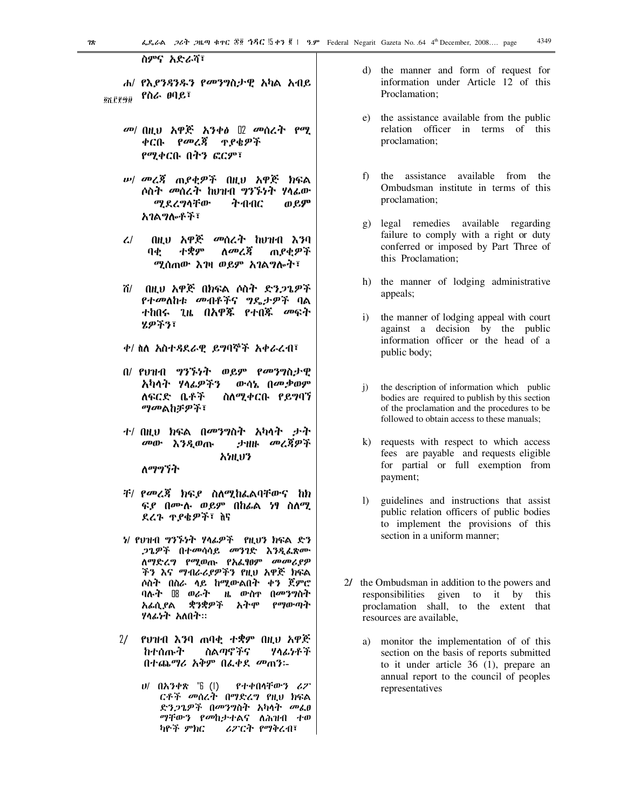ስምና አድራሻ፣

ሐ/ የእ*ያንጻንዱን የመንግ*ስታዊ አካል አብይ የስራ ፀባይ፣ **ON CP9D** 

- ቀርቡ *የመረጃ* ዋ*ያ*ቄዎች የሚቀርቡ በትን ፎርም፣
- *ሡ| መሬጃ* ጠ*ያ*ቂዎች በዚህ አዋጅ ክፍል ሶስት *መ*ሰረት ከሀዝብ ግንኙነት ሃላፊው *ማ* ደረግሳቸው ትብብር ወይም አባልማሎቶች፣
- በዚህ አዋጅ መሰረት ከህዝብ እንባ  $\mathcal{L}$ <u>ለመረጃ</u>  $\theta$ ተቋም ጠያቂዎች ሚሰጠው እገዛ ወይም አገልግሎት፣
- በዚህ አዋጅ በክፍል ሶስት ድንጋጌዎች ሽ/ ተከበሩ ጊዜ በ<mark>አዋጁ የ</mark>ተበጁ *መ*ፍት ሂዎችን፣
- ቀ/ ስለ አስተዳደራዊ ይግባኞች አቀራረብ፣
- በ/ የህዝብ ግንኙነት ወይም የመንግስታዊ ውሳኔ በመቃወም አካላት ሃላፊዎችን ለፍርድ ቤቶች ስለሚቀርቡ የይግባኘ *ማመ*ልከቻዎች፣
- *ተ/* በዚህ ክፍል በ*መንግ*ስት አካላት ታት መው እንዲወጡ ታዘዙ መረጃዎች አነዚህን ለማግኘት
	-
- *ች/ የመረጃ ክ*ፍያ ስለሚከፌልባቸውና ከክ ፍ*ደ በ*ሙሉ ወይም በከፊል *ነ*ፃ ስለሚ ደረጉ ጥያቄዎች፣ ስና
- *ነ*/ የህዝብ ግንኙነት ሃላፊዎች የዚህን ክፍል ድን *ጋጌዎች* በተመሳሳይ መንገድ እንዲፌጽሙ ለማድረግ የሚወጡ የአፌፃፀም *መመሪ*ያዎ ችን እና ማብራሪያዎችን የዚህ አዋጅ ክፍል <u>ሶስት በስራ ላይ ከሚውልበት ቀን ጀምሮ</u> ዜ ውስ<u>ዋ በመን</u>ግስት ባሉት ₪ ወራት ቋንቋዎች የማውጣት አፊሲ የል አትሞ ሃሳፊነት አለበት።
- $2/$ የህዝብ እንባ ጠባቂ ተቋም በዚህ አዋጅ ከተሰጡት ስልጣኖችና ソクムケチチ በተጨማሪ አቅም በፌቀደ መጠን፡-
	- ሀ/ በአንቀጽ "6 (1) የተቀበሳቸውን ሪፖ ርቶች መሰረት በማድረግ የዚህ ክፍል ድንጋጌዎች በመንግስት አካላት መሬፀ ማቸውን የመከታተልና ለሕዝብ ተወ ሪፖርት የማቅረብ፣ ካዮች ምክር
- d) the manner and form of request for information under Article 12 of this Proclamation:
- e) the assistance available from the public relation officer in terms of this proclamation;
- f) the assistance available from the Ombudsman institute in terms of this proclamation:
- legal remedies available regarding  $g)$ failure to comply with a right or duty conferred or imposed by Part Three of this Proclamation;
- h) the manner of lodging administrative appeals;
- $i)$ the manner of lodging appeal with court against a decision by the public information officer or the head of a public body;
- the description of information which public  $i)$ bodies are required to publish by this section of the proclamation and the procedures to be followed to obtain access to these manuals;
- k) requests with respect to which access fees are payable and requests eligible for partial or full exemption from payment;
- $1)$ guidelines and instructions that assist public relation officers of public bodies to implement the provisions of this section in a uniform manner;
- 2/ the Ombudsman in addition to the powers and responsibilities given to it by this proclamation shall, to the extent that resources are available.
	- a) monitor the implementation of of this section on the basis of reports submitted to it under article 36 (1), prepare an annual report to the council of peoples representatives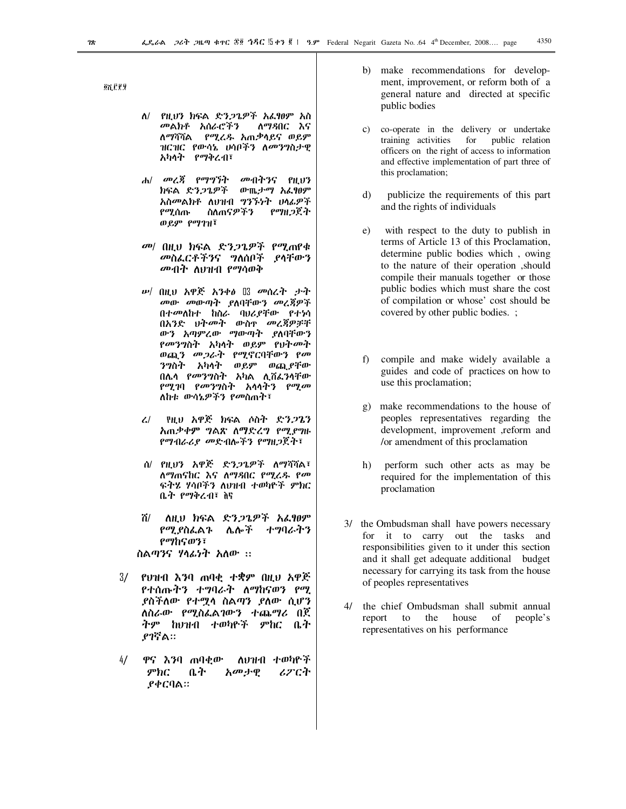27.78

- ለ/ የዚህን ክፍል ድንጋጌዎች አፌፃፀም አስ *መ*ልክቶ አሰራሮችን ለማዳበር እና ለማሻሻል የሚረዱ አጠቃሳይና ወይም ዝርዝር የውሳኔ ሀሳቦችን ለ*መንግ*ስታዊ አካሳት የማቅረብ፣
- ሐ/ መረጃ የማግኘት *መ*ብትንና የዚህን ክፍል ድንጋጌዎች ውጤታማ አፌፃፀም አስመልክቶ ለህዝብ ግንኙነት ሀሳፊዎች ስለጠናዎችን የማዘጋጀት የሚሰጡ ወይም የማገዝ፣
- መ/ በዚህ ክፍል ድንጋጌዎች የሚጠየቁ መስፌርቶችንና ግለሰቦች ያሳቸውን *መብት* ለህዝብ የማሳወቅ
- መው መውጣት ያለባቸውን መረጃዎች በተመለከተ ከስራ ባህሪያቸው የተነሳ በአንድ ህትመት ውስዮ መረጃዎቻቸ ውን አጣምረው ማውጣት ያለባቸውን<br>*የመንግ*ስት አካሳት ወይም የህት*መ*ት ወጪን መጋራት የሚኖርባቸውን የመ *ንግ*ስት አካላት ወይም ወጪ,የቸው በሌሳ የመንግስት አካል ሊሽፌንሳቸው የሚገባ የመንግስት አሳሳትን የሚመ ለከቱ ውሳኔዎችን የመስጠት፣
- የዚህ አዋጅ ክፍል ሶስት ድንጋጌን  $\mathcal{L}$ አጠቃቀም ግልጽ ለማድረግ የሚደግዙ *የማብራሪያ መ*ድብሎችን የማዘ*ጋ*ጀት፣
- ሰ/ የዚህን አዋጅ ድ*ንጋጌዎች* ለማሻሻል፣ ለማጠናከር እና ለማዳበር የሚረዱ የመ ፍትሄ ሃሳቦችን ለህዝብ ተወካዮች ምክር ቤት የማቅረብ፣ ስና
- ለዚህ ክፍል ድንጋጌዎች አፌፃፀም ሽ/ የሚያስፌልጉ ሌሎች ナツリムヤツ የማከናወን፣ ስልጣንና ሃላፌነት አለው ::
- $3/$ የህዝብ እንባ ጠባቂ ተቋም በዚህ አዋጅ የተሰጡትን ተግባራት ለማከናወን የሚ *ያስችለው የተማሳ ስልጣን ያለው ሲሆን* ለስራው የሚስፌልገውን ተጨማሪ በጀ ትም ከህዝብ ተወካዮች ምከር ቤተ ያገኛል።
- $4/$ ዋና እንባ ጠባቂው ለህዝብ ተወካዮች  $\mathcal{P}bC$ ቤት አመታዊ ሪፖርት ያቀርባል።
- b) make recommendations for development, improvement, or reform both of a general nature and directed at specific public bodies
- $c)$ co-operate in the delivery or undertake training activities for public relation officers on the right of access to information and effective implementation of part three of this proclamation;
- $\mathcal{L}$ publicize the requirements of this part and the rights of individuals
- with respect to the duty to publish in  $e)$ terms of Article 13 of this Proclamation, determine public bodies which, owing to the nature of their operation, should compile their manuals together or those public bodies which must share the cost of compilation or whose' cost should be covered by other public bodies. ;
- $f$ ) compile and make widely available a guides and code of practices on how to use this proclamation;
- g) make recommendations to the house of peoples representatives regarding the development, improvement ,reform and or amendment of this proclamation
- $h)$ perform such other acts as may be required for the implementation of this proclamation
- 3/ the Ombudsman shall have powers necessary for it to carry out the tasks and responsibilities given to it under this section and it shall get adequate additional budget necessary for carrying its task from the house of peoples representatives
- 4/ the chief Ombudsman shall submit annual people's the house of report to representatives on his performance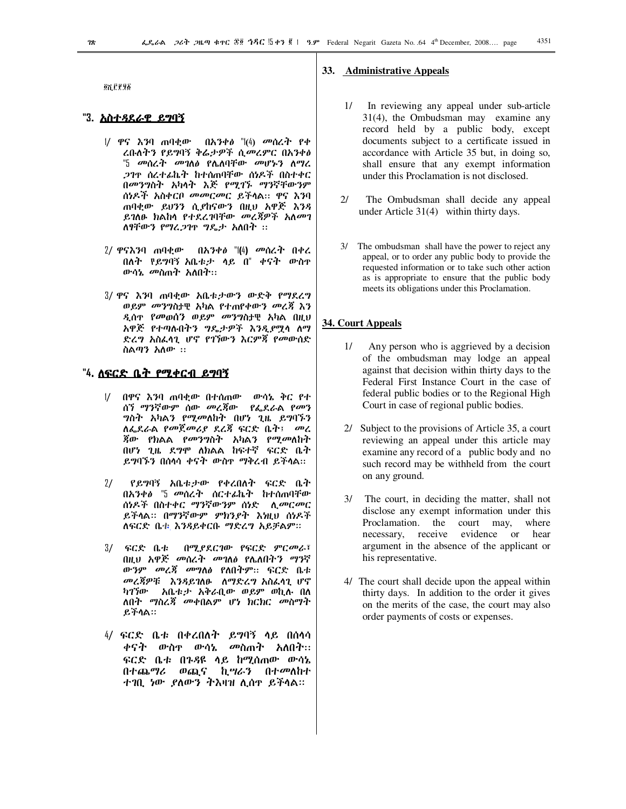**ØN.C.P.96** 

### "3. <u>አስተ*ዳ*ደራዊ ይግባኝ</u>

- 1/ ዋና እንባ ጠባቂው በአንቀፅ "(4) መሰረት የቀ ረቡለትን የይግባኝ ቅሬታዎች ሲመረምር በአንቀፅ "5 መሰረት መገለፅ የሌለባቸው መሆኑን ለማረ 21ዋ ስሬተፊኬት ከተሰጠባቸው ሰነዶች በስተቀር በመንግስት አካላት እጅ የሚገኙ ማንኛቸውንም ሰነዶች አስቀርቦ *መመርመር ይች*ሳል። ዋና እንባ ጠባቂው ይህንን ሲያከናውን በዚህ አዋጅ እንዳ ይገለፁ ክልከሳ የተደረገባቸው መረጃዎች አለመገ ለፃቸውን የማሬጋገዋ ግዴታ አለበት ፡፡
- 2/ ዋናእንባ ጠባቂው በአንቀ∂ "l⑷ መሰረት በቀረ በለት የይግባኝ አቤቱታ ላይ በ" ቀናት ውስተ ውሳኔ መስጠት አለበት።
- 3/ ዋና እንባ ጠባቂው አቤቱታውን ውድቅ የማደረግ ወይም መንግስታዊ አካል የተጠየቀውን መረጃ እን ዲሰዋ የመወሰን ወይም መንግስታዊ አካል በዚህ አዋጅ የተጣሉበትን ግዴታዎች እንዲያሟሳ ለማ ድረግ አስፌሳጊ ሆኖ የገኘውን እርምጃ የመውሰድ ስልጣን አለው ::

### "4. <u>ለፍርድ ቤት የሚቀርብ ይግባኝ</u>

- $\frac{1}{2}$ በዋና እንባ ጠባቂው በተሰጠው ውሳኔ ቅር የተ ሰኘ ማንኛውም ሰው *መረጀ*ው *የ*ፌደራል *የመ*ን *ግ*ስት አካልን የሚመለከት በሆነ ጊዜ ይግባኙን ለፌደራል የመጀመሪያ ደረጃ ፍርድ ቤት፤ - መረ ጃው የክልል የ*መንግ*ስት አካልን የሚመለከት በሆነ ጊዜ ደግሞ ለክልል ከፍተኛ ፍርድ ቤት ይግባኙን በሰሳሳ ቀናት ውስዋ ማቅረብ ይችሳል፡፡
- $2/$ የይግባኝ አቤቱታው የቀረበለት ፍርድ ቤት በአንቀል "5 መሰረት ሰርተፊኬት ከተሰጠባቸው ሰነዶች በስተቀር ማንኛውንም ሰነድ *ሲመርመር* ይችላል። በማንኛውም ምክንያት እነዚህ ሰነዶች ለፍርድ ቤቱ እንዳይቀርቡ ማድረግ አይቻልም።
- $3/$   $6C$ ድ ቤቱ በሚያደርገው የፍርድ ምርመራ፣ በዚህ አዋጅ መሰረት መገለፅ የሌለበትን ማንኛ ውንም መረጃ መግለፅ የለበትም። ፍርድ ቤቱ መረጃዎቹ እንዳይገለፁ ለማድረግ አስፌሳጊ ሆኖ ካገኘው አቤቱታ አቅራቢው ወይም ወኪሉ በለ ለበት ማስረጃ መቀበልም ሆነ ክርክር መስማት ይችሳል።
- 4/ ፍርድ ቤቱ በቀረበለት ይግባኝ ላይ በሰላሳ ቀናት ውስ<u>ም ውሳኔ መስ</u>ጠት አለበት፡፡ ፍርድ ቤቱ በጉዳዩ ላይ ከሚሰጠው ውሳኔ በተጨ*ግሪ* ወጪና ኪ*ግራን* በተ*መ*ለከተ ተገቢ ነው ያለውን ትእዛዝ ሊሰዋ ይችላል።

### 33. Administrative Appeals

- In reviewing any appeal under sub-article  $1/$  $31(4)$ , the Ombudsman may examine any record held by a public body, except documents subject to a certificate issued in accordance with Article 35 but, in doing so, shall ensure that any exempt information under this Proclamation is not disclosed.
- $2l$ The Ombudsman shall decide any appeal under Article  $31(4)$  within thirty days.
- 3/ The ombudsman shall have the power to reject any appeal, or to order any public body to provide the requested information or to take such other action as is appropriate to ensure that the public body meets its obligations under this Proclamation.

### 34. Court Appeals

- $1/\sqrt{2}$ Any person who is aggrieved by a decision of the ombudsman may lodge an appeal against that decision within thirty days to the Federal First Instance Court in the case of federal public bodies or to the Regional High Court in case of regional public bodies.
- 2/ Subject to the provisions of Article 35, a court reviewing an appeal under this article may examine any record of a public body and no such record may be withheld from the court on any ground.
- 3/ The court, in deciding the matter, shall not disclose any exempt information under this Proclamation. the court may, where necessary, receive evidence or hear argument in the absence of the applicant or his representative.
- 4/ The court shall decide upon the appeal within thirty days. In addition to the order it gives on the merits of the case, the court may also order payments of costs or expenses.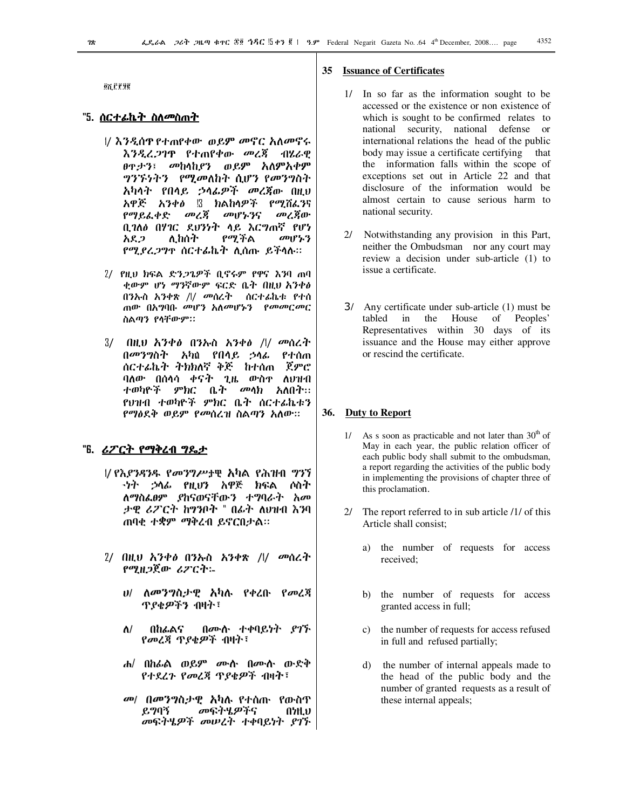**ON CP 98** 

### "5. <u>ስርተፊኬት ስለ<sup>መ</sup>ስጠት</u>

- |/ እንዲሰዋ የተጠየቀው ወይም መኖር አለመኖሩ እንዲረጋገዋ የተጠየቀው መረጀ ብሃ.ራዋ <sub>በጥታን፤</sub> መከላከ*ያን* ወይም አለምአቀም *ግንኙነትን የሚመ*ለከት ሲሆን የመንግስት አካላት የበላይ ኃላፊዎች መረጀው በዚህ አዋጅ አንቀፅ !3 ክልከላዎች የሚሽፌንና የማይራቀድ መረጃ መሆኑንና መረጀው ቢገለፅ በሃገር ደህንነት ላይ እርግጠኛ የሆነ ለ ከሰት የማችል  $\omega_1$   $P'_2$   $P'_3$ አደ ጋ *የሚያሬጋግ*ዋ ሰርተፊኬት ሊሰጡ ይችላሉ።
- 2/ የዚህ ክፍል ድን*ጋ*ጌዎች ቢኖሩም የዋና እንባ ጠባ ቂውም ሆነ ማንኛውም ፍርድ ቤት በዚህ አንቀፅ በንኡስ አንቀጽ /// መሰረት ሰርተፊኬቱ የተሰ ጠው በአማባቡ መሆን አለመሆኑን የመመርመር ስልጣን የሳቸውም።
- $3/$ \_በዚህ አንቀፅ\_ በንኡስ\_ አንቀፅ\_ /// *መ*ሰረት በመንግስት አካል የበሳይ ኃሳፊ የተሰጠ ሰርተፊኬት ትክክለኛ ቅጅ ከተሰጠ ጀምሮ ባለው በሰሳሳ ቀናት ጊዜ ውስዋ ለህዝብ ተወካዮች ምክር ቤት *መላክ* አለበት። የህዝብ ተወካዮች ምክር ቤት ሰርተፊኬቱን የማፅደቅ ወይም የመሰረዝ ስልጣን አለው።

### "Б. <u>ሪፖርት የማቅረብ ግዴታ</u>

- 1/ የእያንዳንዱ የመንግሥታዊ አካል የሕዝብ ግንኘ *-ነት ኃ*ላፊ የዚህን አዋጅ ክፍል ሶስት ለማስፌፀም ያከናወናቸውን ተግባራት አመ ታዊ ሪፖርት ከግንቦት " በፊት ለህዝብ እንባ ጠባቂ ተቋም ማቅረብ ይኖርበታል።
- 2/ በዚህ አንቀፅ በንኡስ አንቀጽ /l/ መሰረተ የሚዘ*ጋ*ጀው *ሪፖርት*፡-
	- *ህ/ ለመንግ*ስታዊ አካሉ የቀረቡ የመረጃ ጥ*ያቂዎችን* ብዛት፣
	- በሙሱ ተቀባይነት ያገኙ  $\Lambda$ / በከፊልና የመረጃ ጥያቄዎች ብዛት፣
	- ሐ/ በከራል ወይም ሙሉ በሙሉ ውድቅ የተደረጉ የመረጃ ጥያቄዎች ብዛት፣
	- መ/ በመንግስታዊ አካሉ የተሰጡ የውስጥ ይግባኝ *መ*ፍትሄ*ዎ*ችና A7H.V መፍትሄዎች መሠረት ተቀባይነተ ያገጉ

### 35 Issuance of Certificates

- 1/ In so far as the information sought to be accessed or the existence or non existence of which is sought to be confirmed relates to national security, national defense or international relations the head of the public body may issue a certificate certifying that the information falls within the scope of exceptions set out in Article 22 and that disclosure of the information would be almost certain to cause serious harm to national security.
- $2l$ Notwithstanding any provision in this Part, neither the Ombudsman nor any court may review a decision under sub-article (1) to issue a certificate.
- 3/ Any certificate under sub-article (1) must be tabled  $\dot{m}$ the House  $\circ$  of Peoples' Representatives within 30 days of its issuance and the House may either approve or rescind the certificate.

#### **36. Duty to Report**

- 1/ As s soon as practicable and not later than  $30<sup>th</sup>$  of May in each year, the public relation officer of each public body shall submit to the ombudsman, a report regarding the activities of the public body in implementing the provisions of chapter three of this proclamation.
- 2/ The report referred to in sub article /1/ of this Article shall consist:
	- the number of requests for access a) received:
	- b) the number of requests for access granted access in full;
	- c) the number of requests for access refused in full and refused partially;
	- $\mathbf{d}$ the number of internal appeals made to the head of the public body and the number of granted requests as a result of these internal appeals;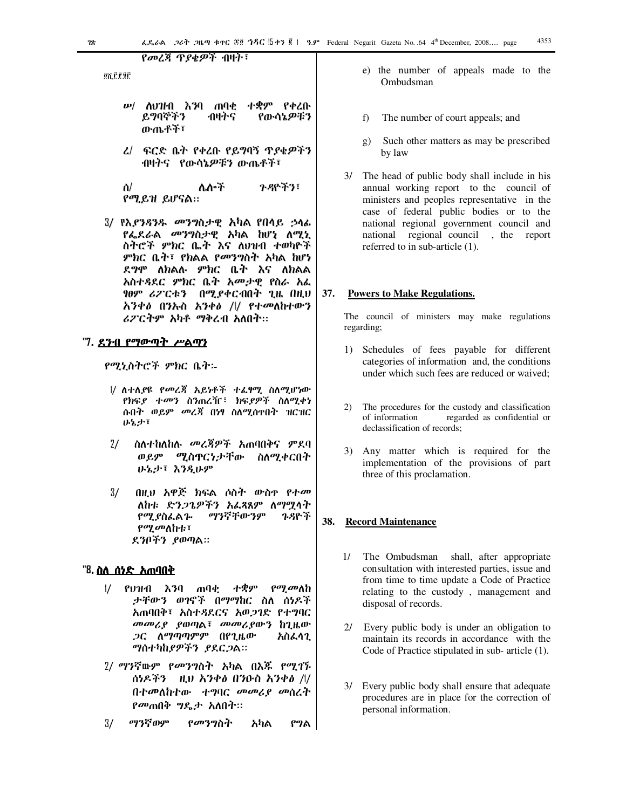<u>የመረጃ ጥያቂዎች ብዛት፣</u>

**QY LEAR** 

- ሥ/ ሰህዝብ እንባ ጠባቂ **ተቋም የቀ**ረቡ ይማባኞችን ብዛትና የውሳኔዎቹን ውጤቶች፣
- *ፈ*/ ፍርድ ቤት የቀረቡ የይግባኝ ጥያቄዎችን ብዛትና የውሳኔዎቹን ውጤቶች፣

ንዳዮችን፣ ሌሎች ስ/ የሚይዝ ይሆናል።

3/ የእ*ያንጻንዱ መንግ*ስታዊ አካል የበላይ ኃላፊ የፌደራል *መ*ንግስታዊ አካል ከሆነ ለሚኒ ስትሮች ምክር ቤት እና ለሀዝብ ተወካዮች ምክር ቤት፣ የክልል የመንግስት አካል ከሆነ ደ*ግ*ሞ ለክልሉ ምክር ቤት እና ለክልል አስተዳደር ምክር ቤት አመታዊ የስራ አፌ ፃፀም ሪፖርቱን በሚያቀርብበት ጊዜ በዚህ አንቀፅ በንኡስ አንቀፅ /l/ የተመለከተውን ሪፖርትም አካቶ ማቅረብ አለበት።

### "7. <u>ደንብ የማውጣት ሥልጣን</u>

የሚኒስትሮች ምክር ቤት፡-

- |/ ለተለያዩ የመረጃ አይነቶች ተሬፃሚ ስለሚሆነው የክፍያ ተመን ስንጠረዥ፣ ክፍያዎች ስለሚቀነ ሱበት ወይም መረጃ በነፃ ስለሚሰተበት ዝርዝር ひとよき
- $2/$ ስለተከለከሉ መረጃዎች አጠባበቅና ምደባ ወይም ሚስዋርነታቸው ስለሚቀርበት ひちよき えろえひダ
- $3/$ በዚህ አዋጅ ክፍል ሶስት ውስዋ የተመ ለከቱ ድንጋጌዎችን አፌጻጸም ለማማሳት ማንኛቸውንም የሚያስፌልጕ ጉዳዮች የሚመለከቱ፣ ደንቦችን ያወጣል።

### "8. <u>ስለ ሰንድ አጠባበቅ</u>

- $\frac{1}{2}$ የህዝብ እንባ ጠባቂ ተቋም *የማ መ*ለከ ታቸውን ወገኖች በማማከር ስለ ሰነዶች አጠባበቅ፣ አስተዳደርና አወጋገድ የተግባር መመሪያ ያወጣል፣ መመሪያውን ከጊዜው *ጋር ለማጣጣምም* በየጊዜው አስፌሳጊ ማስተካከያዎችን ያደርጋል።
- 2/ ማንኛውም *የመንግ*ስት አካል በእ*ጁ የሚገኙ* ሰነዶችን **ዛ.ህ አንቀ**ል በንዑስ አንቀል /l/ በተመለከተው ተግባር መመሪያ መሰረት *የመ*ጠበቅ *ግ*ዴታ አለበት።
- $3/$ ማንኛወም *የመን*ማስት አካል የግል
- e) the number of appeals made to the Ombudsman
- $f$ The number of court appeals; and
- Such other matters as may be prescribed g) by law
- 3/ The head of public body shall include in his annual working report to the council of ministers and peoples representative in the case of federal public bodies or to the national regional government council and national regional council , the report referred to in sub-article (1).

#### $37.$ **Powers to Make Regulations.**

The council of ministers may make regulations regarding;

- 1) Schedules of fees payable for different categories of information and, the conditions under which such fees are reduced or waived:
- 2) The procedures for the custody and classification of information regarded as confidential or declassification of records;
- 3) Any matter which is required for the implementation of the provisions of part three of this proclamation.

#### 38. **Record Maintenance**

- 1/ The Ombudsman shall, after appropriate consultation with interested parties, issue and from time to time update a Code of Practice relating to the custody, management and disposal of records.
- 2/ Every public body is under an obligation to maintain its records in accordance with the Code of Practice stipulated in sub- article (1).
- 3/ Every public body shall ensure that adequate procedures are in place for the correction of personal information.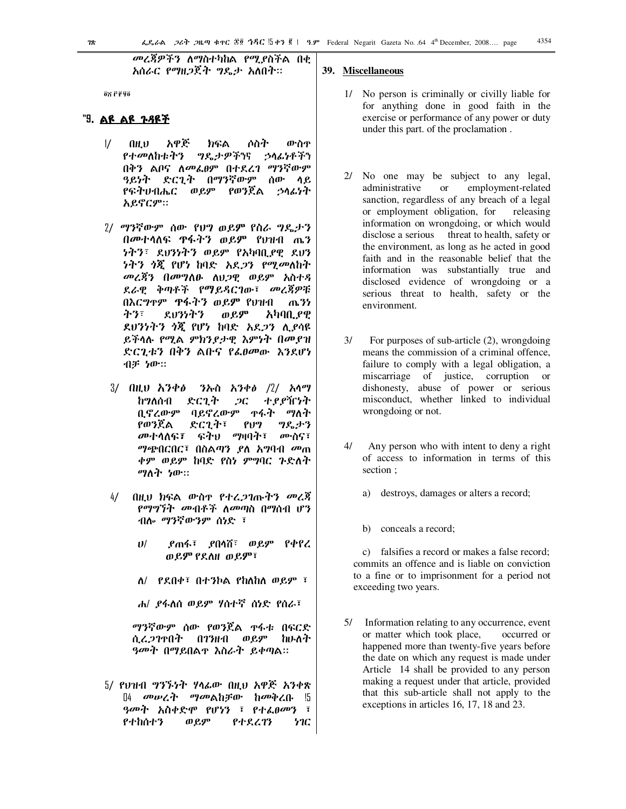*መረጃዎችን ለማ*ስተካከል *የሚያ*ስችል በቂ አሰራር የማዘጋጀት ግዴታ አለበት።

ax Pega

### "9. ልዩ ልዩ <u>ኑዳዩች</u>

- አዋጅ  $\frac{1}{2}$ ውስዋ AH.V ክፍል ሶስት የተመለከቱትን *ግ*ዴታዎችንና ኃሳፊነቶችን በቅን ልቦና ለመፌፀም በተደረገ ማንኛውም ዓይነት ድርጊት በማንኛውም ሰው ሳይ የፍትሀብሔር ወይም የወንጀል うへんりれ አይኖርም።
- 2/ ማንኛውም ሰው የህግ ወይም የስራ ግዴታን በመተሳለፍ ዋፋትን ወይም የ**ህዝብ** ጤን *ነትን፣ ደህንነትን ወይም የአካ*ባቢ*ያ*ዊ ደህን *ነትን ጎጂ የሆነ* ከባድ *አደጋን የሚመ*ለከት መረጃን በመግለፁ ለህጋዊ ወይም አስተዳ ደራዊ ቅጣቶች የማይዳርገው፣ መረጃዎቹ በእርግጥም ዋፋትን ወይም የህዝብ ጤንን ネツミ ደህንነትን ወይም አካባቢ የዊ ደሀንነትን ጎጇ የሆነ ከባድ አደ*ጋ*ን ሊያሳዩ ይችላሉ የሚል ምክንያታዊ እምነት በመያዝ ድርጊቱን በቅን ልቡና የፌፀመው እንደሆነ ብቻ ነው።
- 3/ በዚህ **አ**ንቀ*ፅ ን*ሎስ አንቀ*ፅ /*2/ አሳማ ከማለሰብ ድርጊት  $2C$ ተያያዥነት በኖረውም ባይኖረውም ቀፋት ማለት የወንጀል ድርጊት፣  $PU$ ግዱታን *መ*ተሳለፍ፣ ፍትህ ማዛባት፣ ሙስና፣ *ግጭ*በርበር፣ በስልጣን ያለ አግባብ መጠ ቀም ወይም ከባድ የስነ ምግባር ጉድለት ማለት ነው።
- በዚህ ክፍል ውስዋ የተረ*ጋገ*ጡትን መረጃ  $4/$ የማግኘት መብቶች ለመጣስ በማሰብ ሆን ብሎ ማንኛውንም ሰነድ ፣
	- ደጠፋ፣ ደበሳሽ፣ ወይም የቀየረ  $11/$ ወይም የደለዘ ወይም፣
	- $\Lambda$ / የደበቀ፣ በተንኮል የከለከለ ወይም ፣
	- ሐ/ ያፋለስ ወይም ሃሰተኛ ሰነድ የሰራ፣

ማንኛውም ሰው የወንጀል ዋፋቱ በፍርድ ሲረ*ጋ*ገተበት በገንዘብ ወይም ከሁለት *ዓመት* በማይበል**ተ እስራት ይቀ**ጣል።

5/ የህዝብ ግንኙነት ሃሳፊው በዚህ አዋጅ አንቀጽ በ4 መሠረት ማመልከቻው ከመቅረቡ !5 ዓመት አስቀድሞ የሆነን ፣ የተፌፀመን ፣ የተከሰተን ወይም የተደረገን ነገር

### 39. Miscellaneous

- 1/ No person is criminally or civilly liable for for anything done in good faith in the exercise or performance of any power or duty under this part. of the proclamation.
- 2/ No one may be subject to any legal, administrative **or** employment-related sanction, regardless of any breach of a legal or employment obligation, for releasing information on wrongdoing, or which would disclose a serious threat to health, safety or the environment, as long as he acted in good faith and in the reasonable belief that the information was substantially true and disclosed evidence of wrongdoing or a serious threat to health, safety or the environment.
- $3/$ For purposes of sub-article  $(2)$ , wrongdoing means the commission of a criminal offence, failure to comply with a legal obligation, a miscarriage of justice, corruption or dishonesty, abuse of power or serious misconduct, whether linked to individual wrongdoing or not.
- $4/$ Any person who with intent to deny a right of access to information in terms of this section;
	- destroys, damages or alters a record; a)
	- b) conceals a record;

c) falsifies a record or makes a false record; commits an offence and is liable on conviction to a fine or to imprisonment for a period not exceeding two years.

Information relating to any occurrence, event 5/ or matter which took place, occurred or happened more than twenty-five years before the date on which any request is made under Article 14 shall be provided to any person making a request under that article, provided that this sub-article shall not apply to the exceptions in articles 16, 17, 18 and 23.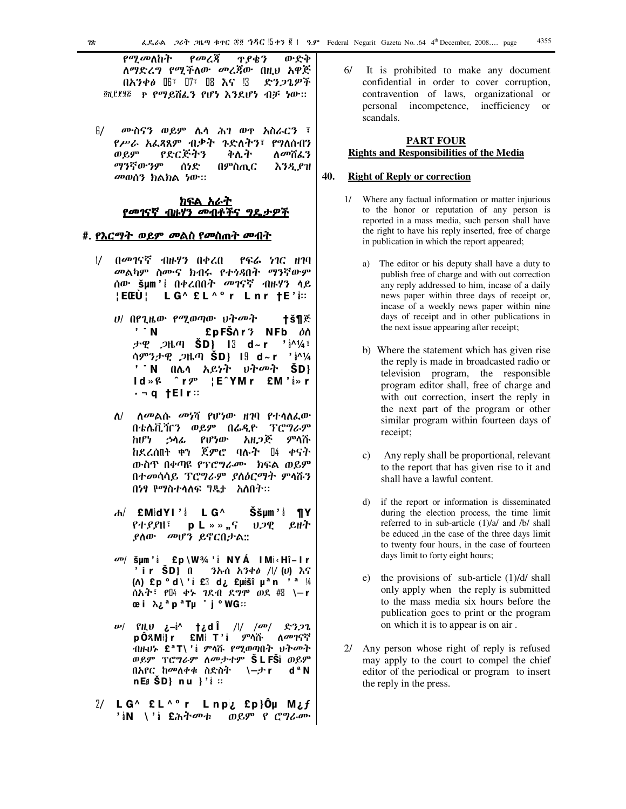የመረጃ *የሚመ*ለከት ዋያቄን ውድቅ ለማድረግ የሚችለው መረጃው በዚህ አዋጅ  $0.6340$   $0.55$   $0.75$   $0.8$   $0.65$   $0.35$ 一 ድንጋጌዎች @CEER P Pማይሸፌን የሆነ እንደሆነ ብቻ ነው።

6/ ሙስናን ወይም ሌሳ ሕገ ወዋ አስራርን ፣ *የሥራ አፌጻጺ*ም ብቃት *ጉ*ድለትን፣ የግለሰብን የድርጅትን ቅሌት ወይም ለመሽፌን ማንኛውንም በምስጢር ሰነድ እንዲያዝ መወሰን ክልክል ነው።

#### <u>ክፍል አራት</u> <u>የመገናኛ ብዙሃን መብቶችና</u> ግደ ታዎች

### #. <u>የእርማት ወይም መልስ የመስጠት መብት</u>

- በመገናኛ ብዙሃን በቀረበ  $\frac{1}{2}$ የፍሬ ነገር ዘገባ *መ*ልካም ስሙና ክብሩ የተ*ጎጻ*በት ማንኛውም ሰው **šµm'**ἱ በቀረበበት *መገ*ናኛ ብዙሃን ላይ : EŒÙ : LG^ £L^º r Lnr tE'i::
	- *ህ/* በየጊዜው የሚወጣው ህትመት tš¶ጅ  $^{\prime}$   $^{\prime}$  N £pFŠ∧r 3 NFb *ዕ*ስ ታዊ *ጋ*ዜጣ SD} I3 d~r  $^{\prime}$   $\frac{1}{4}$   $\frac{1}{4}$   $\frac{1}{4}$   $\frac{1}{4}$ ሳምንታዊ *ጋ*ዜጣ **SD} I9 d~r** 'i^¼ ' N በሌሳ አይነት ህት*መ*ት SD}  $Id \gg f$   $\uparrow$   $f$ ¦E^YMr £M'å»r ·¬q †Elr∷
	- ለ/ ለመልሱ መነሻ የሆነው ዘገባ የተሳለፌው በቴሌቪዥን ወይም በሬዲዮ ፕሮግራም ከሆነ ኃሳፊ የሆነው አዘ*ጋጅ* ምሳሹ ከደረሰበት ቀን ጀምሮ ባሉት በ4 ቀናት ውስዋ በቀጣዩ የፕሮግራሙ ክፍል ወይም በተመሳሳይ ፕሮግራም ያስዕርማት ምሳሹን በነፃ የማስተሳለፍ ግዴታ አለበት።
	- $dA / E$ MidYl' i LG<sup> $\wedge$ </sup> Ššum'i ¶Y V.2Q የተያያዘ፣  $p L \gg g$ ,  $q$ ይዘት *ያ*ለው *መ*ሆን ይኖርበታል::
	- *šμm'* $i$  *£p \W3⁄4'* $i$  *NYÁ IM* $i$ *‹Hî-Ir* ' i r ŠD} በ ንኡሰ አንቀ∂ /l/ (υ) እና (n) £p ° d \ 'i £3 d i £µišî µ ª n ' ª !4 ሰአት፣ የ $\mathbb{I}4$  ቀኑ ገደብ ደ*ግ*ሞ ወደ #8 \—r œ i λ¿<sup>a</sup> p<sup>a</sup> Tµ ˙ j ° WG∷
	- $\mathbf{w}$  *PHU*  $\mathbf{i}$ -i<sup>^</sup> t<sub>i</sub>d  $\mathbf{i}$  // / $\mathbf{w}$  *R3.*22 pÔጻMi}r £Mi T'i *ም*ሳሹ ለመገናኛ ብዙሆኑ £ªT\ 'ἱ ምሳሹ የሚወጣበት ህት*መ*ት ወይም ፕሮግራም ለ*መታተ*ም **ŠLFŠ**ἱ ወይም  $d^a N$ በአየር ከመለቀቁ ስድስት \–ታr  $nEJ \times SD$ } nu }' $i$  ::
- 2/ LG^ £L^°r Lnp¿ £p}Ôμ M¿f 'iN \'i £ሕትመቱ ወይም የ ሮግራሙ

61 It is prohibited to make any document confidential in order to cover corruption, contravention of laws, organizational or personal incompetence, inefficiency or scandals.

### **PART FOUR Rights and Responsibilities of the Media**

#### 40. **Right of Reply or correction**

- 1/ Where any factual information or matter injurious to the honor or reputation of any person is reported in a mass media, such person shall have the right to have his reply inserted, free of charge in publication in which the report appeared;
	- a) The editor or his deputy shall have a duty to publish free of charge and with out correction any reply addressed to him, incase of a daily news paper within three days of receipt or, incase of a weekly news paper within nine days of receipt and in other publications in the next issue appearing after receipt;
	- b) Where the statement which has given rise the reply is made in broadcasted radio or television program, the responsible program editor shall, free of charge and with out correction, insert the reply in the next part of the program or other similar program within fourteen days of receipt;
	- Any reply shall be proportional, relevant  $\mathbf{c})$ to the report that has given rise to it and shall have a lawful content.
	- $\mathbf{d}$ if the report or information is disseminated during the election process, the time limit referred to in sub-article (1)/a/ and /b/ shall be educed ,in the case of the three days limit to twenty four hours, in the case of fourteen days limit to forty eight hours;
	- e) the provisions of sub-article  $(1)/d/$  shall only apply when the reply is submitted to the mass media six hours before the publication goes to print or the program on which it is to appear is on air.
- 2/ Any person whose right of reply is refused may apply to the court to compel the chief editor of the periodical or program to insert the reply in the press.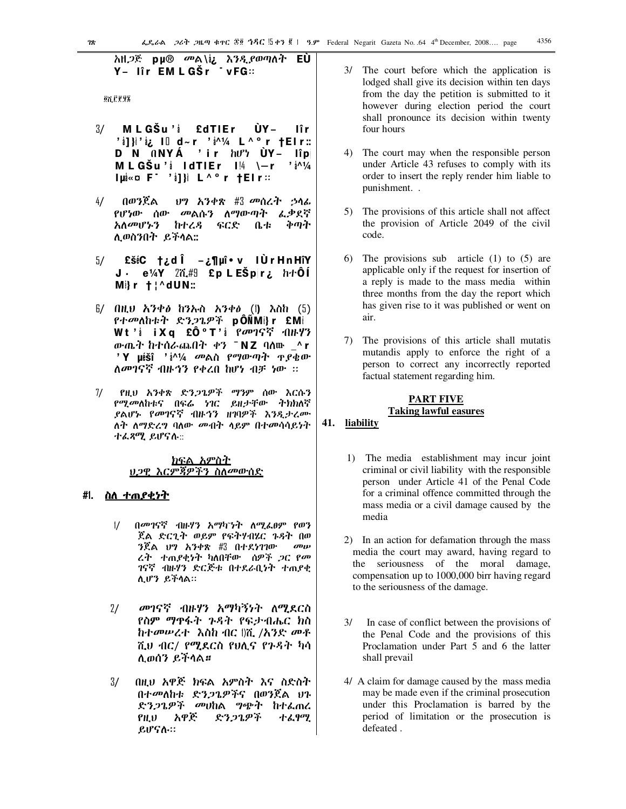**ON FF92** 

- $3/$ MLGŠu'i £dTIEr ÙYlîr 'illi' iz Ill d~r 'i^1/4 L^ºr †Elr:: **D** N ONYÁ 'ir hư<sup>y</sup> ÙY- lîp MLGŠu'i IdTIEr  $1\frac{14}{1}$  \-r 'i<sup>^1</sup>/4 lui«o F<sup>-</sup> 'il}i L^ºr tElr::
- $4/$ በወንጀል ህግ አንቀጽ #3 መሰረት ኃሳፊ የሆነው ሰው *መ*ልሱን ለማውጣት ፌቃደኛ አለመሆኑን ከተረዳ ፍርድ 化す ቅጣት ሊወስንበት ይችላል::
- $E\check{\sigma}$ iC  $\uparrow$   $\chi$  d  $\hat{I}$   $\chi$   $\P$   $\mu$ î $\bullet$  v  $\uparrow$  l Ù r H n Hî Y 5/ J. e¼Y 2ሺ#9 £p L EŠp|r¿ h+ÔÍ  $M$ } r  $\dagger$   $\uparrow$  dUN:
- $5/$  በዚህ አንቀዕ ከንኡስ አንቀዕ (1) እስከ (5) *የተመ*ለከቱት ድን*ጋ*ጌዎች pÔÑMi}r £Mi Wt'i iXq £Ô°T'i ?መገናኛ ብዙሃን ውጤት ከተሰራጨበት ቀን ¯NZ ባለሙ ^r 'Y µéšî ' $i^{1/4}$  መልስ የማውጣት ዋያቄው ለመገናኛ ብዙኅን የቀረበ ከሆነ ብቻ ነው ፡፡
- $7/$ የዚህ አንቀጽ ድንጋጌዎች ማንም ሰው እርሱን *የሚመ*ለከቱና በፍሬ ነገር ይዘ*ታ*ቸው ትክክለኛ *ያ*ልሆኑ የመገናኛ ብዙኅን ዘገባዎች እንዲታረሙ ለት ለማድረግ ባለው መብት ሳይም በተመሳሳይነት ተፌጻሚ ይሆናሉ::

### <u>ክፍል አምስት</u> ህጋዊ እርምጃዎችን ስለመውሰድ

### #l. <u>ስለ ተጠያቂነተ</u>

- በመገናኛ ብዙሃን አማካንት ለሚፌፀም የወን  $\frac{1}{2}$ ጀል ድርጊት ወይም የፍትሃብሄር ጉዳት በወ  $3\tilde{R}$ ል  $0$ ግ አንቀጽ # $3$  በተደነገገው  $\omega$ ሬት ተጠያቂነት ካለበቸው ሰዎች ጋር የመ ገናኛ ብዙሃን ድርጅቱ በተደራቢነት ተጠያቂ ሊሆን ይችሳል።
- መገናኛ ብዙሃን አማካኝነት ለሚደርስ  $2/$ የስም ማዋፋት ጉዳት የፍታብሔር ክስ ከተመሠረተ- እስከ ብር በሺ /አንድ መቶ ሺህ ብር/ የሚደርስ የሀሲና የጉዳት ካሳ ሊወሰን ይችላል።
- $3/$ በዚህ አዋጅ ክፍል አምስት እና ስድስት በተመለከቱ ድንጋጌዎችና በወንጀል ህጉ ድንጋጌዎች መሀከል ግጭት ከተፈጠረ  $P.H.U$ አዋጅ ድንጋጌዎች ተፈፃሚ ይሆናሉ።
- 3/ The court before which the application is lodged shall give its decision within ten days from the day the petition is submitted to it however during election period the court shall pronounce its decision within twenty four hours
- 4) The court may when the responsible person under Article 43 refuses to comply with its order to insert the reply render him liable to punishment..
- 5) The provisions of this article shall not affect the provision of Article 2049 of the civil code.
- 6) The provisions sub article  $(1)$  to  $(5)$  are applicable only if the request for insertion of a reply is made to the mass media within three months from the day the report which has given rise to it was published or went on air.
- 7) The provisions of this article shall mutatis mutandis apply to enforce the right of a person to correct any incorrectly reported factual statement regarding him.

### **PART FIVE Taking lawful easures**

### 41. liability

- 1) The media establishment may incur joint criminal or civil liability with the responsible person under Article 41 of the Penal Code for a criminal offence committed through the mass media or a civil damage caused by the media
- 2) In an action for defamation through the mass media the court may award, having regard to the seriousness of the moral damage, compensation up to 1000,000 birr having regard to the seriousness of the damage.
- $3/$ In case of conflict between the provisions of the Penal Code and the provisions of this Proclamation under Part 5 and 6 the latter shall prevail
- 4/ A claim for damage caused by the mass media may be made even if the criminal prosecution under this Proclamation is barred by the period of limitation or the prosecution is defeated.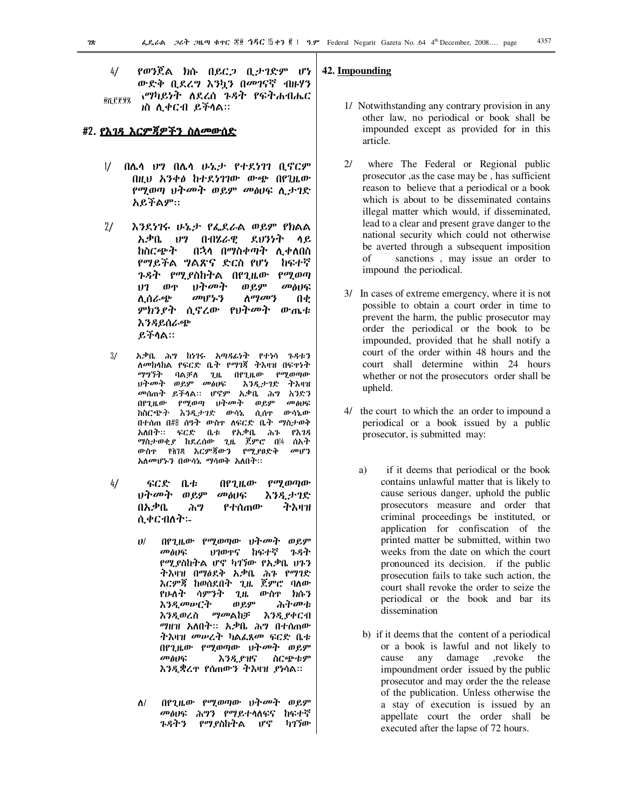የወንጀል ክሱ በይር*ጋ* ቢታገድም ሆነ  $4/$ ውድቅ ቢደረግ እንኳን በመገናኛ ብዙሃን ገማካይነት ለደረሰ *ጉዳት የፍትሐብሔር* <u>on Pega</u> ነስ ሊቀርብ ይችላል።

### #2. <u>የእ*ገዳ እርምጃዎችን ስለመውሰ*ድ</u>

- 1/ በሌሳ ህግ በሌሳ ሁኔታ የተደነገገ ቢኖርም በዚህ አንቀፅ ከተደነገገው ውጭ በየጊዜው የሚወጣ ህትመት ወይም መፅሀፍ ሲታገድ አይችልም::
- $2/$ እንደነገሩ ሁኔታ የፌደራል ወይም የክልል አቃቤ ህግ በብሄራዊ ደህንነት ሳ ይ ከስርጭት በኋላ በማስቀጣት ሊቀለበስ የማይችል ግልጽና ድርስ የሆነ **ከፍ**ተኛ ጉዳት የሚያስከትል በየጊዜው  $\rho$ ay wa ህትመት  $117$ ወዋ ወይም መፅሀፍ መሆኑን  $\Lambda^{q\bar{q}}$ an'} ሊሰራጭ Л¢ *ምክንያት* ሲኖረው የህት*መ*ት ውጤቱ <u>እንዳይሰራጭ</u> ይችሳል።
- $3/$ አቃቤ ሕግ ከነገሩ አጣጻፊነት የተነሳ ጉዳቱን ለመከሳከል የፍርድ ቤት የማገጃ ትእዛዝ በፍተነት ማማኝት ባልቻለ ጊዜ በየጊዜው የሚወጣው መስሀፍ ህት*መት* ወደም እንዲታገድ ትእዘዝ መሰጠት ይችላል። ሆኖም አቃቤ ሕግ አንድን በየጊዜው የሚወጣ ህትመት ወይም መስሀፍ ከስርጭት እንዲታገድ ውሳኔ ሲሰዋ ውሳኔው በተሰጠ በ#8 ሰዓት ውስዋ ለፍርድ ቤት ማስታወቅ አለበት። ፍርድ ቤቱ የአቃቤ ሕጉ የእገዳ *ማ*ስታወቂ*ያ* ከደረሰው ጊዜ ጀምሮ በ!4 ሰአት ውስዋ የስገጻ እርምጃውን የሚያፀድቅ  $\omega_1$ rz አለመሆኑን በውሳኔ ማሳወቅ አለበት።
- $4/$ ፍርድ  $0.4$ በየጊዜው  $\rho$ *a* $\rho$  and  $\rho$ ህት*መ*ት ወይም መፅሀፍ እንዲታገድ በአቃቤ የተሰጠው ሕግ ትእዛዝ ሲቀርብለት፡-
	- በየጊዜው የሚወጣው ህትመት ወይም  $11/$ ጉዳት ህገወዋና ከፍተኛ *a***p** and የሚያስከትል ሆኖ ካገኘው የአቃቤ ህጉን ትእዛዝ በማዕደቅ አቃቤ ሕጉ የማገድ እርምጃ ከወሰደበት ጊዜ ጀምሮ ባለው የሁለት ሳምንት ጊዜ ውስዋ ክሱን **እንዲመ**ሥርት ወይም ふትሙቱ እንዲያቀርብ እንዳወረስ *ማመ*ልከቻ *ግ*ዘዝ አለበት። አቃቤ ሕግ በተሰጠው ትእዛዝ *መሠ*ረት ካልፌጸ*መ* ፍርድ ቤቱ በየጊዜው የሚወጣው ህትመት ወይም መልበፍ እንዲያዝና ስርጭቱም እንዲቋረዋ የሰጠውን ትእዛዝ ያነሳል።
	- በየጊዜው የሚወጣው ህትመት ወይም  $\Lambda$ / መፅሀፍ ሕግን የማይተሳለፍና ከፍተኛ *ጉዳትን የማያ*ስከትል ሆኖ ካገኘው

### 42. Impounding

- 1/ Notwithstanding any contrary provision in any other law, no periodical or book shall be impounded except as provided for in this article.
- $21$ where The Federal or Regional public prosecutor ,as the case may be, has sufficient reason to believe that a periodical or a book which is about to be disseminated contains illegal matter which would, if disseminated, lead to a clear and present grave danger to the national security which could not otherwise be averted through a subsequent imposition sanctions, may issue an order to of impound the periodical.
- 3/ In cases of extreme emergency, where it is not possible to obtain a court order in time to prevent the harm, the public prosecutor may order the periodical or the book to be impounded, provided that he shall notify a court of the order within 48 hours and the court shall determine within 24 hours whether or not the prosecutors order shall be upheld.
- 4/ the court to which the an order to impound a periodical or a book issued by a public prosecutor, is submitted may:
	- a) if it deems that periodical or the book contains unlawful matter that is likely to cause serious danger, uphold the public prosecutors measure and order that criminal proceedings be instituted, or application for confiscation of the printed matter be submitted, within two weeks from the date on which the court pronounced its decision. if the public prosecution fails to take such action, the court shall revoke the order to seize the periodical or the book and bar its dissemination
	- b) if it deems that the content of a periodical or a book is lawful and not likely to cause any damage , revoke the impoundment order issued by the public prosecutor and may order the the release of the publication. Unless otherwise the a stay of execution is issued by an appellate court the order shall be executed after the lapse of 72 hours.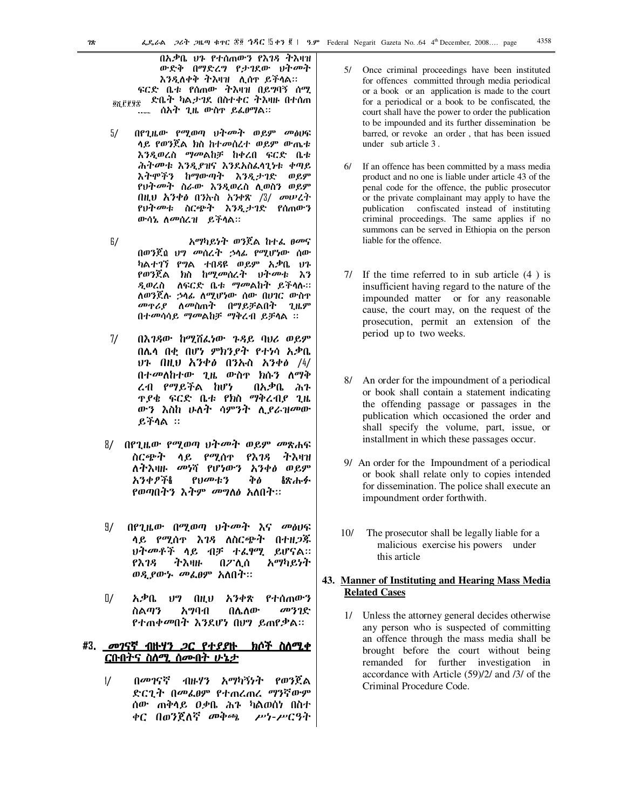በአቃቤ ሀን የተሰጠውን የእገጻ ተእዛዝ ውድቅ በማድረግ የታገደው ህትመት እንዲለቀቅ ትእዛዝ ሊሰዋ ይችላል። ፍርድ ቤቱ የሰጠው ትእዛዝ በይግባኝ ሰማ ድቤት ካልታገደ በስተቀር ትእዛዙ በተሰጠ 87,679 <sub>፡-</sub> ሰአት ጊዜ ውስዋ ይፌθማል።

- $5/$ በየገዜው የማወጣ ህትመት ወይም መስሀፍ ላይ የወንጀል ክስ ከተመሰረተ ወይም ውጤቱ እንዲወረስ ማመልከቻ ከቀረበ ፍርድ ቤቱ ሕትመቱ እንዲያዝና እንደአስፌሳጊነቱ ቀጣይ እትሞችን ከማውጣት እንዲታገድ ወይም የህትመት ስራው እንዲወረስ ሊወስን ወይም በዚህ አንቀፅ በንኩስ አንቀጽ / $3/$  መሠረት የህትመቱ ስርጭት እንዲታገድ የሰጠውን ውሳኔ ለመሰረዝ ይችላል።
- $6/$ አማካይነት ወንጀል ከተፌ ፀመና በወንጀስ ህግ መሰረት ኃሳፊ የሚሆነው ሰው ካልተገኘ የግል ተበዳዩ ወይም አቃቤ ህጉ *የወን*ጀል ክስ ከሚ*መ*ሰረት <del>ህትመ</del>ቱ እን ዲወረስ ለፍርድ ቤቱ ማመልከት ይችሳሉ። ለወንጀሉ *ኃ*ሳፊ ለሚሆነው ሰው በሀገር ውስዋ *መ*ዋሪ*ያ* ለመስጠት በማይቻልበት ጊዜም በተመሳሳይ ማመልከቻ ማቅረብ ይቻሳል ፡፡
- $7/$ በእገዳው ከሚሽፌነው ጉዳይ ባህሪ ወይም በሌሳ በቂ በሆነ ምክንያት የተነሳ አቃቤ ህጉ በዚህ አንቀ*ፅ* በንኡስ አንቀ*ፅ /4/* በተመለከተው ጊዜ ውስዋ ክሱን ለማቅ ረብ የማይችል ከሆነ በአቃቤ ሕን **T.P\$ ፍርድ ቤቱ የክስ ማቅረብይ ጊዜ** ውን እስከ ሁለት ሳምንት ሊያራዝመው  $B$ ችሳል ።
- 8/ በየጊዜው የሚወጣ ህት*መ*ት ወይም *መ*ጽሐፍ ስርጭት ላይ የሚሰዋ የእገዳ ትእዛዝ ለትእዛዙ መነሻ የሆነውን አንቀፅ ወይም **አንቀፆች&** የህመቱን Фò **ልጽ**ሑፉ የወጣበትን እትም መግለፅ አለበት።
- 97 በየጊዜው በሚወጣ ህትመት እና መፅሀፍ ሳይ የሚሰዋ እገዳ ለስርጭት በተዘጋጁ ህትመቶች ሳይ ብቻ ተ*ልፃሚ ይ*ሆናል። አማካይነት የእገዳ ትእዛዙ በፖሊሰ ወዲያውኑ መፌፀም አለበት።
- $\mathbb{I}/\mathbb{I}$ አቃቤ ህግ በዚህ አንቀጽ የተሰጠውን መንገድ ስልጣን አማባብ በሌለው <u>የተጠቀመበት እንደሆነ በሀግ ይጠየቃል።</u>

#### #3. \_*መገ*ናኛ ብዙ*ዛን ጋ*ር የተ*ያያ*ዙ <u>ክሶች ስለሚቀ</u> <u>ርቡበትና ስስሚ ስሙበት ሁኔታ</u>

በመገናኛ ብዙሃን አማካኝነት የወንጀል  $\frac{1}{2}$ ድርጊት በመፌፀም የተጠረጠረ ማንኛውም ሰው ጠቅሳይ ዐቃቤ ሕጉ ካልወሰነ በስተ ቀር በወንጀለኛ መቅጫ ሥነ-ሥርዓት

- 5/ Once criminal proceedings have been instituted for offences committed through media periodical or a book or an application is made to the court for a periodical or a book to be confiscated, the court shall have the power to order the publication to be impounded and its further dissemination be barred, or revoke an order, that has been issued under sub article 3.
- 6/ If an offence has been committed by a mass media product and no one is liable under article 43 of the penal code for the offence, the public prosecutor or the private complainant may apply to have the publication confiscated instead of instituting criminal proceedings. The same applies if no summons can be served in Ethiopia on the person liable for the offence.
- 7/ If the time referred to in sub article  $(4)$  is insufficient having regard to the nature of the impounded matter or for any reasonable cause, the court may, on the request of the prosecution, permit an extension of the period up to two weeks.
- 8/ An order for the impoundment of a periodical or book shall contain a statement indicating the offending passage or passages in the publication which occasioned the order and shall specify the volume, part, issue, or installment in which these passages occur.
- 9/ An order for the Impoundment of a periodical or book shall relate only to copies intended for dissemination. The police shall execute an impoundment order forthwith.
- $10/$ The prosecutor shall be legally liable for a malicious exercise his powers under this article

### 43. Manner of Instituting and Hearing Mass Media **Related Cases**

1/ Unless the attorney general decides otherwise any person who is suspected of committing an offence through the mass media shall be brought before the court without being remanded for further investigation in accordance with Article (59)/2/ and /3/ of the Criminal Procedure Code.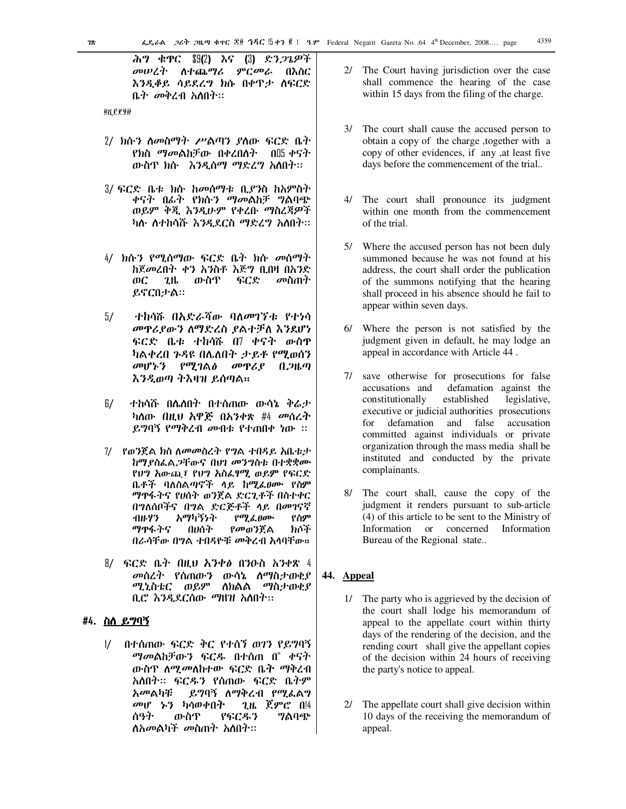ሕግ ቁዋር \$9(2) እና (3) ድ*ንጋጌዎች* መሠረት ለተጨ*ግሪ ምርመራ* በእስር እንዲቆይ ሳይደረግ ክሱ በቀዋታ ሰፍርድ ቤት መቅረብ አለበት።

**QXLPPD** 

- 2/ ክሱን ስመስማት ሥልጣን ያስው ፍርድ ቤት *የክ*ስ *ማመ*ልከቻው በቀረበስት በ05 ቀናት ውስጥ ክሱ እንዲሰማ ማድረግ አለበት።
- 3/ ፍርድ ቤቱ ክሱ ከመሰማቱ ቢ*ያን*ስ ከአምስተ ቀናት በፊት የክሱ*ን ማመ*ልከቻ *ግ*ልባጭ ወይም ቅጂ እንዲሁም የቀረቡ ማስረጃዎች ካሱ ስተከሳሹ እንዲደርስ ማድረግ አስበት።
- 4/ ክሱን የሚሰማው ፍርድ ቤት ክሱ መሰማት ከጀመረበት ቀን አንስቶ እጅግ ቢበዛ በአንድ ውስዋ ፍርድ መስጠት ФC  $2<sup>th</sup>$ ይኖርበታል።
- $5/$ ተከሳሹ በእድራሻው ባለመገኘቱ የተነሳ መዋሪያውን ስማድረስ ያልተቻለ እንደሆነ ፍርድ ቤቱ ተከሳሹ በ7 ቀናት ውስዋ ካልቀረበ ጉዳዩ በሌለበት ታይቶ የሚወሰን *መ*ሆኑን የሚገል*ፅ* መዋሪያ በ*ጋ*ዜጣ እንዲወጣ ትእዛዝ ይሰጣል።
- 6/ ተከሳሹ በሌለበት በተሰጠው ውሳኔ ቅሬታ ካለው በዚህ አዋጅ በአንቀጽ #4 መሰረት ይግባኝ የማቅረብ መብቱ የተጠበቀ ነው ፡፡
- 7/ የወንጀል ክስ ለመመስረት የግል ተበዳይ አቤቱታ ከማያስፌል,ጋቸውና በሀገ መንግስቱ በተቋቋሙ የህግ አውጪ፣ የህግ አስፌፃሚ ወይም የፍርድ ቤቶች ባለስልጣኖች ላይ ከሚፌፀሙ የስም ማዋፋትና የሀሰት ወንጀል ድርጊቶች በስተቀር በግለሰቦችና በግል ድርጅቶች ላይ በመገናኛ イルトソン አማካኝነት  $\rho \sigma$ *l*  $\ell$ ,  $\theta$  $\sigma$ <sup>o</sup> የስም ማዋፋትና わです በሀሰት የመወንጀል በራሳቸው በግል ተበዳዮቹ መቅረብ አሳባቸው።
- 8/ ፍርድ ቤት በዚህ አንቀ∂ በንዑስ አንቀጽ 4 መሰረት የሰጠውን ውሳኔ ስማስታወቂያ ሚኒስቴር ወይም ለክልል ማስታወቂያ ቢሮ እንዲደርሰው ማዘዝ አስበት።

### #4. <u>ስለ ይግባኝ</u>

 $\frac{1}{2}$ በተሰጠው ፍርድ ቅር የተሰኘ ወገን የይግባኝ ማመልከቻውን ፍርዱ በተሰጠ በ" ቀናት ውስጥ ለ*ሚመ*ለከተው ፍርድ ቤት ማቅረብ አለበት። ፍርዱን የሰጠው ፍርድ ቤትም አመልካቹ ይግባኝ ለማቅረብ የሚፌልግ መሆ ኡን ካሳወቀበት ጊዜ ጀምሮ በ!4 ስዓት ውስዋ የፍርዱን ግልባጭ ለአመልካች መስጠት አለበት።

- 2/ The Court having jurisdiction over the case shall commence the hearing of the case within 15 days from the filing of the charge.
- 3/ The court shall cause the accused person to obtain a copy of the charge , together with a copy of other evidences, if any , at least five days before the commencement of the trial...
- 4/ The court shall pronounce its judgment within one month from the commencement of the trial.
- 5/ Where the accused person has not been duly summoned because he was not found at his address, the court shall order the publication of the summons notifying that the hearing shall proceed in his absence should he fail to appear within seven days.
- 6/ Where the person is not satisfied by the judgment given in default, he may lodge an appeal in accordance with Article 44.
- 7/ save otherwise for prosecutions for false accusations and defamation against the constitutionally established legislative, executive or judicial authorities prosecutions defamation and false accusation for committed against individuals or private organization through the mass media shall be instituted and conducted by the private complainants.
- 8/ The court shall, cause the copy of the judgment it renders pursuant to sub-article (4) of this article to be sent to the Ministry of Information or concerned Information Bureau of the Regional state...

### 44. Appeal

- 1/ The party who is aggrieved by the decision of the court shall lodge his memorandum of appeal to the appellate court within thirty days of the rendering of the decision, and the rending court shall give the appellant copies of the decision within 24 hours of receiving the party's notice to appeal.
- 2/ The appellate court shall give decision within 10 days of the receiving the memorandum of appeal.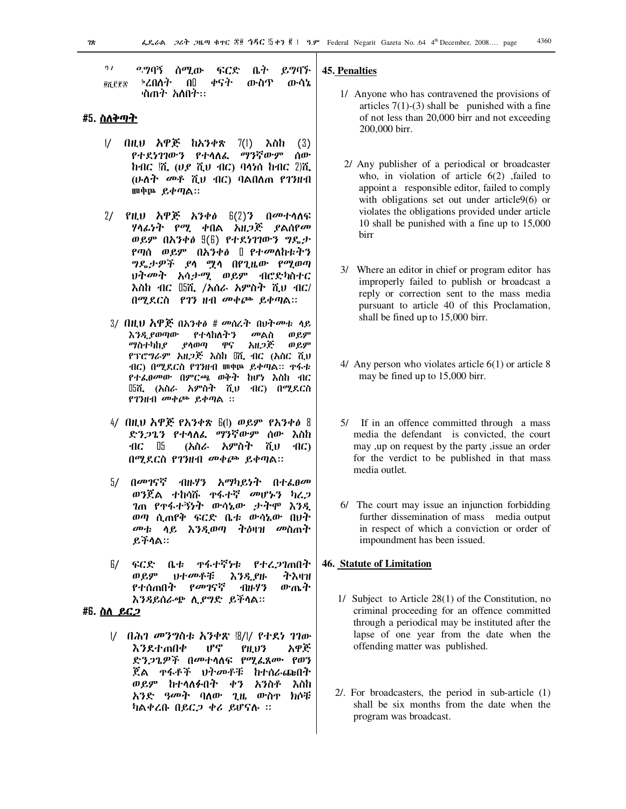$7/$ *o* ግባኝ ቤት ይግባኙ ሰማ.ው ፍርድ ⊧ሪበስት  $\mathbf{u}$ ቀናት ውስዋ ውሳኔ **QUEES** <sup>,</sup>ስጠተ አለበተ።

### #5. ስለ<u>ቅጣት</u>

- $\frac{1}{2}$ በዚህ አዋጅ ከአንቀጽ 7(1) እስከ  $(3)$ የተደነገገውን የተሳለፌ ማንኛውም ሰው  $h$ ብር  $\ddot{h}$ ,  $(v, \tilde{v})$  ሺ $v$  ብር) ባላነስ  $h$ ብር  $2\ddot{h}$ , (ሁለት መቶ ሺህ ብር) ባልበለጠ የገንዘብ **III中區 ይቀጣል**።
- 2/ የዚህ አዋጅ አንቀ*ፅ*  $f(2)$ ን በ*መ*ተሳለፍ ሃሳፊነት የሚ ቀበል አዘ*ጋጅ ያ*ልሰየ*መ* ወይም በአንቀፅ  $\mathfrak{g}(\mathfrak{h})$  የተደነገገውን ግዴታ የጣሰ ወይም በአንቀፅ በ የተመለከቱትን *ግ*ዴታዎች ያላ <u>ማ</u>ላ በየጊዜው የሚወጣ ህት*መት አሳታሚ ወይም ብሮድካ*ስተር እስከ ብር በ5ሺ, /አሰራ አምስት ሺህ ብር/ በሚደርስ የገን ዘብ መቀጮ ይቀጣል።
- 3/ በዚህ አዋጅ በአንቀ∂ # መስረት በህትመቱ ላይ እንዲ የወጣው የተላከለትን መልስ ወይም ያሳወጣ ማስተካከደ ዋና አዘጋጅ ወ ይም የፕሮግራም አዘጋጅ እስከ 『ሺ ብር (አስር ሺህ የተፌፀመው በምርጫ ወቅት ከሆነ እስከ ብር  $\mathbb{B}$ ሽ, (አስራ አምስት ሺህ ብር) በሚደርስ የገንዘብ መቀጮ ይቀጣል ፡፡
- 4/ በዚህ አዋጅ የአንቀጽ  $f(1)$  ወይም የአንቀፅ 8 ድንጋጌን የተሳለፌ ማንኛውም ሰው እስከ (አስራ አምስት ሺህ  $AC$  05 -AC) በሚደርስ የገንዘብ መቀጮ ይቀጣል።
- 5/ በ*መገ*ናኛ ብዙሃን አማካይነት በተ*ሌፀመ* ወንጀል ተከሳሹ ተፋተኛ መሆኑን ካረ*ጋ ገ*ጠ የዋፋተኝነት ውሳኔው *ታ*ትሞ እንዲ ወጣ ሲጠየቅ ፍርድ ቤቱ ውሳኔው በህት *መቱ* ላይ እንዲወጣ ትዕዛዝ *መ*ስጠት ይችሳል።
- $0 +$ 67 L ፍርድ **ጥፋ**ተኛሃቱ የተረ ንንጠበት ትእዛዝ ወይም **りナのパギ** እንዲያዙ የመገናኛ የተሰጠበት ·በዙሃን ውጤት እንዳይሰራጭ ሲያግድ ይችሳል።

### #6. <u>ስለ\_ይር 2</u>

|/ በሕገ *መንግ*ስቱ አንቀጽ !8/I/ የተደነ ገገው አዋጅ ሆኖ **እንደተጠበቀ** PH.U3 ድንጋጌዎች በመተሳለፍ የሚፌጸሙ የወን ጀል ተፋቶች ህትመቶቹ ከተሰራጩበት ወይም ከተሳለፉበት ቀን አንስቶ እስከ አንድ *ዓመት* ባለው ጊዜ ውስ<u>ም ክ</u>ሶቹ ካልቀረቡ በይር*ጋ* ቀሪ ይሆናሉ ።

### 45. Penalties

- 1/ Anyone who has contravened the provisions of articles  $7(1)-(3)$  shall be punished with a fine of not less than 20,000 birr and not exceeding 200,000 birr.
- 2/ Any publisher of a periodical or broadcaster who, in violation of article  $6(2)$ , failed to appoint a responsible editor, failed to comply with obligations set out under article9(6) or violates the obligations provided under article 10 shall be punished with a fine up to 15,000 birr
- 3/ Where an editor in chief or program editor has improperly failed to publish or broadcast a reply or correction sent to the mass media pursuant to article 40 of this Proclamation, shall be fined up to 15,000 birr.
- 4/ Any person who violates article  $6(1)$  or article 8 may be fined up to 15,000 birr.
- 5/ If in an offence committed through a mass media the defendant is convicted, the court may ,up on request by the party , issue an order for the verdict to be published in that mass media outlet.
- 6/ The court may issue an injunction forbidding further dissemination of mass media output in respect of which a conviction or order of impoundment has been issued.

### **46. Statute of Limitation**

- 1/ Subject to Article 28(1) of the Constitution, no criminal proceeding for an offence committed through a periodical may be instituted after the lapse of one year from the date when the offending matter was published.
- $2/$ . For broadcasters, the period in sub-article  $(1)$ shall be six months from the date when the program was broadcast.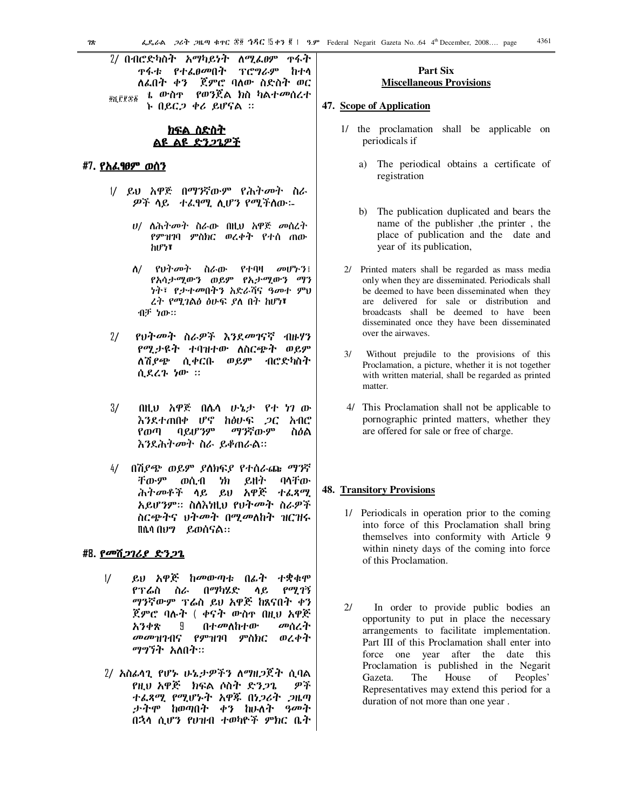2/ በብሮድካስት አማካይነት ለሚፌፀም ዋፋት ዋፋቱ *የተፌፀመ*በት ፕሮግራም ከተሳ ለፌበት ቀን ጀምሮ ባለው ስድስት ወር ቴ ውስ<u>ም የወንጀል ክስ ካልተመሰረ</u>ተ **OKEFEE** ኑ በይር*ጋ* ቀሪ ይሆናል ።

### <u>ክፍል ስድስት</u> ልዩ ልዩ ድንጋጌዎች

### #7 <u>የአፌፃፀም ወሰን</u>

- 1/ ይህ አዋጅ በማንኛውም የሕትመት ስራ ዎች ላይ ተፈፃሚ ሊሆን የሚችለው፡-
	- *ሀ/ ስሕትመት ስ*ራው በዚህ አዋጅ *መ*ሰረት የምዝገባ ምስክር ወረቀት የተሰ ጠው ከሆነ፣
	- $\Lambda$ / የህተመት ስራው የተባዛ መሆኑን፤ የአሳታሚውን ወይም የኢታሚውን ማን *ነት*፣ *የታተመ*በትን አድራሻና ዓመተ ምህ ረት የሚገልፅ ፅሁፍ ያለ በት ከሆነ፣ ብቻ ነው።
- $2/$ የህት*መት* ስራዎች እንደ*መገ*ናኛ ብዙሃን የሚታዩት ተባዝተው ለስርጭት ወይም ለሽያጭ ሲቀርቡ ወይም ብሮድካስት ሲደረጉ ነው ።
- $3/$ በዚህ አዋጅ በሌሳ ሁኔታ የተ ነገ ው እንደተጠበቀ ሆኖ ከፅሁፍ *ጋ*ር አብ $e$ የወጣ ባይሆንም ማንኛውም ስዕል እንደሕትመት ስራ ይቆጠራል።
- በሽያጭ ወይም ያለክፍያ የተሰራጩ ማንኛ  $4/$ ቸውም りわ ይዘት ባላቸው ወሲብ ሕትመቶች ሳይ ይህ አዋጅ ተፈጻሚ አይሆንም። ስለእነዚህ የህትመት ስራዎች ስርጭትና ህትመት በሚመለከት ዝርዝሩ በሴሳ በሆን ይወሰናል።

### #8. የመሽ*ጋገሪያ ድንጋጌ*

- $\frac{1}{2}$ ይህ አዋጅ ከመውጣቱ በፊት ተቋቁሞ በማካሄድ የሚገኝ የፕሬስ ስራ ሳይ ማንኛውም ፕሬስ ይህ አዋጅ ከጸናበት ቀን ጀምሮ ባሉት ( ቀናት ውስዯ በዚህ አዋጅ በተመለከተው አንቀጽ 9 መሰረት መመዝገብና የምዝገባ ምስክር ወረቀት ማግኘት አለበት።
- 2/ አስፊሳጊ የሆኑ ሁኔታዎችን ለማዘጋጀት ሲባል የዚህ አዋጅ ክፍል ሶስት ድንጋጌ ዎች ተፌጻሚ የሚሆኑት አዋጁ በነ*ጋ*ሪት *ጋ*ዜጣ *ታትሞ* ከወጣበት ቀን ከሁለት *ዓመት* በኋላ ሲሆን የሀዝብ ተወካዮች ምክር ቤት

### Part Six **Miscellaneous Provisions**

### 47. Scope of Application

- 1/ the proclamation shall be applicable on periodicals if
	- a) The periodical obtains a certificate of registration
	- b) The publication duplicated and bears the name of the publisher, the printer, the place of publication and the date and year of its publication,
- 2/ Printed maters shall be regarded as mass media only when they are disseminated. Periodicals shall be deemed to have been disseminated when they are delivered for sale or distribution and broadcasts shall be deemed to have been disseminated once they have been disseminated over the airwaves.
- $3/$ Without prejudile to the provisions of this Proclamation, a picture, whether it is not together with written material, shall be regarded as printed matter.
- 4/ This Proclamation shall not be applicable to pornographic printed matters, whether they are offered for sale or free of charge.

### **48. Transitory Provisions**

- 1/ Periodicals in operation prior to the coming into force of this Proclamation shall bring themselves into conformity with Article 9 within ninety days of the coming into force of this Proclamation.
- $2l$ In order to provide public bodies an opportunity to put in place the necessary arrangements to facilitate implementation. Part III of this Proclamation shall enter into force one year after the date this Proclamation is published in the Negarit Gazeta. The House of Peoples' Representatives may extend this period for a duration of not more than one year.